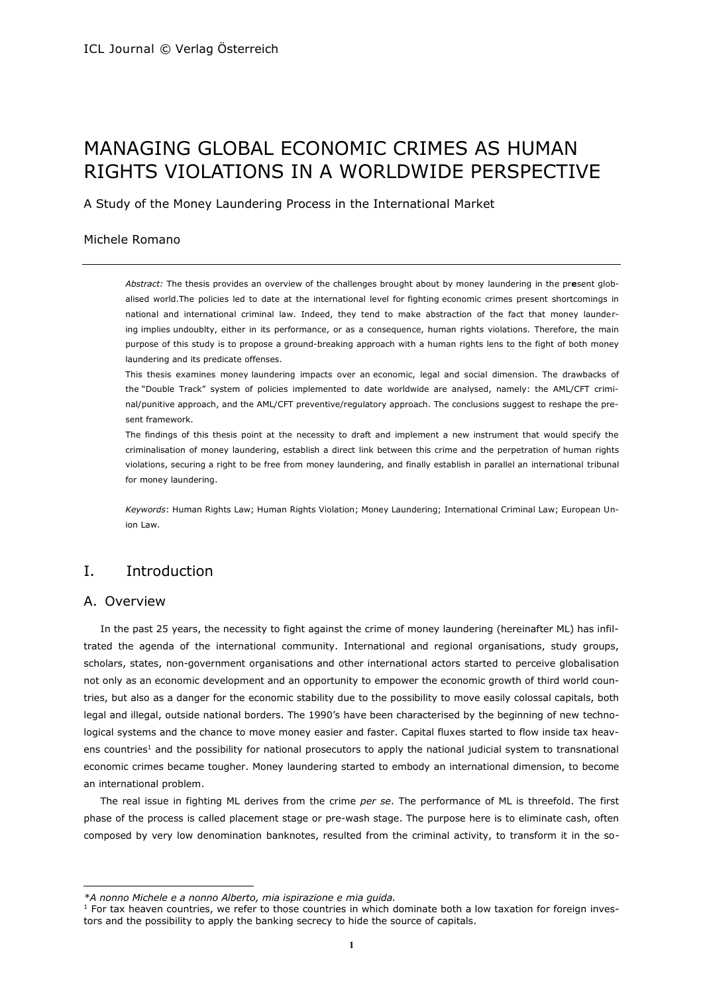# MANAGING GLOBAL ECONOMIC CRIMES AS HUMAN RIGHTS VIOLATIONS IN A WORLDWIDE PERSPECTIVE

A Study of the Money Laundering Process in the International Market

#### Michele Romano

*Abstract:* The thesis provides an overview of the challenges brought about by money laundering in the pr**e**sent globalised world.The policies led to date at the international level for fighting economic crimes present shortcomings in national and international criminal law. Indeed, they tend to make abstraction of the fact that money laundering implies undoublty, either in its performance, or as a consequence, human rights violations. Therefore, the main purpose of this study is to propose a ground-breaking approach with a human rights lens to the fight of both money laundering and its predicate offenses.

This thesis examines money laundering impacts over an economic, legal and social dimension. The drawbacks of the "Double Track" system of policies implemented to date worldwide are analysed, namely: the AML/CFT criminal/punitive approach, and the AML/CFT preventive/regulatory approach. The conclusions suggest to reshape the present framework.

The findings of this thesis point at the necessity to draft and implement a new instrument that would specify the criminalisation of money laundering, establish a direct link between this crime and the perpetration of human rights violations, securing a right to be free from money laundering, and finally establish in parallel an international tribunal for money laundering.

*Keywords*: Human Rights Law; Human Rights Violation; Money Laundering; International Criminal Law; European Union Law.

# I. Introduction

### A. Overview

l

In the past 25 years, the necessity to fight against the crime of money laundering (hereinafter ML) has infiltrated the agenda of the international community. International and regional organisations, study groups, scholars, states, non-government organisations and other international actors started to perceive globalisation not only as an economic development and an opportunity to empower the economic growth of third world countries, but also as a danger for the economic stability due to the possibility to move easily colossal capitals, both legal and illegal, outside national borders. The 1990's have been characterised by the beginning of new technological systems and the chance to move money easier and faster. Capital fluxes started to flow inside tax heavens countries<sup>1</sup> and the possibility for national prosecutors to apply the national judicial system to transnational economic crimes became tougher. Money laundering started to embody an international dimension, to become an international problem.

The real issue in fighting ML derives from the crime *per se*. The performance of ML is threefold. The first phase of the process is called placement stage or pre-wash stage. The purpose here is to eliminate cash, often composed by very low denomination banknotes, resulted from the criminal activity, to transform it in the so-

*<sup>\*</sup>A nonno Michele e a nonno Alberto, mia ispirazione e mia guida.*

<sup>&</sup>lt;sup>1</sup> For tax heaven countries, we refer to those countries in which dominate both a low taxation for foreign investors and the possibility to apply the banking secrecy to hide the source of capitals.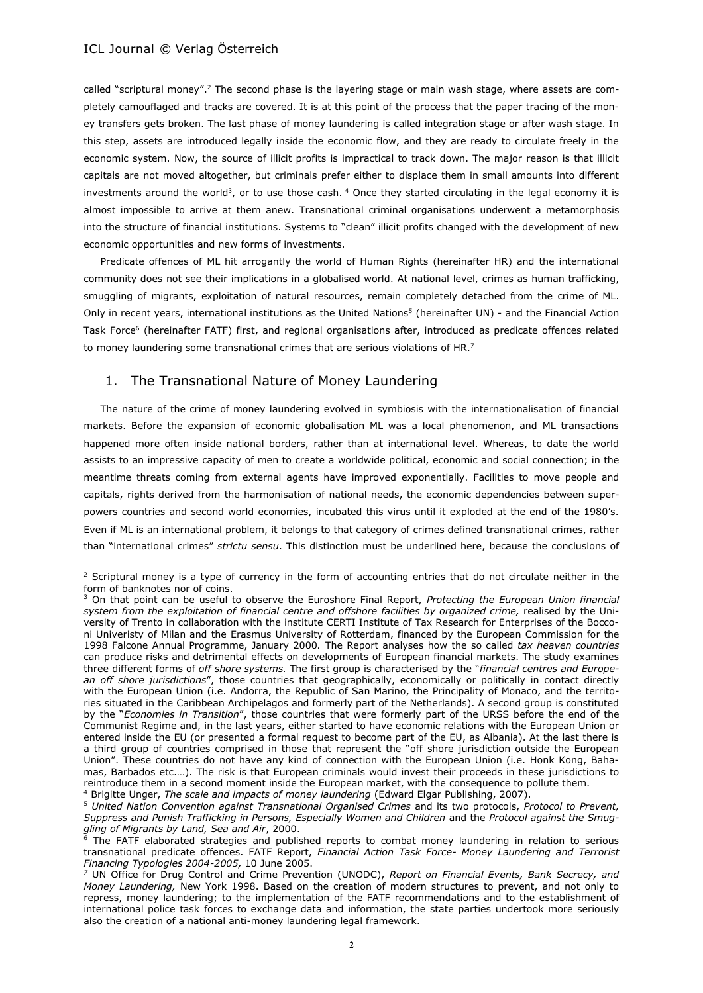$\overline{a}$ 

called "scriptural money".<sup>2</sup> The second phase is the layering stage or main wash stage, where assets are completely camouflaged and tracks are covered. It is at this point of the process that the paper tracing of the money transfers gets broken. The last phase of money laundering is called integration stage or after wash stage. In this step, assets are introduced legally inside the economic flow, and they are ready to circulate freely in the economic system. Now, the source of illicit profits is impractical to track down. The major reason is that illicit capitals are not moved altogether, but criminals prefer either to displace them in small amounts into different investments around the world<sup>3</sup>, or to use those cash.  $4$  Once they started circulating in the legal economy it is almost impossible to arrive at them anew. Transnational criminal organisations underwent a metamorphosis into the structure of financial institutions. Systems to "clean" illicit profits changed with the development of new economic opportunities and new forms of investments.

Predicate offences of ML hit arrogantly the world of Human Rights (hereinafter HR) and the international community does not see their implications in a globalised world. At national level, crimes as human trafficking, smuggling of migrants, exploitation of natural resources, remain completely detached from the crime of ML. Only in recent years, international institutions as the United Nations<sup>5</sup> (hereinafter UN) - and the Financial Action Task Force<sup>6</sup> (hereinafter FATF) first, and regional organisations after, introduced as predicate offences related to money laundering some transnational crimes that are serious violations of HR.<sup>7</sup>

# 1. The Transnational Nature of Money Laundering

The nature of the crime of money laundering evolved in symbiosis with the internationalisation of financial markets. Before the expansion of economic globalisation ML was a local phenomenon, and ML transactions happened more often inside national borders, rather than at international level. Whereas, to date the world assists to an impressive capacity of men to create a worldwide political, economic and social connection; in the meantime threats coming from external agents have improved exponentially. Facilities to move people and capitals, rights derived from the harmonisation of national needs, the economic dependencies between superpowers countries and second world economies, incubated this virus until it exploded at the end of the 1980's. Even if ML is an international problem, it belongs to that category of crimes defined transnational crimes, rather than "international crimes" *strictu sensu*. This distinction must be underlined here, because the conclusions of

<sup>4</sup> Brigitte Unger, *The scale and impacts of money laundering* (Edward Elgar Publishing, 2007).

 $<sup>2</sup>$  Scriptural money is a type of currency in the form of accounting entries that do not circulate neither in the</sup> form of banknotes nor of coins.

<sup>3</sup> On that point can be useful to observe the Euroshore Final Report, *Protecting the European Union financial system from the exploitation of financial centre and offshore facilities by organized crime,* realised by the University of Trento in collaboration with the institute CERTI Institute of Tax Research for Enterprises of the Bocconi Univeristy of Milan and the Erasmus University of Rotterdam, financed by the European Commission for the 1998 Falcone Annual Programme, January 2000*.* The Report analyses how the so called *tax heaven countries* can produce risks and detrimental effects on developments of European financial markets. The study examines three different forms of *off shore systems.* The first group is characterised by the "*financial centres and European off shore jurisdictions*", those countries that geographically, economically or politically in contact directly with the European Union (i.e. Andorra, the Republic of San Marino, the Principality of Monaco, and the territories situated in the Caribbean Archipelagos and formerly part of the Netherlands). A second group is constituted by the "*Economies in Transition*", those countries that were formerly part of the URSS before the end of the Communist Regime and, in the last years, either started to have economic relations with the European Union or entered inside the EU (or presented a formal request to become part of the EU, as Albania). At the last there is a third group of countries comprised in those that represent the "off shore jurisdiction outside the European Union". These countries do not have any kind of connection with the European Union (i.e. Honk Kong, Bahamas, Barbados etc.…). The risk is that European criminals would invest their proceeds in these jurisdictions to reintroduce them in a second moment inside the European market, with the consequence to pollute them.

<sup>5</sup> *United Nation Convention against Transnational Organised Crimes* and its two protocols, *Protocol to Prevent, Suppress and Punish Trafficking in Persons, Especially Women and Children* and the *Protocol against the Smuggling of Migrants by Land, Sea and Air*, 2000.

<sup>&</sup>lt;sup>6</sup> The FATF elaborated strategies and published reports to combat money laundering in relation to serious transnational predicate offences. FATF Report, *Financial Action Task Force- Money Laundering and Terrorist Financing Typologies 2004-2005,* 10 June 2005.

*<sup>7</sup>* UN Office for Drug Control and Crime Prevention (UNODC), *Report on Financial Events, Bank Secrecy, and Money Laundering,* New York 1998. Based on the creation of modern structures to prevent, and not only to repress, money laundering; to the implementation of the FATF recommendations and to the establishment of international police task forces to exchange data and information, the state parties undertook more seriously also the creation of a national anti-money laundering legal framework.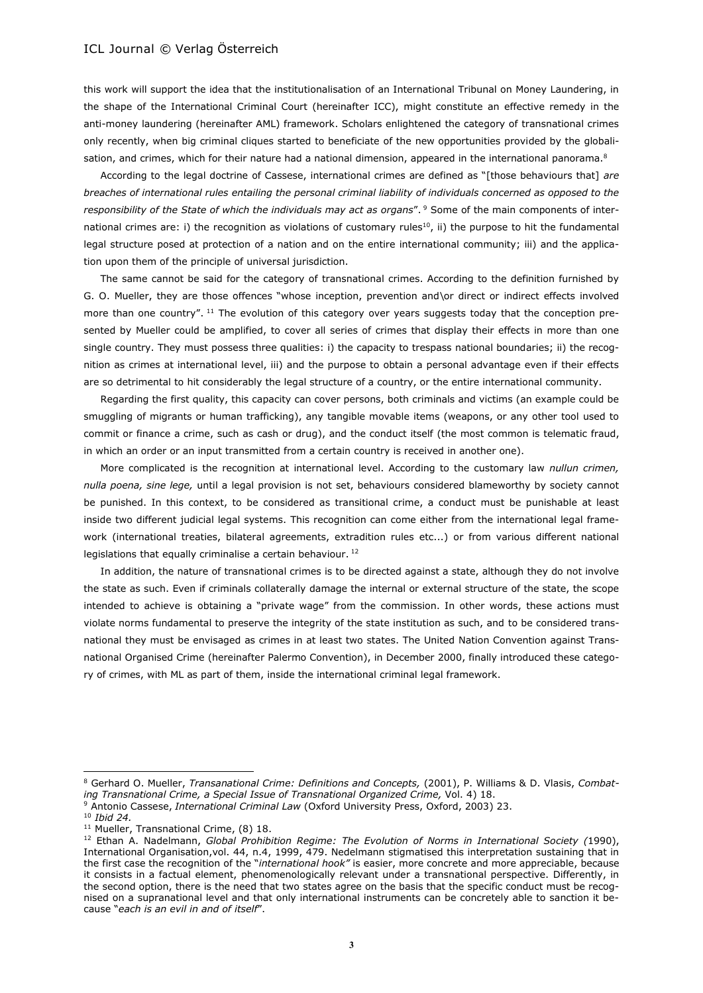this work will support the idea that the institutionalisation of an International Tribunal on Money Laundering, in the shape of the International Criminal Court (hereinafter ICC), might constitute an effective remedy in the anti-money laundering (hereinafter AML) framework. Scholars enlightened the category of transnational crimes only recently, when big criminal cliques started to beneficiate of the new opportunities provided by the globalisation, and crimes, which for their nature had a national dimension, appeared in the international panorama.<sup>8</sup>

According to the legal doctrine of Cassese, international crimes are defined as "[those behaviours that] *are breaches of international rules entailing the personal criminal liability of individuals concerned as opposed to the responsibility of the State of which the individuals may act as organs*". <sup>9</sup> Some of the main components of international crimes are: i) the recognition as violations of customary rules<sup>10</sup>, ii) the purpose to hit the fundamental legal structure posed at protection of a nation and on the entire international community; iii) and the application upon them of the principle of universal jurisdiction.

The same cannot be said for the category of transnational crimes. According to the definition furnished by G. O. Mueller, they are those offences "whose inception, prevention and\or direct or indirect effects involved more than one country". <sup>11</sup> The evolution of this category over years suggests today that the conception presented by Mueller could be amplified, to cover all series of crimes that display their effects in more than one single country. They must possess three qualities: i) the capacity to trespass national boundaries; ii) the recognition as crimes at international level, iii) and the purpose to obtain a personal advantage even if their effects are so detrimental to hit considerably the legal structure of a country, or the entire international community.

Regarding the first quality, this capacity can cover persons, both criminals and victims (an example could be smuggling of migrants or human trafficking), any tangible movable items (weapons, or any other tool used to commit or finance a crime, such as cash or drug), and the conduct itself (the most common is telematic fraud, in which an order or an input transmitted from a certain country is received in another one).

More complicated is the recognition at international level. According to the customary law *nullun crimen, nulla poena, sine lege,* until a legal provision is not set, behaviours considered blameworthy by society cannot be punished. In this context, to be considered as transitional crime, a conduct must be punishable at least inside two different judicial legal systems. This recognition can come either from the international legal framework (international treaties, bilateral agreements, extradition rules etc...) or from various different national legislations that equally criminalise a certain behaviour. <sup>12</sup>

In addition, the nature of transnational crimes is to be directed against a state, although they do not involve the state as such. Even if criminals collaterally damage the internal or external structure of the state, the scope intended to achieve is obtaining a "private wage" from the commission. In other words, these actions must violate norms fundamental to preserve the integrity of the state institution as such, and to be considered transnational they must be envisaged as crimes in at least two states. The United Nation Convention against Transnational Organised Crime (hereinafter Palermo Convention), in December 2000, finally introduced these category of crimes, with ML as part of them, inside the international criminal legal framework.

<sup>8</sup> Gerhard O. Mueller, *Transanational Crime: Definitions and Concepts,* (2001), P. Williams & D. Vlasis, *Combating Transnational Crime, a Special Issue of Transnational Organized Crime,* Vol. 4) 18.

<sup>9</sup> Antonio Cassese, *International Criminal Law* (Oxford University Press, Oxford, 2003) 23.

<sup>10</sup> *Ibid 24.* 

<sup>&</sup>lt;sup>11</sup> Mueller, Transnational Crime, (8) 18.

<sup>12</sup> Ethan A. Nadelmann, *Global Prohibition Regime: The Evolution of Norms in International Society (*1990), International Organisation,vol. 44, n.4, 1999, 479. Nedelmann stigmatised this interpretation sustaining that in the first case the recognition of the "*international hook"* is easier, more concrete and more appreciable, because it consists in a factual element, phenomenologically relevant under a transnational perspective. Differently, in the second option, there is the need that two states agree on the basis that the specific conduct must be recognised on a supranational level and that only international instruments can be concretely able to sanction it because "*each is an evil in and of itself*".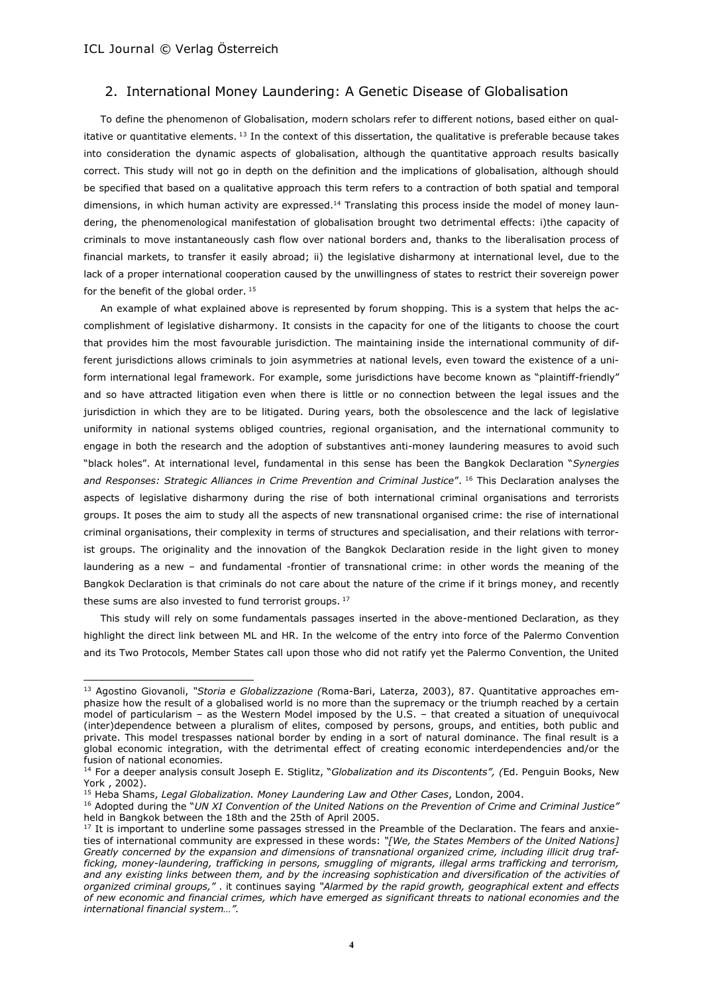$\overline{\phantom{a}}$ 

# 2. International Money Laundering: A Genetic Disease of Globalisation

To define the phenomenon of Globalisation, modern scholars refer to different notions, based either on qualitative or quantitative elements.  $13$  In the context of this dissertation, the qualitative is preferable because takes into consideration the dynamic aspects of globalisation, although the quantitative approach results basically correct. This study will not go in depth on the definition and the implications of globalisation, although should be specified that based on a qualitative approach this term refers to a contraction of both spatial and temporal dimensions, in which human activity are expressed.<sup>14</sup> Translating this process inside the model of money laundering, the phenomenological manifestation of globalisation brought two detrimental effects: i)the capacity of criminals to move instantaneously cash flow over national borders and, thanks to the liberalisation process of financial markets, to transfer it easily abroad; ii) the legislative disharmony at international level, due to the lack of a proper international cooperation caused by the unwillingness of states to restrict their sovereign power for the benefit of the global order. 15

An example of what explained above is represented by forum shopping. This is a system that helps the accomplishment of legislative disharmony. It consists in the capacity for one of the litigants to choose the court that provides him the most favourable jurisdiction. The maintaining inside the international community of different jurisdictions allows criminals to join asymmetries at national levels, even toward the existence of a uniform international legal framework. For example, some jurisdictions have become known as "plaintiff-friendly" and so have attracted litigation even when there is little or no connection between the legal issues and the jurisdiction in which they are to be litigated. During years, both the obsolescence and the lack of legislative uniformity in national systems obliged countries, regional organisation, and the international community to engage in both the research and the adoption of substantives anti-money laundering measures to avoid such "black holes". At international level, fundamental in this sense has been the Bangkok Declaration "*Synergies and Responses: Strategic Alliances in Crime Prevention and Criminal Justice*". <sup>16</sup> This Declaration analyses the aspects of legislative disharmony during the rise of both international criminal organisations and terrorists groups. It poses the aim to study all the aspects of new transnational organised crime: the rise of international criminal organisations, their complexity in terms of structures and specialisation, and their relations with terrorist groups. The originality and the innovation of the Bangkok Declaration reside in the light given to money laundering as a new – and fundamental -frontier of transnational crime: in other words the meaning of the Bangkok Declaration is that criminals do not care about the nature of the crime if it brings money, and recently these sums are also invested to fund terrorist groups.<sup>17</sup>

This study will rely on some fundamentals passages inserted in the above-mentioned Declaration, as they highlight the direct link between ML and HR. In the welcome of the entry into force of the Palermo Convention and its Two Protocols, Member States call upon those who did not ratify yet the Palermo Convention, the United

<sup>13</sup> Agostino Giovanoli, *"Storia e Globalizzazione (*Roma-Bari, Laterza, 2003), 87. Quantitative approaches emphasize how the result of a globalised world is no more than the supremacy or the triumph reached by a certain model of particularism – as the Western Model imposed by the U.S. – that created a situation of unequivocal (inter)dependence between a pluralism of elites, composed by persons, groups, and entities, both public and private. This model trespasses national border by ending in a sort of natural dominance. The final result is a global economic integration, with the detrimental effect of creating economic interdependencies and/or the fusion of national economies.

<sup>14</sup> For a deeper analysis consult Joseph E. Stiglitz, "*Globalization and its Discontents", (*Ed. Penguin Books, New York , 2002).

<sup>15</sup> Heba Shams, *Legal Globalization. Money Laundering Law and Other Cases*, London, 2004.

<sup>16</sup> Adopted during the "*UN XI Convention of the United Nations on the Prevention of Crime and Criminal Justice"*  held in Bangkok between the 18th and the 25th of April 2005.

<sup>&</sup>lt;sup>17</sup> It is important to underline some passages stressed in the Preamble of the Declaration. The fears and anxieties of international community are expressed in these words: *"[We, the States Members of the United Nations] Greatly concerned by the expansion and dimensions of transnational organized crime, including illicit drug trafficking, money-laundering, trafficking in persons, smuggling of migrants, illegal arms trafficking and terrorism, and any existing links between them, and by the increasing sophistication and diversification of the activities of organized criminal groups,"* . it continues saying *"Alarmed by the rapid growth, geographical extent and effects of new economic and financial crimes, which have emerged as significant threats to national economies and the international financial system…".*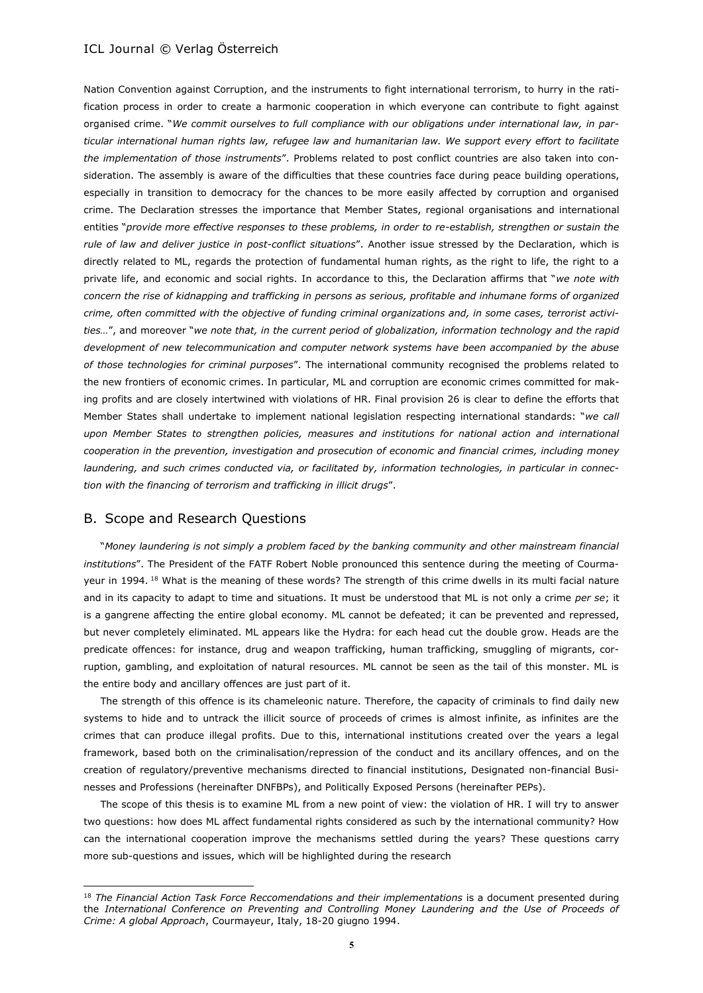Nation Convention against Corruption, and the instruments to fight international terrorism, to hurry in the ratification process in order to create a harmonic cooperation in which everyone can contribute to fight against organised crime. "*We commit ourselves to full compliance with our obligations under international law, in particular international human rights law, refugee law and humanitarian law. We support every effort to facilitate the implementation of those instruments*". Problems related to post conflict countries are also taken into consideration. The assembly is aware of the difficulties that these countries face during peace building operations, especially in transition to democracy for the chances to be more easily affected by corruption and organised crime. The Declaration stresses the importance that Member States, regional organisations and international entities "*provide more effective responses to these problems, in order to re-establish, strengthen or sustain the rule of law and deliver justice in post-conflict situations*". Another issue stressed by the Declaration, which is directly related to ML, regards the protection of fundamental human rights, as the right to life, the right to a private life, and economic and social rights. In accordance to this, the Declaration affirms that "*we note with concern the rise of kidnapping and trafficking in persons as serious, profitable and inhumane forms of organized crime, often committed with the objective of funding criminal organizations and, in some cases, terrorist activities…*", and moreover "*we note that, in the current period of globalization, information technology and the rapid development of new telecommunication and computer network systems have been accompanied by the abuse of those technologies for criminal purposes*". The international community recognised the problems related to the new frontiers of economic crimes. In particular, ML and corruption are economic crimes committed for making profits and are closely intertwined with violations of HR. Final provision 26 is clear to define the efforts that Member States shall undertake to implement national legislation respecting international standards: "*we call upon Member States to strengthen policies, measures and institutions for national action and international cooperation in the prevention, investigation and prosecution of economic and financial crimes, including money laundering, and such crimes conducted via, or facilitated by, information technologies, in particular in connection with the financing of terrorism and trafficking in illicit drugs*".

### B. Scope and Research Questions

l

"*Money laundering is not simply a problem faced by the banking community and other mainstream financial institutions*". The President of the FATF Robert Noble pronounced this sentence during the meeting of Courmayeur in 1994. <sup>18</sup> What is the meaning of these words? The strength of this crime dwells in its multi facial nature and in its capacity to adapt to time and situations. It must be understood that ML is not only a crime *per se*; it is a gangrene affecting the entire global economy. ML cannot be defeated; it can be prevented and repressed, but never completely eliminated. ML appears like the Hydra: for each head cut the double grow. Heads are the predicate offences: for instance, drug and weapon trafficking, human trafficking, smuggling of migrants, corruption, gambling, and exploitation of natural resources. ML cannot be seen as the tail of this monster. ML is the entire body and ancillary offences are just part of it.

The strength of this offence is its chameleonic nature. Therefore, the capacity of criminals to find daily new systems to hide and to untrack the illicit source of proceeds of crimes is almost infinite, as infinites are the crimes that can produce illegal profits. Due to this, international institutions created over the years a legal framework, based both on the criminalisation/repression of the conduct and its ancillary offences, and on the creation of regulatory/preventive mechanisms directed to financial institutions, Designated non-financial Businesses and Professions (hereinafter DNFBPs), and Politically Exposed Persons (hereinafter PEPs).

The scope of this thesis is to examine ML from a new point of view: the violation of HR. I will try to answer two questions: how does ML affect fundamental rights considered as such by the international community? How can the international cooperation improve the mechanisms settled during the years? These questions carry more sub-questions and issues, which will be highlighted during the research

<sup>&</sup>lt;sup>18</sup> The Financial Action Task Force Reccomendations and their implementations is a document presented during the *International Conference on Preventing and Controlling Money Laundering and the Use of Proceeds of Crime: A global Approach*, Courmayeur, Italy, 18-20 giugno 1994.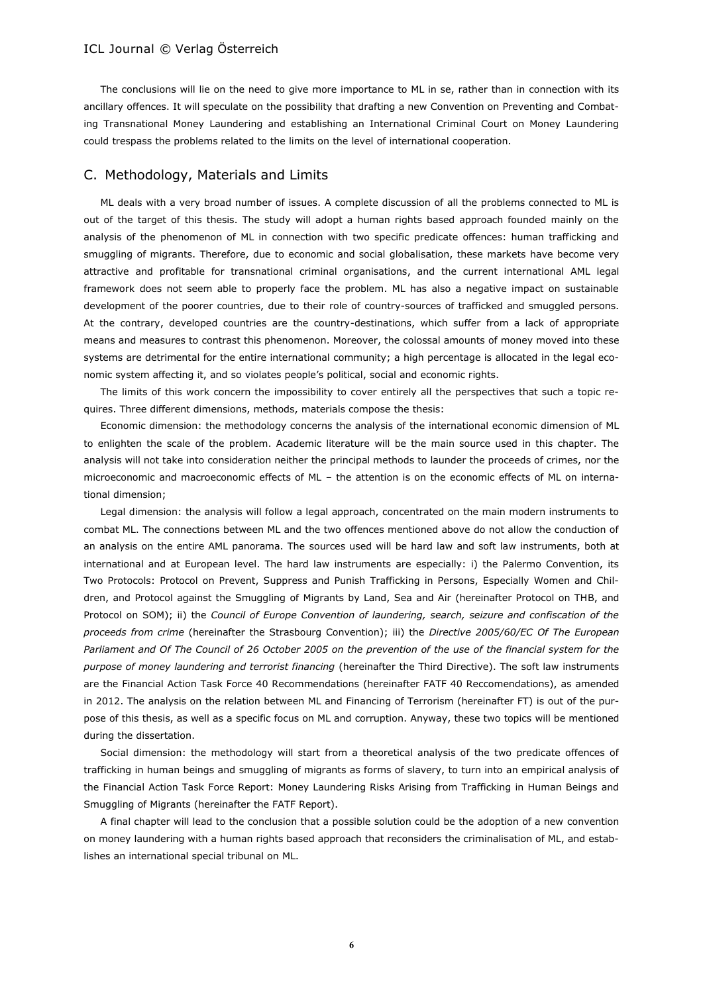The conclusions will lie on the need to give more importance to ML in se, rather than in connection with its ancillary offences. It will speculate on the possibility that drafting a new Convention on Preventing and Combating Transnational Money Laundering and establishing an International Criminal Court on Money Laundering could trespass the problems related to the limits on the level of international cooperation.

### C. Methodology, Materials and Limits

ML deals with a very broad number of issues. A complete discussion of all the problems connected to ML is out of the target of this thesis. The study will adopt a human rights based approach founded mainly on the analysis of the phenomenon of ML in connection with two specific predicate offences: human trafficking and smuggling of migrants. Therefore, due to economic and social globalisation, these markets have become very attractive and profitable for transnational criminal organisations, and the current international AML legal framework does not seem able to properly face the problem. ML has also a negative impact on sustainable development of the poorer countries, due to their role of country-sources of trafficked and smuggled persons. At the contrary, developed countries are the country-destinations, which suffer from a lack of appropriate means and measures to contrast this phenomenon. Moreover, the colossal amounts of money moved into these systems are detrimental for the entire international community; a high percentage is allocated in the legal economic system affecting it, and so violates people's political, social and economic rights.

The limits of this work concern the impossibility to cover entirely all the perspectives that such a topic requires. Three different dimensions, methods, materials compose the thesis:

Economic dimension: the methodology concerns the analysis of the international economic dimension of ML to enlighten the scale of the problem. Academic literature will be the main source used in this chapter. The analysis will not take into consideration neither the principal methods to launder the proceeds of crimes, nor the microeconomic and macroeconomic effects of ML – the attention is on the economic effects of ML on international dimension;

Legal dimension: the analysis will follow a legal approach, concentrated on the main modern instruments to combat ML. The connections between ML and the two offences mentioned above do not allow the conduction of an analysis on the entire AML panorama. The sources used will be hard law and soft law instruments, both at international and at European level. The hard law instruments are especially: i) the Palermo Convention, its Two Protocols: Protocol on Prevent, Suppress and Punish Trafficking in Persons, Especially Women and Children, and Protocol against the Smuggling of Migrants by Land, Sea and Air (hereinafter Protocol on THB, and Protocol on SOM); ii) the *Council of Europe Convention of laundering, search, seizure and confiscation of the proceeds from crime* (hereinafter the Strasbourg Convention); iii) the *Directive 2005/60/EC Of The European Parliament and Of The Council of 26 October 2005 on the prevention of the use of the financial system for the purpose of money laundering and terrorist financing* (hereinafter the Third Directive). The soft law instruments are the Financial Action Task Force 40 Recommendations (hereinafter FATF 40 Reccomendations), as amended in 2012. The analysis on the relation between ML and Financing of Terrorism (hereinafter FT) is out of the purpose of this thesis, as well as a specific focus on ML and corruption. Anyway, these two topics will be mentioned during the dissertation.

Social dimension: the methodology will start from a theoretical analysis of the two predicate offences of trafficking in human beings and smuggling of migrants as forms of slavery, to turn into an empirical analysis of the Financial Action Task Force Report: Money Laundering Risks Arising from Trafficking in Human Beings and Smuggling of Migrants (hereinafter the FATF Report).

A final chapter will lead to the conclusion that a possible solution could be the adoption of a new convention on money laundering with a human rights based approach that reconsiders the criminalisation of ML, and establishes an international special tribunal on ML.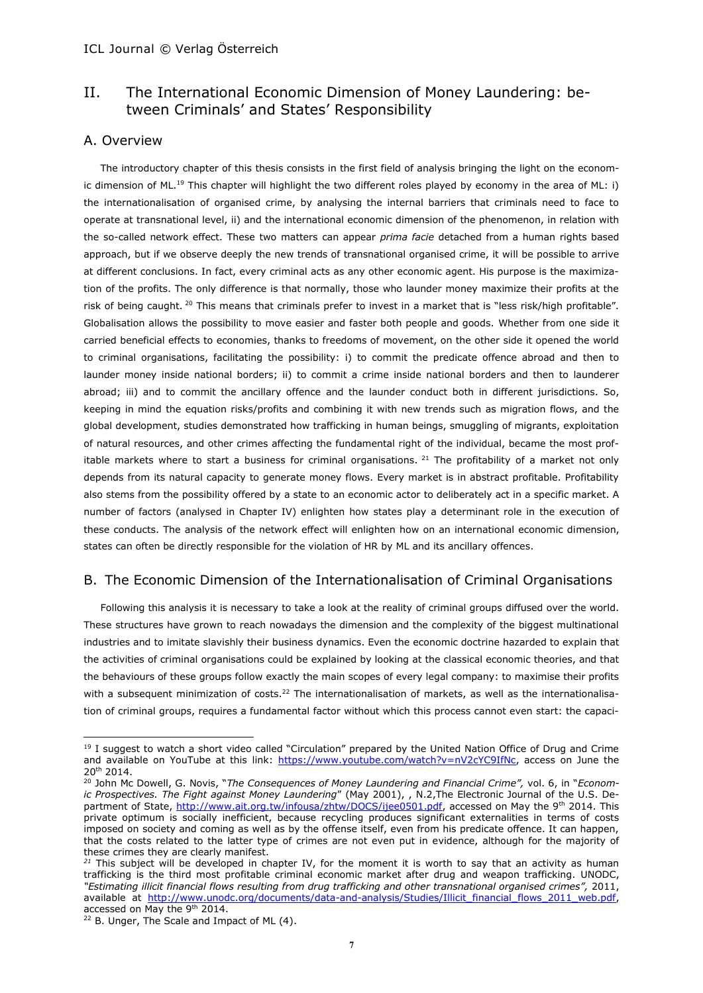# II. The International Economic Dimension of Money Laundering: between Criminals' and States' Responsibility

# A. Overview

The introductory chapter of this thesis consists in the first field of analysis bringing the light on the economic dimension of ML.<sup>19</sup> This chapter will highlight the two different roles played by economy in the area of ML: i) the internationalisation of organised crime, by analysing the internal barriers that criminals need to face to operate at transnational level, ii) and the international economic dimension of the phenomenon, in relation with the so-called network effect. These two matters can appear *prima facie* detached from a human rights based approach, but if we observe deeply the new trends of transnational organised crime, it will be possible to arrive at different conclusions. In fact, every criminal acts as any other economic agent. His purpose is the maximization of the profits. The only difference is that normally, those who launder money maximize their profits at the risk of being caught. <sup>20</sup> This means that criminals prefer to invest in a market that is "less risk/high profitable". Globalisation allows the possibility to move easier and faster both people and goods. Whether from one side it carried beneficial effects to economies, thanks to freedoms of movement, on the other side it opened the world to criminal organisations, facilitating the possibility: i) to commit the predicate offence abroad and then to launder money inside national borders; ii) to commit a crime inside national borders and then to launderer abroad; iii) and to commit the ancillary offence and the launder conduct both in different jurisdictions. So, keeping in mind the equation risks/profits and combining it with new trends such as migration flows, and the global development, studies demonstrated how trafficking in human beings, smuggling of migrants, exploitation of natural resources, and other crimes affecting the fundamental right of the individual, became the most profitable markets where to start a business for criminal organisations.  $^{21}$  The profitability of a market not only depends from its natural capacity to generate money flows. Every market is in abstract profitable. Profitability also stems from the possibility offered by a state to an economic actor to deliberately act in a specific market. A number of factors (analysed in Chapter IV) enlighten how states play a determinant role in the execution of these conducts. The analysis of the network effect will enlighten how on an international economic dimension, states can often be directly responsible for the violation of HR by ML and its ancillary offences.

# B. The Economic Dimension of the Internationalisation of Criminal Organisations

Following this analysis it is necessary to take a look at the reality of criminal groups diffused over the world. These structures have grown to reach nowadays the dimension and the complexity of the biggest multinational industries and to imitate slavishly their business dynamics. Even the economic doctrine hazarded to explain that the activities of criminal organisations could be explained by looking at the classical economic theories, and that the behaviours of these groups follow exactly the main scopes of every legal company: to maximise their profits with a subsequent minimization of costs.<sup>22</sup> The internationalisation of markets, as well as the internationalisation of criminal groups, requires a fundamental factor without which this process cannot even start: the capaci-

 $\overline{a}$ 

<sup>&</sup>lt;sup>19</sup> I suggest to watch a short video called "Circulation" prepared by the United Nation Office of Drug and Crime and available on YouTube at this link: [https://www.youtube.com/watch?v=nV2cYC9IfNc,](https://www.youtube.com/watch?v=nV2cYC9IfNc) access on June the 20th 2014.

<sup>20</sup> John Mc Dowell, G. Novis, "*The Consequences of Money Laundering and Financial Crime",* vol. 6, in "*Economic Prospectives. The Fight against Money Laundering*" (May 2001), , N.2,The Electronic Journal of the U.S. Department of State, [http://www.ait.org.tw/infousa/zhtw/DOCS/ijee0501.pdf,](http://www.ait.org.tw/infousa/zhtw/DOCS/ijee0501.pdf) accessed on May the 9th 2014. This private optimum is socially inefficient, because recycling produces significant externalities in terms of costs imposed on society and coming as well as by the offense itself, even from his predicate offence. It can happen, that the costs related to the latter type of crimes are not even put in evidence, although for the majority of these crimes they are clearly manifest.

*<sup>21</sup>* This subject will be developed in chapter IV, for the moment it is worth to say that an activity as human trafficking is the third most profitable criminal economic market after drug and weapon trafficking. UNODC, *"Estimating illicit financial flows resulting from drug trafficking and other transnational organised crimes",* 2011, available at [http://www.unodc.org/documents/data-and-analysis/Studies/Illicit\\_financial\\_flows\\_2011\\_web.pdf,](http://www.unodc.org/documents/data-and-analysis/Studies/Illicit_financial_flows_2011_web.pdf) accessed on May the 9th 2014.

 $22$  B. Unger, The Scale and Impact of ML (4).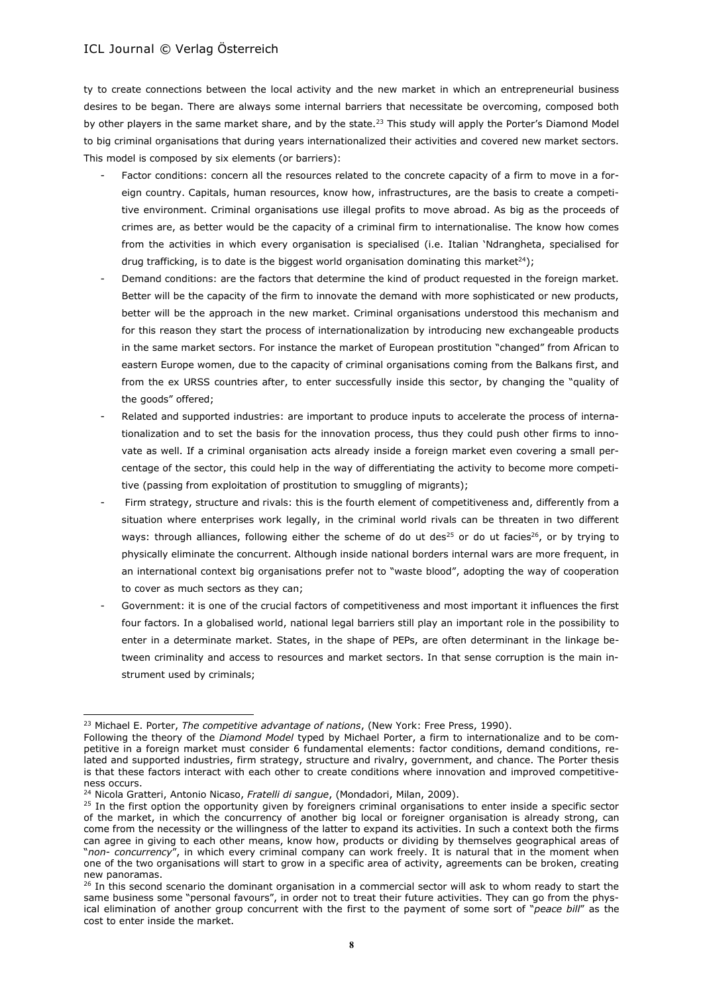ty to create connections between the local activity and the new market in which an entrepreneurial business desires to be began. There are always some internal barriers that necessitate be overcoming, composed both by other players in the same market share, and by the state.<sup>23</sup> This study will apply the Porter's Diamond Model to big criminal organisations that during years internationalized their activities and covered new market sectors. This model is composed by six elements (or barriers):

- Factor conditions: concern all the resources related to the concrete capacity of a firm to move in a foreign country. Capitals, human resources, know how, infrastructures, are the basis to create a competitive environment. Criminal organisations use illegal profits to move abroad. As big as the proceeds of crimes are, as better would be the capacity of a criminal firm to internationalise. The know how comes from the activities in which every organisation is specialised (i.e. Italian 'Ndrangheta, specialised for drug trafficking, is to date is the biggest world organisation dominating this market<sup>24</sup>);
- Demand conditions: are the factors that determine the kind of product requested in the foreign market. Better will be the capacity of the firm to innovate the demand with more sophisticated or new products, better will be the approach in the new market. Criminal organisations understood this mechanism and for this reason they start the process of internationalization by introducing new exchangeable products in the same market sectors. For instance the market of European prostitution "changed" from African to eastern Europe women, due to the capacity of criminal organisations coming from the Balkans first, and from the ex URSS countries after, to enter successfully inside this sector, by changing the "quality of the goods" offered;
- Related and supported industries: are important to produce inputs to accelerate the process of internationalization and to set the basis for the innovation process, thus they could push other firms to innovate as well. If a criminal organisation acts already inside a foreign market even covering a small percentage of the sector, this could help in the way of differentiating the activity to become more competitive (passing from exploitation of prostitution to smuggling of migrants);
- Firm strategy, structure and rivals: this is the fourth element of competitiveness and, differently from a situation where enterprises work legally, in the criminal world rivals can be threaten in two different ways: through alliances, following either the scheme of do ut des<sup>25</sup> or do ut facies<sup>26</sup>, or by trying to physically eliminate the concurrent. Although inside national borders internal wars are more frequent, in an international context big organisations prefer not to "waste blood", adopting the way of cooperation to cover as much sectors as they can;
- Government: it is one of the crucial factors of competitiveness and most important it influences the first four factors. In a globalised world, national legal barriers still play an important role in the possibility to enter in a determinate market. States, in the shape of PEPs, are often determinant in the linkage between criminality and access to resources and market sectors. In that sense corruption is the main instrument used by criminals;

l

<sup>23</sup> Michael E. Porter, *The competitive advantage of nations*, (New York: Free Press, 1990).

Following the theory of the *Diamond Model* typed by Michael Porter, a firm to internationalize and to be competitive in a foreign market must consider 6 fundamental elements: factor conditions, demand conditions, related and supported industries, firm strategy, structure and rivalry, government, and chance. The Porter thesis is that these factors interact with each other to create conditions where innovation and improved competitiveness occurs.

<sup>24</sup> Nicola Gratteri, Antonio Nicaso, *Fratelli di sangue*, (Mondadori, Milan, 2009).

<sup>&</sup>lt;sup>25</sup> In the first option the opportunity given by foreigners criminal organisations to enter inside a specific sector of the market, in which the concurrency of another big local or foreigner organisation is already strong, can come from the necessity or the willingness of the latter to expand its activities. In such a context both the firms can agree in giving to each other means, know how, products or dividing by themselves geographical areas of "*non- concurrency*", in which every criminal company can work freely. It is natural that in the moment when one of the two organisations will start to grow in a specific area of activity, agreements can be broken, creating new panoramas.

<sup>&</sup>lt;sup>26</sup> In this second scenario the dominant organisation in a commercial sector will ask to whom ready to start the same business some "personal favours", in order not to treat their future activities. They can go from the physical elimination of another group concurrent with the first to the payment of some sort of "*peace bill*" as the cost to enter inside the market.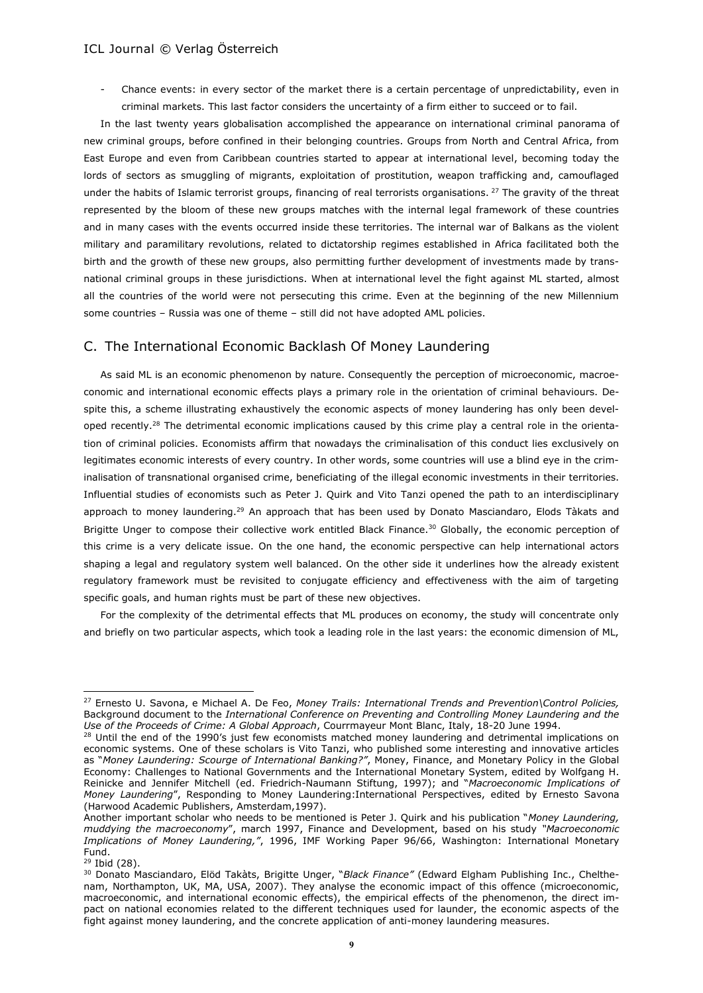Chance events: in every sector of the market there is a certain percentage of unpredictability, even in criminal markets. This last factor considers the uncertainty of a firm either to succeed or to fail.

In the last twenty years globalisation accomplished the appearance on international criminal panorama of new criminal groups, before confined in their belonging countries. Groups from North and Central Africa, from East Europe and even from Caribbean countries started to appear at international level, becoming today the lords of sectors as smuggling of migrants, exploitation of prostitution, weapon trafficking and, camouflaged under the habits of Islamic terrorist groups, financing of real terrorists organisations. <sup>27</sup> The gravity of the threat represented by the bloom of these new groups matches with the internal legal framework of these countries and in many cases with the events occurred inside these territories. The internal war of Balkans as the violent military and paramilitary revolutions, related to dictatorship regimes established in Africa facilitated both the birth and the growth of these new groups, also permitting further development of investments made by transnational criminal groups in these jurisdictions. When at international level the fight against ML started, almost all the countries of the world were not persecuting this crime. Even at the beginning of the new Millennium some countries – Russia was one of theme – still did not have adopted AML policies.

# C. The International Economic Backlash Of Money Laundering

As said ML is an economic phenomenon by nature. Consequently the perception of microeconomic, macroeconomic and international economic effects plays a primary role in the orientation of criminal behaviours. Despite this, a scheme illustrating exhaustively the economic aspects of money laundering has only been developed recently.<sup>28</sup> The detrimental economic implications caused by this crime play a central role in the orientation of criminal policies. Economists affirm that nowadays the criminalisation of this conduct lies exclusively on legitimates economic interests of every country. In other words, some countries will use a blind eye in the criminalisation of transnational organised crime, beneficiating of the illegal economic investments in their territories. Influential studies of economists such as Peter J. Quirk and Vito Tanzi opened the path to an interdisciplinary approach to money laundering.<sup>29</sup> An approach that has been used by Donato Masciandaro, Elods Tàkats and Brigitte Unger to compose their collective work entitled Black Finance.<sup>30</sup> Globally, the economic perception of this crime is a very delicate issue. On the one hand, the economic perspective can help international actors shaping a legal and regulatory system well balanced. On the other side it underlines how the already existent regulatory framework must be revisited to conjugate efficiency and effectiveness with the aim of targeting specific goals, and human rights must be part of these new objectives.

For the complexity of the detrimental effects that ML produces on economy, the study will concentrate only and briefly on two particular aspects, which took a leading role in the last years: the economic dimension of ML,

<sup>27</sup> Ernesto U. Savona, e Michael A. De Feo, *Money Trails: International Trends and Prevention\Control Policies,* Background document to the *International Conference on Preventing and Controlling Money Laundering and the Use of the Proceeds of Crime: A Global Approach*, Courrmayeur Mont Blanc, Italy, 18-20 June 1994.

<sup>&</sup>lt;sup>28</sup> Until the end of the 1990's just few economists matched money laundering and detrimental implications on economic systems. One of these scholars is Vito Tanzi, who published some interesting and innovative articles as "*Money Laundering: Scourge of International Banking?"*, Money, Finance, and Monetary Policy in the Global Economy: Challenges to National Governments and the International Monetary System, edited by Wolfgang H. Reinicke and Jennifer Mitchell (ed. Friedrich-Naumann Stiftung, 1997); and "*Macroeconomic Implications of Money Laundering*", Responding to Money Laundering:International Perspectives, edited by Ernesto Savona (Harwood Academic Publishers, Amsterdam,1997).

Another important scholar who needs to be mentioned is Peter J. Quirk and his publication "*Money Laundering, muddying the macroeconomy*", march 1997, Finance and Development, based on his study *"Macroeconomic Implications of Money Laundering,"*, 1996, IMF Working Paper 96/66, Washington: International Monetary Fund.

<sup>29</sup> Ibid (28).

<sup>30</sup> Donato Masciandaro, Elöd Takàts, Brigitte Unger, "*Black Finance"* (Edward Elgham Publishing Inc., Chelthenam, Northampton, UK, MA, USA, 2007). They analyse the economic impact of this offence (microeconomic, macroeconomic, and international economic effects), the empirical effects of the phenomenon, the direct impact on national economies related to the different techniques used for launder, the economic aspects of the fight against money laundering, and the concrete application of anti-money laundering measures.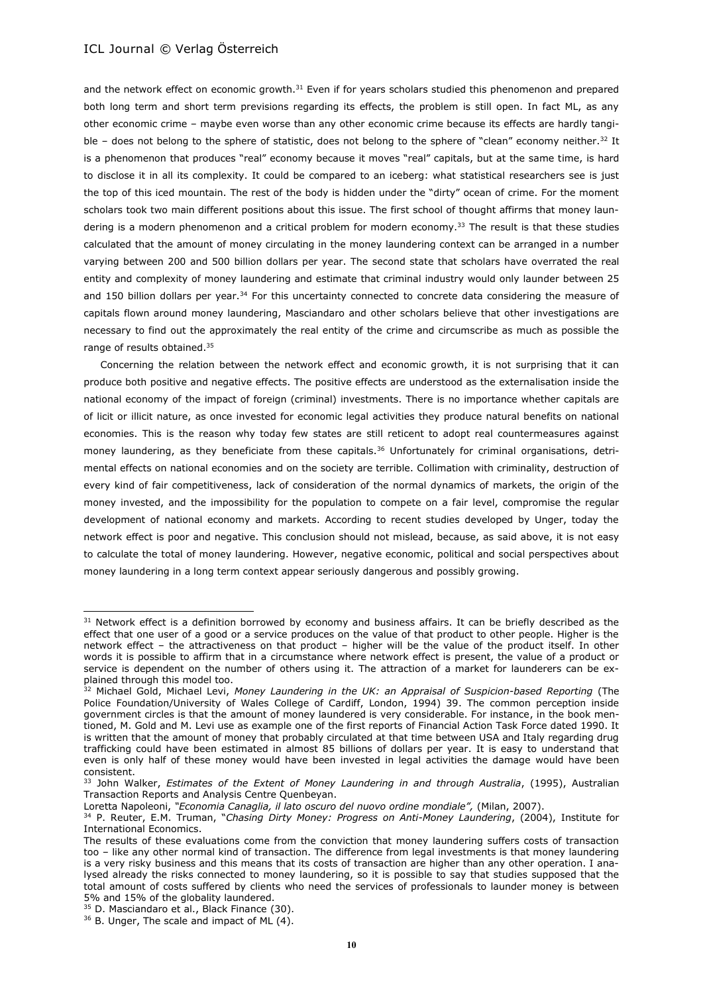and the network effect on economic growth.<sup>31</sup> Even if for years scholars studied this phenomenon and prepared both long term and short term previsions regarding its effects, the problem is still open. In fact ML, as any other economic crime – maybe even worse than any other economic crime because its effects are hardly tangible - does not belong to the sphere of statistic, does not belong to the sphere of "clean" economy neither.<sup>32</sup> It is a phenomenon that produces "real" economy because it moves "real" capitals, but at the same time, is hard to disclose it in all its complexity. It could be compared to an iceberg: what statistical researchers see is just the top of this iced mountain. The rest of the body is hidden under the "dirty" ocean of crime. For the moment scholars took two main different positions about this issue. The first school of thought affirms that money laundering is a modern phenomenon and a critical problem for modern economy.<sup>33</sup> The result is that these studies calculated that the amount of money circulating in the money laundering context can be arranged in a number varying between 200 and 500 billion dollars per year. The second state that scholars have overrated the real entity and complexity of money laundering and estimate that criminal industry would only launder between 25 and 150 billion dollars per year.<sup>34</sup> For this uncertainty connected to concrete data considering the measure of capitals flown around money laundering, Masciandaro and other scholars believe that other investigations are necessary to find out the approximately the real entity of the crime and circumscribe as much as possible the range of results obtained.<sup>35</sup>

Concerning the relation between the network effect and economic growth, it is not surprising that it can produce both positive and negative effects. The positive effects are understood as the externalisation inside the national economy of the impact of foreign (criminal) investments. There is no importance whether capitals are of licit or illicit nature, as once invested for economic legal activities they produce natural benefits on national economies. This is the reason why today few states are still reticent to adopt real countermeasures against money laundering, as they beneficiate from these capitals.<sup>36</sup> Unfortunately for criminal organisations, detrimental effects on national economies and on the society are terrible. Collimation with criminality, destruction of every kind of fair competitiveness, lack of consideration of the normal dynamics of markets, the origin of the money invested, and the impossibility for the population to compete on a fair level, compromise the regular development of national economy and markets. According to recent studies developed by Unger, today the network effect is poor and negative. This conclusion should not mislead, because, as said above, it is not easy to calculate the total of money laundering. However, negative economic, political and social perspectives about money laundering in a long term context appear seriously dangerous and possibly growing.

<sup>&</sup>lt;sup>31</sup> Network effect is a definition borrowed by economy and business affairs. It can be briefly described as the effect that one user of a good or a service produces on the value of that product to other people. Higher is the network effect – the attractiveness on that product – higher will be the value of the product itself. In other words it is possible to affirm that in a circumstance where network effect is present, the value of a product or service is dependent on the number of others using it. The attraction of a market for launderers can be explained through this model too.

<sup>&</sup>lt;sup>32</sup> Michael Gold, Michael Levi, Money Laundering in the UK: an Appraisal of Suspicion-based Reporting (The Police Foundation/University of Wales College of Cardiff, London, 1994) 39. The common perception inside government circles is that the amount of money laundered is very considerable. For instance, in the book mentioned, M. Gold and M. Levi use as example one of the first reports of Financial Action Task Force dated 1990. It is written that the amount of money that probably circulated at that time between USA and Italy regarding drug trafficking could have been estimated in almost 85 billions of dollars per year. It is easy to understand that even is only half of these money would have been invested in legal activities the damage would have been consistent.

<sup>33</sup> John Walker, *Estimates of the Extent of Money Laundering in and through Australia*, (1995), Australian Transaction Reports and Analysis Centre Quenbeyan.

Loretta Napoleoni, *"Economia Canaglia, il lato oscuro del nuovo ordine mondiale",* (Milan, 2007).

<sup>34</sup> P. Reuter, E.M. Truman, "*Chasing Dirty Money: Progress on Anti-Money Laundering*, (2004), Institute for International Economics.

The results of these evaluations come from the conviction that money laundering suffers costs of transaction too – like any other normal kind of transaction. The difference from legal investments is that money laundering is a very risky business and this means that its costs of transaction are higher than any other operation. I analysed already the risks connected to money laundering, so it is possible to say that studies supposed that the total amount of costs suffered by clients who need the services of professionals to launder money is between 5% and 15% of the globality laundered.

<sup>&</sup>lt;sup>35</sup> D. Masciandaro et al., Black Finance (30).

 $36$  B. Unger, The scale and impact of ML  $(4)$ .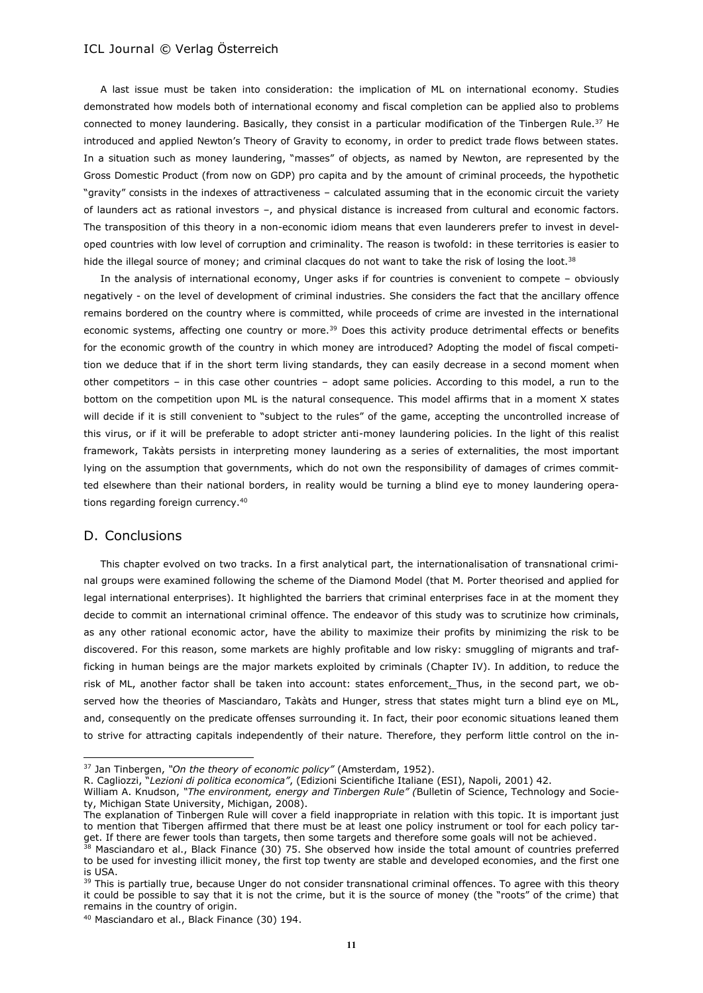A last issue must be taken into consideration: the implication of ML on international economy. Studies demonstrated how models both of international economy and fiscal completion can be applied also to problems connected to money laundering. Basically, they consist in a particular modification of the Tinbergen Rule.<sup>37</sup> He introduced and applied Newton's Theory of Gravity to economy, in order to predict trade flows between states. In a situation such as money laundering, "masses" of objects, as named by Newton, are represented by the Gross Domestic Product (from now on GDP) pro capita and by the amount of criminal proceeds, the hypothetic "gravity" consists in the indexes of attractiveness – calculated assuming that in the economic circuit the variety of launders act as rational investors –, and physical distance is increased from cultural and economic factors. The transposition of this theory in a non-economic idiom means that even launderers prefer to invest in developed countries with low level of corruption and criminality. The reason is twofold: in these territories is easier to hide the illegal source of money; and criminal clacques do not want to take the risk of losing the loot.<sup>38</sup>

In the analysis of international economy, Unger asks if for countries is convenient to compete – obviously negatively - on the level of development of criminal industries. She considers the fact that the ancillary offence remains bordered on the country where is committed, while proceeds of crime are invested in the international economic systems, affecting one country or more.<sup>39</sup> Does this activity produce detrimental effects or benefits for the economic growth of the country in which money are introduced? Adopting the model of fiscal competition we deduce that if in the short term living standards, they can easily decrease in a second moment when other competitors – in this case other countries – adopt same policies. According to this model, a run to the bottom on the competition upon ML is the natural consequence. This model affirms that in a moment X states will decide if it is still convenient to "subject to the rules" of the game, accepting the uncontrolled increase of this virus, or if it will be preferable to adopt stricter anti-money laundering policies. In the light of this realist framework, Takàts persists in interpreting money laundering as a series of externalities, the most important lying on the assumption that governments, which do not own the responsibility of damages of crimes committed elsewhere than their national borders, in reality would be turning a blind eye to money laundering operations regarding foreign currency.<sup>40</sup>

### D. Conclusions

 $\overline{\phantom{a}}$ 

This chapter evolved on two tracks. In a first analytical part, the internationalisation of transnational criminal groups were examined following the scheme of the Diamond Model (that M. Porter theorised and applied for legal international enterprises). It highlighted the barriers that criminal enterprises face in at the moment they decide to commit an international criminal offence. The endeavor of this study was to scrutinize how criminals, as any other rational economic actor, have the ability to maximize their profits by minimizing the risk to be discovered. For this reason, some markets are highly profitable and low risky: smuggling of migrants and trafficking in human beings are the major markets exploited by criminals (Chapter IV). In addition, to reduce the risk of ML, another factor shall be taken into account: states enforcement. Thus, in the second part, we observed how the theories of Masciandaro, Takàts and Hunger, stress that states might turn a blind eye on ML, and, consequently on the predicate offenses surrounding it. In fact, their poor economic situations leaned them to strive for attracting capitals independently of their nature. Therefore, they perform little control on the in-

<sup>37</sup> Jan Tinbergen, *"On the theory of economic policy"* (Amsterdam, 1952).

R. Cagliozzi, "*Lezioni di politica economica"*, (Edizioni Scientifiche Italiane (ESI), Napoli, 2001) 42.

William A. Knudson, *"The environment, energy and Tinbergen Rule" (*Bulletin of Science, Technology and Society, Michigan State University, Michigan, 2008).

The explanation of Tinbergen Rule will cover a field inappropriate in relation with this topic. It is important just to mention that Tibergen affirmed that there must be at least one policy instrument or tool for each policy target. If there are fewer tools than targets, then some targets and therefore some goals will not be achieved.

<sup>&</sup>lt;sup>38</sup> Masciandaro et al., Black Finance (30) 75. She observed how inside the total amount of countries preferred to be used for investing illicit money, the first top twenty are stable and developed economies, and the first one is USA.

<sup>&</sup>lt;sup>39</sup> This is partially true, because Unger do not consider transnational criminal offences. To agree with this theory it could be possible to say that it is not the crime, but it is the source of money (the "roots" of the crime) that remains in the country of origin.

<sup>40</sup> Masciandaro et al., Black Finance (30) 194.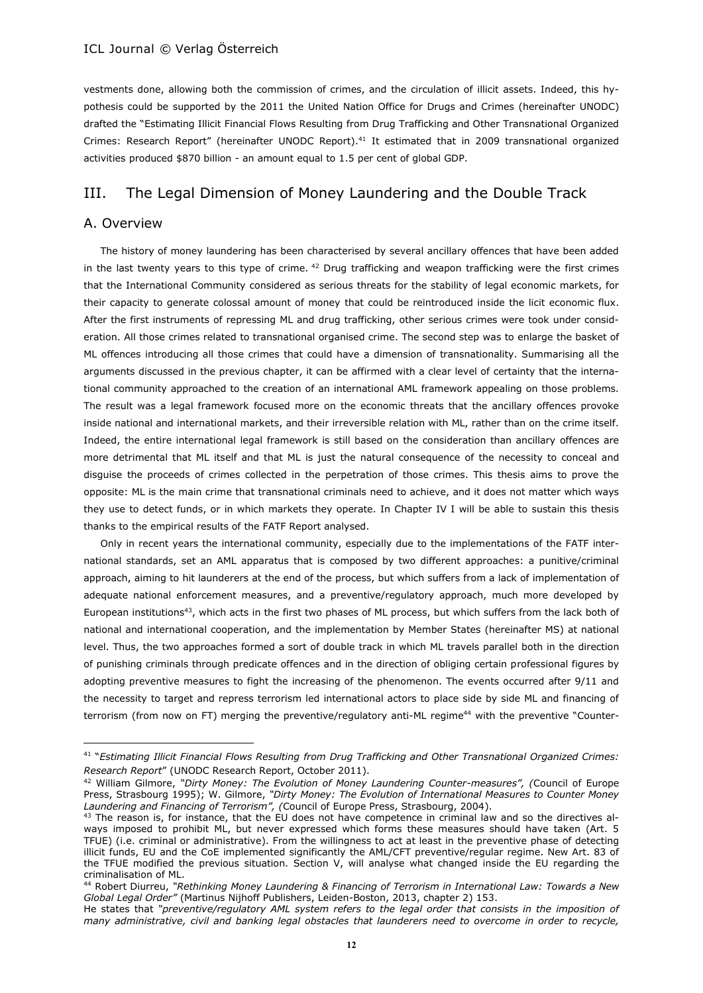vestments done, allowing both the commission of crimes, and the circulation of illicit assets. Indeed, this hypothesis could be supported by the 2011 the United Nation Office for Drugs and Crimes (hereinafter UNODC) drafted the "Estimating Illicit Financial Flows Resulting from Drug Trafficking and Other Transnational Organized Crimes: Research Report" (hereinafter UNODC Report).<sup>41</sup> It estimated that in 2009 transnational organized activities produced \$870 billion - an amount equal to 1.5 per cent of global GDP.

# III. The Legal Dimension of Money Laundering and the Double Track

### A. Overview

 $\overline{\phantom{a}}$ 

The history of money laundering has been characterised by several ancillary offences that have been added in the last twenty years to this type of crime.  $42$  Drug trafficking and weapon trafficking were the first crimes that the International Community considered as serious threats for the stability of legal economic markets, for their capacity to generate colossal amount of money that could be reintroduced inside the licit economic flux. After the first instruments of repressing ML and drug trafficking, other serious crimes were took under consideration. All those crimes related to transnational organised crime. The second step was to enlarge the basket of ML offences introducing all those crimes that could have a dimension of transnationality. Summarising all the arguments discussed in the previous chapter, it can be affirmed with a clear level of certainty that the international community approached to the creation of an international AML framework appealing on those problems. The result was a legal framework focused more on the economic threats that the ancillary offences provoke inside national and international markets, and their irreversible relation with ML, rather than on the crime itself. Indeed, the entire international legal framework is still based on the consideration than ancillary offences are more detrimental that ML itself and that ML is just the natural consequence of the necessity to conceal and disguise the proceeds of crimes collected in the perpetration of those crimes. This thesis aims to prove the opposite: ML is the main crime that transnational criminals need to achieve, and it does not matter which ways they use to detect funds, or in which markets they operate. In Chapter IV I will be able to sustain this thesis thanks to the empirical results of the FATF Report analysed.

Only in recent years the international community, especially due to the implementations of the FATF international standards, set an AML apparatus that is composed by two different approaches: a punitive/criminal approach, aiming to hit launderers at the end of the process, but which suffers from a lack of implementation of adequate national enforcement measures, and a preventive/regulatory approach, much more developed by European institutions<sup>43</sup>, which acts in the first two phases of ML process, but which suffers from the lack both of national and international cooperation, and the implementation by Member States (hereinafter MS) at national level. Thus, the two approaches formed a sort of double track in which ML travels parallel both in the direction of punishing criminals through predicate offences and in the direction of obliging certain professional figures by adopting preventive measures to fight the increasing of the phenomenon. The events occurred after 9/11 and the necessity to target and repress terrorism led international actors to place side by side ML and financing of terrorism (from now on FT) merging the preventive/regulatory anti-ML regime<sup>44</sup> with the preventive "Counter-

<sup>41</sup> "*Estimating Illicit Financial Flows Resulting from Drug Trafficking and Other Transnational Organized Crimes: Research Report*" (UNODC Research Report, October 2011).

<sup>42</sup> William Gilmore, *"Dirty Money: The Evolution of Money Laundering Counter-measures", (*Council of Europe Press, Strasbourg 1995); W. Gilmore, *"Dirty Money: The Evolution of International Measures to Counter Money Laundering and Financing of Terrorism", (*Council of Europe Press, Strasbourg, 2004).

<sup>&</sup>lt;sup>43</sup> The reason is, for instance, that the EU does not have competence in criminal law and so the directives always imposed to prohibit ML, but never expressed which forms these measures should have taken (Art. 5 TFUE) (i.e. criminal or administrative). From the willingness to act at least in the preventive phase of detecting illicit funds, EU and the CoE implemented significantly the AML/CFT preventive/regular regime. New Art. 83 of the TFUE modified the previous situation. Section V, will analyse what changed inside the EU regarding the criminalisation of ML.

<sup>44</sup> Robert Diurreu, *"Rethinking Money Laundering & Financing of Terrorism in International Law: Towards a New Global Legal Order"* (Martinus Nijhoff Publishers, Leiden-Boston, 2013, chapter 2) 153.

He states that *"preventive/regulatory AML system refers to the legal order that consists in the imposition of many administrative, civil and banking legal obstacles that launderers need to overcome in order to recycle,*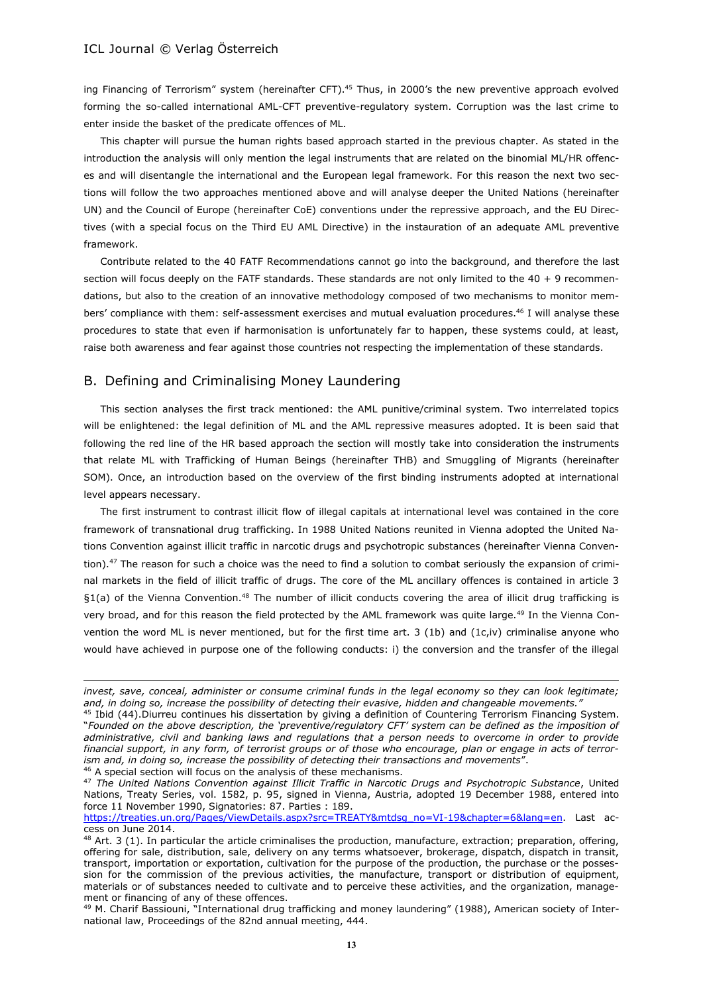ing Financing of Terrorism" system (hereinafter CFT).<sup>45</sup> Thus, in 2000's the new preventive approach evolved forming the so-called international AML-CFT preventive-regulatory system. Corruption was the last crime to enter inside the basket of the predicate offences of ML.

This chapter will pursue the human rights based approach started in the previous chapter. As stated in the introduction the analysis will only mention the legal instruments that are related on the binomial ML/HR offences and will disentangle the international and the European legal framework. For this reason the next two sections will follow the two approaches mentioned above and will analyse deeper the United Nations (hereinafter UN) and the Council of Europe (hereinafter CoE) conventions under the repressive approach, and the EU Directives (with a special focus on the Third EU AML Directive) in the instauration of an adequate AML preventive framework.

Contribute related to the 40 FATF Recommendations cannot go into the background, and therefore the last section will focus deeply on the FATF standards. These standards are not only limited to the 40 + 9 recommendations, but also to the creation of an innovative methodology composed of two mechanisms to monitor members' compliance with them: self-assessment exercises and mutual evaluation procedures.<sup>46</sup> I will analyse these procedures to state that even if harmonisation is unfortunately far to happen, these systems could, at least, raise both awareness and fear against those countries not respecting the implementation of these standards.

# B. Defining and Criminalising Money Laundering

This section analyses the first track mentioned: the AML punitive/criminal system. Two interrelated topics will be enlightened: the legal definition of ML and the AML repressive measures adopted. It is been said that following the red line of the HR based approach the section will mostly take into consideration the instruments that relate ML with Trafficking of Human Beings (hereinafter THB) and Smuggling of Migrants (hereinafter SOM). Once, an introduction based on the overview of the first binding instruments adopted at international level appears necessary.

The first instrument to contrast illicit flow of illegal capitals at international level was contained in the core framework of transnational drug trafficking. In 1988 United Nations reunited in Vienna adopted the United Nations Convention against illicit traffic in narcotic drugs and psychotropic substances (hereinafter Vienna Convention).<sup>47</sup> The reason for such a choice was the need to find a solution to combat seriously the expansion of criminal markets in the field of illicit traffic of drugs. The core of the ML ancillary offences is contained in article 3 §1(a) of the Vienna Convention.<sup>48</sup> The number of illicit conducts covering the area of illicit drug trafficking is very broad, and for this reason the field protected by the AML framework was quite large.<sup>49</sup> In the Vienna Convention the word ML is never mentioned, but for the first time art. 3 (1b) and (1c,iv) criminalise anyone who would have achieved in purpose one of the following conducts: i) the conversion and the transfer of the illegal

<sup>46</sup> A special section will focus on the analysis of these mechanisms.

*invest, save, conceal, administer or consume criminal funds in the legal economy so they can look legitimate; and, in doing so, increase the possibility of detecting their evasive, hidden and changeable movements."* 

<sup>&</sup>lt;sup>45</sup> Ibid (44). Diurreu continues his dissertation by giving a definition of Countering Terrorism Financing System. "*Founded on the above description, the 'preventive/regulatory CFT' system can be defined as the imposition of administrative, civil and banking laws and regulations that a person needs to overcome in order to provide financial support, in any form, of terrorist groups or of those who encourage, plan or engage in acts of terrorism and, in doing so, increase the possibility of detecting their transactions and movements*".

<sup>47</sup> *The United Nations Convention against Illicit Traffic in Narcotic Drugs and Psychotropic Substance*, United Nations, Treaty Series, vol. 1582, p. 95, signed in Vienna, Austria, adopted 19 December 1988, entered into force 11 November 1990, Signatories: 87. Parties : 189.

[https://treaties.un.org/Pages/ViewDetails.aspx?src=TREATY&mtdsg\\_no=VI-19&chapter=6&lang=en.](https://treaties.un.org/Pages/ViewDetails.aspx?src=TREATY&mtdsg_no=VI-19&chapter=6&lang=en) Last access on June 2014.

 $48$  Art. 3 (1). In particular the article criminalises the production, manufacture, extraction; preparation, offering, offering for sale, distribution, sale, delivery on any terms whatsoever, brokerage, dispatch, dispatch in transit, transport, importation or exportation, cultivation for the purpose of the production, the purchase or the possession for the commission of the previous activities, the manufacture, transport or distribution of equipment, materials or of substances needed to cultivate and to perceive these activities, and the organization, management or financing of any of these offences.

<sup>&</sup>lt;sup>49</sup> M. Charif Bassiouni, "International drug trafficking and money laundering" (1988), American society of International law, Proceedings of the 82nd annual meeting, 444.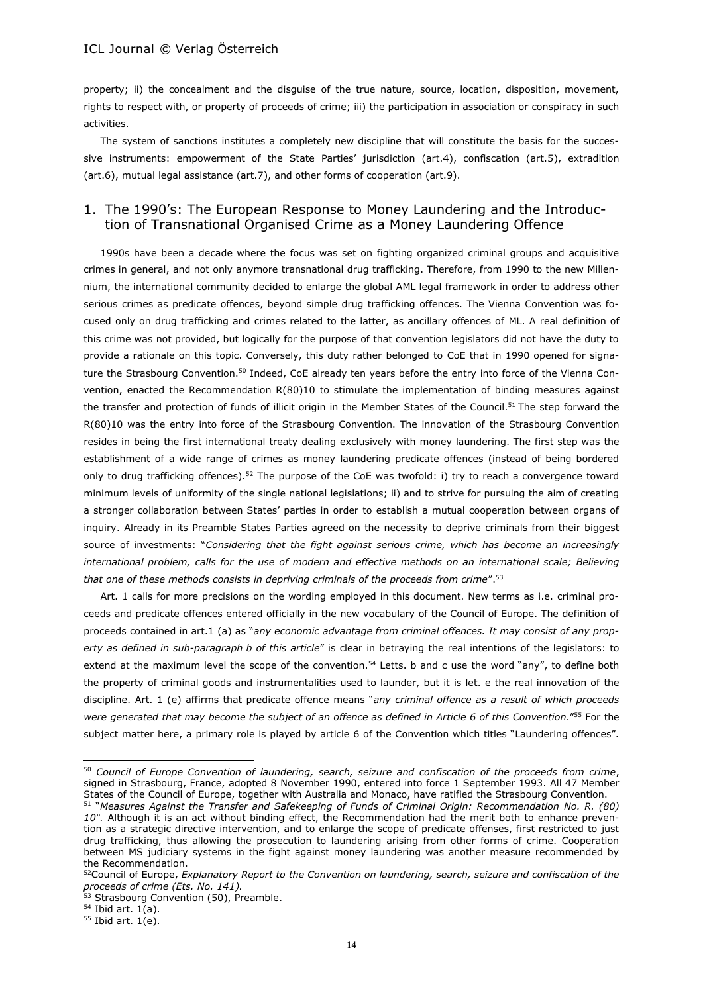property; ii) the concealment and the disguise of the true nature, source, location, disposition, movement, rights to respect with, or property of proceeds of crime; iii) the participation in association or conspiracy in such activities.

The system of sanctions institutes a completely new discipline that will constitute the basis for the successive instruments: empowerment of the State Parties' jurisdiction (art.4), confiscation (art.5), extradition (art.6), mutual legal assistance (art.7), and other forms of cooperation (art.9).

# 1. The 1990's: The European Response to Money Laundering and the Introduction of Transnational Organised Crime as a Money Laundering Offence

1990s have been a decade where the focus was set on fighting organized criminal groups and acquisitive crimes in general, and not only anymore transnational drug trafficking. Therefore, from 1990 to the new Millennium, the international community decided to enlarge the global AML legal framework in order to address other serious crimes as predicate offences, beyond simple drug trafficking offences. The Vienna Convention was focused only on drug trafficking and crimes related to the latter, as ancillary offences of ML. A real definition of this crime was not provided, but logically for the purpose of that convention legislators did not have the duty to provide a rationale on this topic. Conversely, this duty rather belonged to CoE that in 1990 opened for signature the Strasbourg Convention.<sup>50</sup> Indeed, CoE already ten years before the entry into force of the Vienna Convention, enacted the Recommendation R(80)10 to stimulate the implementation of binding measures against the transfer and protection of funds of illicit origin in the Member States of the Council.<sup>51</sup> The step forward the R(80)10 was the entry into force of the Strasbourg Convention. The innovation of the Strasbourg Convention resides in being the first international treaty dealing exclusively with money laundering. The first step was the establishment of a wide range of crimes as money laundering predicate offences (instead of being bordered only to drug trafficking offences).<sup>52</sup> The purpose of the CoE was twofold: i) try to reach a convergence toward minimum levels of uniformity of the single national legislations; ii) and to strive for pursuing the aim of creating a stronger collaboration between States' parties in order to establish a mutual cooperation between organs of inquiry. Already in its Preamble States Parties agreed on the necessity to deprive criminals from their biggest source of investments: "*Considering that the fight against serious crime, which has become an increasingly international problem, calls for the use of modern and effective methods on an international scale; Believing that one of these methods consists in depriving criminals of the proceeds from crime*".<sup>53</sup>

Art. 1 calls for more precisions on the wording employed in this document. New terms as i.e. criminal proceeds and predicate offences entered officially in the new vocabulary of the Council of Europe. The definition of proceeds contained in art.1 (a) as "*any economic advantage from criminal offences. It may consist of any property as defined in sub-paragraph b of this article*" is clear in betraying the real intentions of the legislators: to extend at the maximum level the scope of the convention.<sup>54</sup> Letts. b and c use the word "any", to define both the property of criminal goods and instrumentalities used to launder, but it is let. e the real innovation of the discipline. Art. 1 (e) affirms that predicate offence means "*any criminal offence as a result of which proceeds were generated that may become the subject of an offence as defined in Article 6 of this Convention*."<sup>55</sup> For the subject matter here, a primary role is played by article 6 of the Convention which titles "Laundering offences".

 $\overline{a}$ 

<sup>50</sup> *Council of Europe Convention of laundering, search, seizure and confiscation of the proceeds from crime*, signed in Strasbourg, France, adopted 8 November 1990, entered into force 1 September 1993. All 47 Member States of the Council of Europe, together with Australia and Monaco, have ratified the Strasbourg Convention.

<sup>&</sup>lt;sup>51</sup> "Measures Against the Transfer and Safekeeping of Funds of Criminal Origin: Recommendation No. R. (80) *10".* Although it is an act without binding effect, the Recommendation had the merit both to enhance prevention as a strategic directive intervention, and to enlarge the scope of predicate offenses, first restricted to just drug trafficking, thus allowing the prosecution to laundering arising from other forms of crime. Cooperation between MS judiciary systems in the fight against money laundering was another measure recommended by the Recommendation.

<sup>52</sup>Council of Europe, *Explanatory Report to the Convention on laundering, search, seizure and confiscation of the proceeds of crime (Ets. No. 141).*

 $53$  Strasbourg Convention (50), Preamble.

 $<sup>54</sup>$  Ibid art. 1(a).</sup>

 $55$  Ibid art.  $1(e)$ .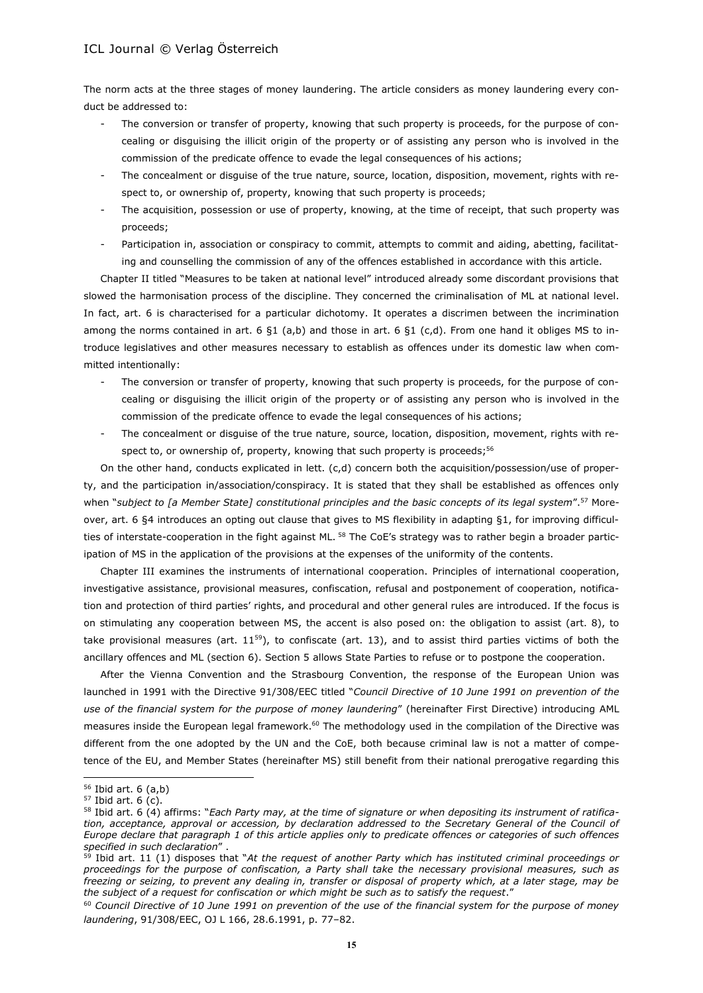The norm acts at the three stages of money laundering. The article considers as money laundering every conduct be addressed to:

- The conversion or transfer of property, knowing that such property is proceeds, for the purpose of concealing or disguising the illicit origin of the property or of assisting any person who is involved in the commission of the predicate offence to evade the legal consequences of his actions;
- The concealment or disquise of the true nature, source, location, disposition, movement, rights with respect to, or ownership of, property, knowing that such property is proceeds;
- The acquisition, possession or use of property, knowing, at the time of receipt, that such property was proceeds;
- Participation in, association or conspiracy to commit, attempts to commit and aiding, abetting, facilitating and counselling the commission of any of the offences established in accordance with this article.

Chapter II titled "Measures to be taken at national level" introduced already some discordant provisions that slowed the harmonisation process of the discipline. They concerned the criminalisation of ML at national level. In fact, art. 6 is characterised for a particular dichotomy. It operates a discrimen between the incrimination among the norms contained in art. 6  $\S1$  (a,b) and those in art. 6  $\S1$  (c,d). From one hand it obliges MS to introduce legislatives and other measures necessary to establish as offences under its domestic law when committed intentionally:

- The conversion or transfer of property, knowing that such property is proceeds, for the purpose of concealing or disguising the illicit origin of the property or of assisting any person who is involved in the commission of the predicate offence to evade the legal consequences of his actions;
- The concealment or disquise of the true nature, source, location, disposition, movement, rights with respect to, or ownership of, property, knowing that such property is proceeds;<sup>56</sup>

On the other hand, conducts explicated in lett. (c,d) concern both the acquisition/possession/use of property, and the participation in/association/conspiracy. It is stated that they shall be established as offences only when "*subject to [a Member State] constitutional principles and the basic concepts of its legal system*".<sup>57</sup> Moreover, art. 6 §4 introduces an opting out clause that gives to MS flexibility in adapting §1, for improving difficulties of interstate-cooperation in the fight against ML.<sup>58</sup> The CoE's strategy was to rather begin a broader participation of MS in the application of the provisions at the expenses of the uniformity of the contents.

Chapter III examines the instruments of international cooperation. Principles of international cooperation, investigative assistance, provisional measures, confiscation, refusal and postponement of cooperation, notification and protection of third parties' rights, and procedural and other general rules are introduced. If the focus is on stimulating any cooperation between MS, the accent is also posed on: the obligation to assist (art. 8), to take provisional measures (art.  $11^{59}$ ), to confiscate (art. 13), and to assist third parties victims of both the ancillary offences and ML (section 6). Section 5 allows State Parties to refuse or to postpone the cooperation.

After the Vienna Convention and the Strasbourg Convention, the response of the European Union was launched in 1991 with the Directive 91/308/EEC titled "*Council Directive of 10 June 1991 on prevention of the use of the financial system for the purpose of money laundering*" (hereinafter First Directive) introducing AML measures inside the European legal framework.<sup>60</sup> The methodology used in the compilation of the Directive was different from the one adopted by the UN and the CoE, both because criminal law is not a matter of competence of the EU, and Member States (hereinafter MS) still benefit from their national prerogative regarding this

<sup>56</sup> Ibid art. 6 (a,b)

 $57$  Ibid art. 6 (c).

<sup>58</sup> Ibid art. 6 (4) affirms: "*Each Party may, at the time of signature or when depositing its instrument of ratification, acceptance, approval or accession, by declaration addressed to the Secretary General of the Council of Europe declare that paragraph 1 of this article applies only to predicate offences or categories of such offences specified in such declaration*" .

<sup>59</sup> Ibid art. 11 (1) disposes that "*At the request of another Party which has instituted criminal proceedings or proceedings for the purpose of confiscation, a Party shall take the necessary provisional measures, such as freezing or seizing, to prevent any dealing in, transfer or disposal of property which, at a later stage, may be the subject of a request for confiscation or which might be such as to satisfy the request*."

<sup>60</sup> *Council Directive of 10 June 1991 on prevention of the use of the financial system for the purpose of money laundering*, 91/308/EEC, OJ L 166, 28.6.1991, p. 77–82.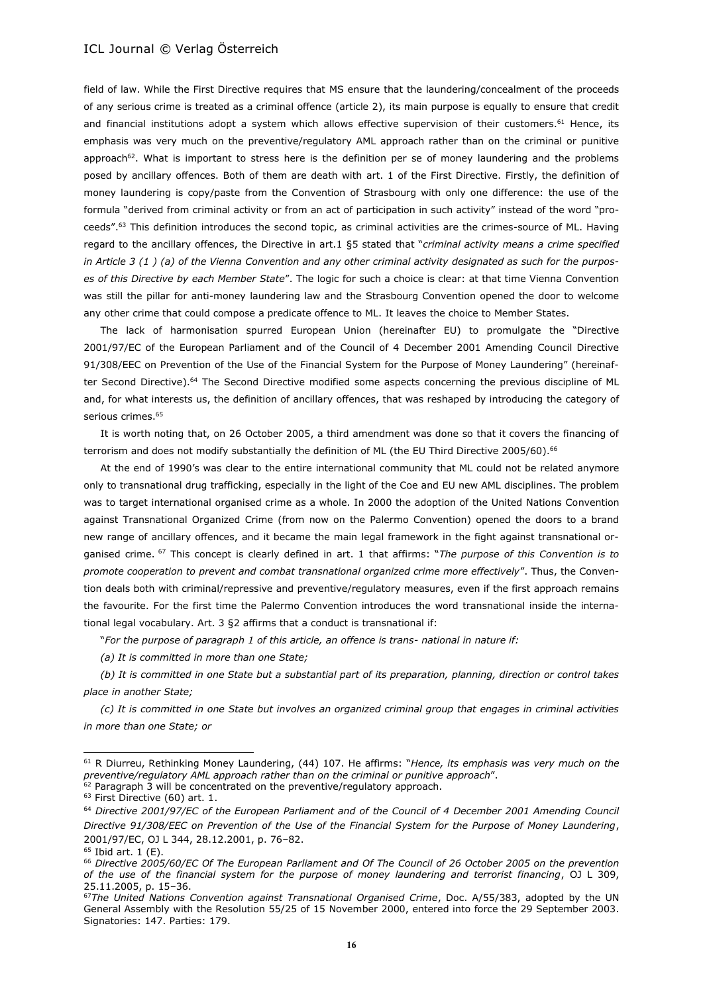field of law. While the First Directive requires that MS ensure that the laundering/concealment of the proceeds of any serious crime is treated as a criminal offence (article 2), its main purpose is equally to ensure that credit and financial institutions adopt a system which allows effective supervision of their customers.<sup>61</sup> Hence, its emphasis was very much on the preventive/regulatory AML approach rather than on the criminal or punitive approach<sup>62</sup>. What is important to stress here is the definition per se of money laundering and the problems posed by ancillary offences. Both of them are death with art. 1 of the First Directive. Firstly, the definition of money laundering is copy/paste from the Convention of Strasbourg with only one difference: the use of the formula "derived from criminal activity or from an act of participation in such activity" instead of the word "proceeds".<sup>63</sup> This definition introduces the second topic, as criminal activities are the crimes-source of ML. Having regard to the ancillary offences, the Directive in art.1 §5 stated that "*criminal activity means a crime specified in Article 3 (1 ) (a) of the Vienna Convention and any other criminal activity designated as such for the purposes of this Directive by each Member State*". The logic for such a choice is clear: at that time Vienna Convention was still the pillar for anti-money laundering law and the Strasbourg Convention opened the door to welcome any other crime that could compose a predicate offence to ML. It leaves the choice to Member States.

The lack of harmonisation spurred European Union (hereinafter EU) to promulgate the "Directive 2001/97/EC of the European Parliament and of the Council of 4 December 2001 Amending Council Directive 91/308/EEC on Prevention of the Use of the Financial System for the Purpose of Money Laundering" (hereinafter Second Directive).<sup>64</sup> The Second Directive modified some aspects concerning the previous discipline of ML and, for what interests us, the definition of ancillary offences, that was reshaped by introducing the category of serious crimes.<sup>65</sup>

It is worth noting that, on 26 October 2005, a third amendment was done so that it covers the financing of terrorism and does not modify substantially the definition of ML (the EU Third Directive 2005/60).<sup>66</sup>

At the end of 1990's was clear to the entire international community that ML could not be related anymore only to transnational drug trafficking, especially in the light of the Coe and EU new AML disciplines. The problem was to target international organised crime as a whole. In 2000 the adoption of the United Nations Convention against Transnational Organized Crime (from now on the Palermo Convention) opened the doors to a brand new range of ancillary offences, and it became the main legal framework in the fight against transnational organised crime. <sup>67</sup> This concept is clearly defined in art. 1 that affirms: "*The purpose of this Convention is to promote cooperation to prevent and combat transnational organized crime more effectively*". Thus, the Convention deals both with criminal/repressive and preventive/regulatory measures, even if the first approach remains the favourite. For the first time the Palermo Convention introduces the word transnational inside the international legal vocabulary. Art. 3 §2 affirms that a conduct is transnational if:

"*For the purpose of paragraph 1 of this article, an offence is trans- national in nature if:* 

*(a) It is committed in more than one State;*

*(b) It is committed in one State but a substantial part of its preparation, planning, direction or control takes place in another State;* 

*(c) It is committed in one State but involves an organized criminal group that engages in criminal activities in more than one State; or* 

 $62$  Paragraph 3 will be concentrated on the preventive/regulatory approach.

<sup>61</sup> R Diurreu, Rethinking Money Laundering, (44) 107. He affirms: "*Hence, its emphasis was very much on the preventive/regulatory AML approach rather than on the criminal or punitive approach*".

<sup>&</sup>lt;sup>63</sup> First Directive (60) art. 1.

<sup>64</sup> *Directive 2001/97/EC of the European Parliament and of the Council of 4 December 2001 Amending Council Directive 91/308/EEC on Prevention of the Use of the Financial System for the Purpose of Money Laundering*, 2001/97/EC, OJ L 344, 28.12.2001, p. 76–82.

 $65$  Ibid art. 1 (E).

<sup>66</sup> *Directive 2005/60/EC Of The European Parliament and Of The Council of 26 October 2005 on the prevention of the use of the financial system for the purpose of money laundering and terrorist financing*, OJ L 309, 25.11.2005, p. 15–36.

<sup>67</sup>*The United Nations Convention against Transnational Organised Crime*, Doc. A/55/383, adopted by the UN General Assembly with the Resolution 55/25 of 15 November 2000, entered into force the 29 September 2003. Signatories: 147. Parties: 179.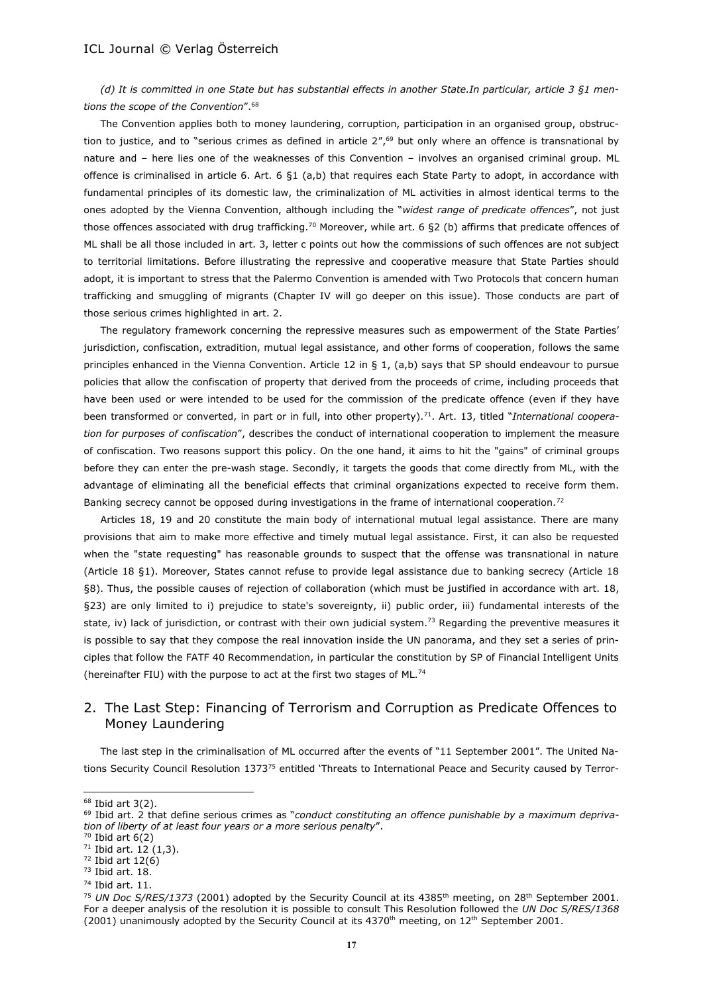*(d) It is committed in one State but has substantial effects in another State.In particular, article 3 §1 mentions the scope of the Convention*".<sup>68</sup>

The Convention applies both to money laundering, corruption, participation in an organised group, obstruction to justice, and to "serious crimes as defined in article  $2''$ ,<sup>69</sup> but only where an offence is transnational by nature and – here lies one of the weaknesses of this Convention – involves an organised criminal group. ML offence is criminalised in article 6. Art. 6 §1 (a,b) that requires each State Party to adopt, in accordance with fundamental principles of its domestic law, the criminalization of ML activities in almost identical terms to the ones adopted by the Vienna Convention, although including the "*widest range of predicate offences*", not just those offences associated with drug trafficking.<sup>70</sup> Moreover, while art. 6 §2 (b) affirms that predicate offences of ML shall be all those included in art. 3, letter c points out how the commissions of such offences are not subject to territorial limitations. Before illustrating the repressive and cooperative measure that State Parties should adopt, it is important to stress that the Palermo Convention is amended with Two Protocols that concern human trafficking and smuggling of migrants (Chapter IV will go deeper on this issue). Those conducts are part of those serious crimes highlighted in art. 2.

The regulatory framework concerning the repressive measures such as empowerment of the State Parties' jurisdiction, confiscation, extradition, mutual legal assistance, and other forms of cooperation, follows the same principles enhanced in the Vienna Convention. Article 12 in § 1, (a,b) says that SP should endeavour to pursue policies that allow the confiscation of property that derived from the proceeds of crime, including proceeds that have been used or were intended to be used for the commission of the predicate offence (even if they have been transformed or converted, in part or in full, into other property).<sup>71</sup>. Art. 13, titled "*International cooperation for purposes of confiscation*", describes the conduct of international cooperation to implement the measure of confiscation. Two reasons support this policy. On the one hand, it aims to hit the "gains" of criminal groups before they can enter the pre-wash stage. Secondly, it targets the goods that come directly from ML, with the advantage of eliminating all the beneficial effects that criminal organizations expected to receive form them. Banking secrecy cannot be opposed during investigations in the frame of international cooperation.<sup>72</sup>

Articles 18, 19 and 20 constitute the main body of international mutual legal assistance. There are many provisions that aim to make more effective and timely mutual legal assistance. First, it can also be requested when the "state requesting" has reasonable grounds to suspect that the offense was transnational in nature (Article 18 §1). Moreover, States cannot refuse to provide legal assistance due to banking secrecy (Article 18 §8). Thus, the possible causes of rejection of collaboration (which must be justified in accordance with art. 18, §23) are only limited to i) prejudice to state's sovereignty, ii) public order, iii) fundamental interests of the state, iv) lack of jurisdiction, or contrast with their own judicial system.<sup>73</sup> Regarding the preventive measures it is possible to say that they compose the real innovation inside the UN panorama, and they set a series of principles that follow the FATF 40 Recommendation, in particular the constitution by SP of Financial Intelligent Units (hereinafter FIU) with the purpose to act at the first two stages of ML.<sup>74</sup>

# 2. The Last Step: Financing of Terrorism and Corruption as Predicate Offences to Money Laundering

The last step in the criminalisation of ML occurred after the events of "11 September 2001". The United Nations Security Council Resolution 1373<sup>75</sup> entitled 'Threats to International Peace and Security caused by Terror-

 $68$  Ibid art 3(2).

<sup>&</sup>lt;sup>69</sup> Ibid art. 2 that define serious crimes as "conduct constituting an offence punishable by a maximum depriva*tion of liberty of at least four years or a more serious penalty*".

 $70$  Ibid art  $6(2)$ 

<sup>71</sup> Ibid art. 12 (1,3).

 $72$  Ibid art  $12(6)$ 

<sup>73</sup> Ibid art. 18.

<sup>74</sup> Ibid art. 11.

<sup>&</sup>lt;sup>75</sup> *UN Doc S/RES/1373* (2001) adopted by the Security Council at its 4385<sup>th</sup> meeting, on 28<sup>th</sup> September 2001. For a deeper analysis of the resolution it is possible to consult This Resolution followed the *UN Doc S/RES/1368* (2001) unanimously adopted by the Security Council at its 4370<sup>th</sup> meeting, on 12<sup>th</sup> September 2001.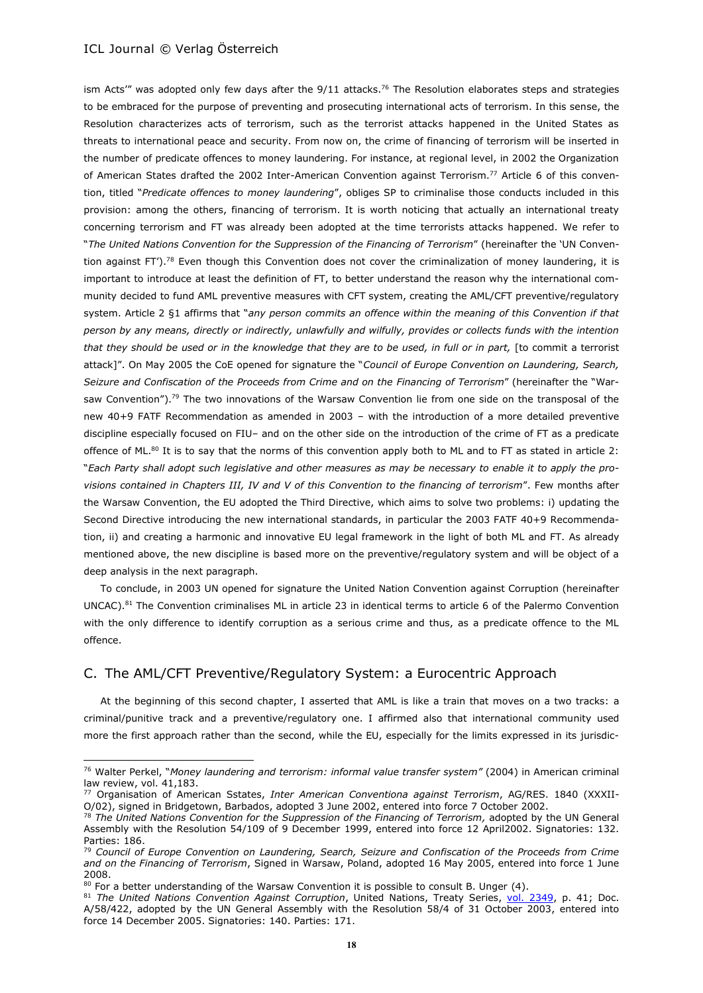$\overline{a}$ 

ism Acts''' was adopted only few days after the  $9/11$  attacks.<sup>76</sup> The Resolution elaborates steps and strategies to be embraced for the purpose of preventing and prosecuting international acts of terrorism. In this sense, the Resolution characterizes acts of terrorism, such as the terrorist attacks happened in the United States as threats to international peace and security. From now on, the crime of financing of terrorism will be inserted in the number of predicate offences to money laundering. For instance, at regional level, in 2002 the Organization of American States drafted the 2002 Inter-American Convention against Terrorism.<sup>77</sup> Article 6 of this convention, titled "*Predicate offences to money laundering*", obliges SP to criminalise those conducts included in this provision: among the others, financing of terrorism. It is worth noticing that actually an international treaty concerning terrorism and FT was already been adopted at the time terrorists attacks happened. We refer to "*The United Nations Convention for the Suppression of the Financing of Terrorism*" (hereinafter the 'UN Convention against FT').<sup>78</sup> Even though this Convention does not cover the criminalization of money laundering, it is important to introduce at least the definition of FT, to better understand the reason why the international community decided to fund AML preventive measures with CFT system, creating the AML/CFT preventive/regulatory system. Article 2 §1 affirms that "*any person commits an offence within the meaning of this Convention if that person by any means, directly or indirectly, unlawfully and wilfully, provides or collects funds with the intention that they should be used or in the knowledge that they are to be used, in full or in part,* [to commit a terrorist attack]". On May 2005 the CoE opened for signature the "*Council of Europe Convention on Laundering, Search, Seizure and Confiscation of the Proceeds from Crime and on the Financing of Terrorism*" (hereinafter the "Warsaw Convention").<sup>79</sup> The two innovations of the Warsaw Convention lie from one side on the transposal of the new 40+9 FATF Recommendation as amended in 2003 – with the introduction of a more detailed preventive discipline especially focused on FIU– and on the other side on the introduction of the crime of FT as a predicate offence of ML. $^{80}$  It is to say that the norms of this convention apply both to ML and to FT as stated in article 2: "*Each Party shall adopt such legislative and other measures as may be necessary to enable it to apply the provisions contained in Chapters III, IV and V of this Convention to the financing of terrorism*". Few months after the Warsaw Convention, the EU adopted the Third Directive, which aims to solve two problems: i) updating the Second Directive introducing the new international standards, in particular the 2003 FATF 40+9 Recommendation, ii) and creating a harmonic and innovative EU legal framework in the light of both ML and FT. As already mentioned above, the new discipline is based more on the preventive/regulatory system and will be object of a deep analysis in the next paragraph.

To conclude, in 2003 UN opened for signature the United Nation Convention against Corruption (hereinafter UNCAC).<sup>81</sup> The Convention criminalises ML in article 23 in identical terms to article 6 of the Palermo Convention with the only difference to identify corruption as a serious crime and thus, as a predicate offence to the ML offence.

# C. The AML/CFT Preventive/Regulatory System: a Eurocentric Approach

At the beginning of this second chapter, I asserted that AML is like a train that moves on a two tracks: a criminal/punitive track and a preventive/regulatory one. I affirmed also that international community used more the first approach rather than the second, while the EU, especially for the limits expressed in its jurisdic-

<sup>76</sup> Walter Perkel, "*Money laundering and terrorism: informal value transfer system"* (2004) in American criminal law review, vol. 41,183.

<sup>77</sup> Organisation of American Sstates, *Inter American Conventiona against Terrorism*, AG/RES. 1840 (XXXII-O/02), signed in Bridgetown, Barbados, adopted 3 June 2002, entered into force 7 October 2002.

<sup>78</sup> *The United Nations Convention for the Suppression of the Financing of Terrorism,* adopted by the UN General Assembly with the Resolution 54/109 of 9 December 1999, entered into force 12 April2002. Signatories: 132. Parties: 186.

<sup>79</sup> *Council of Europe Convention on Laundering, Search, Seizure and Confiscation of the Proceeds from Crime and on the Financing of Terrorism*, Signed in Warsaw, Poland, adopted 16 May 2005, entered into force 1 June 2008.

 $80$  For a better understanding of the Warsaw Convention it is possible to consult B. Unger (4).

<sup>81</sup> *The United Nations Convention Against Corruption*, United Nations, Treaty Series, [vol. 2349,](http://treaties.un.org/doc/Publication/UNTS/Volume%202349/v2349.pdf) p. 41; Doc. A/58/422, adopted by the UN General Assembly with the Resolution 58/4 of 31 October 2003, entered into force 14 December 2005. Signatories: 140. Parties: 171.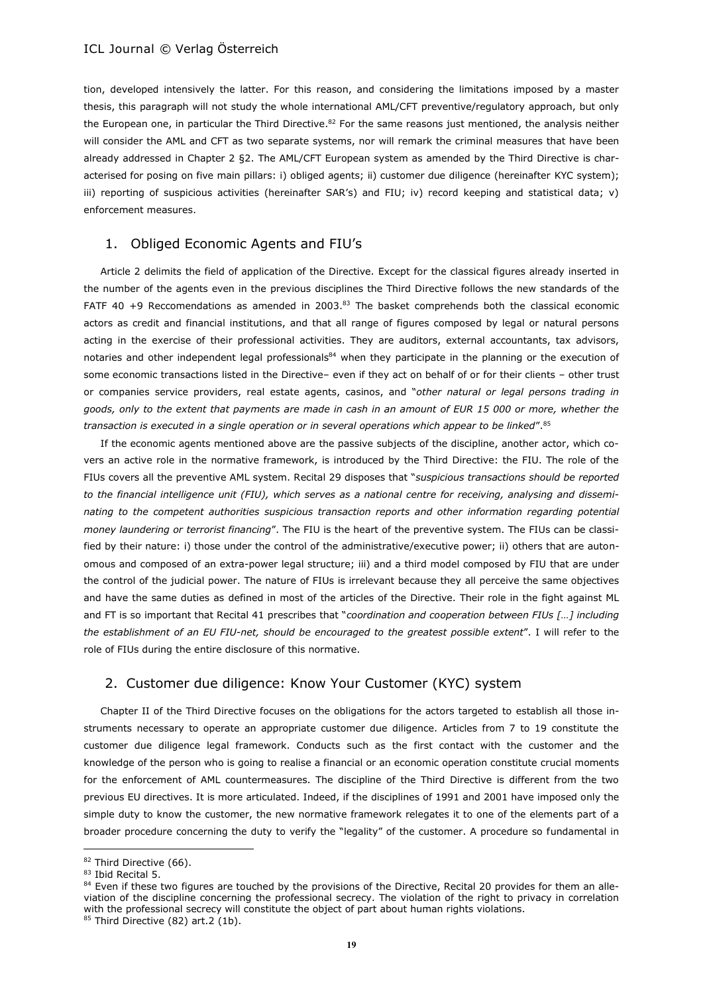tion, developed intensively the latter. For this reason, and considering the limitations imposed by a master thesis, this paragraph will not study the whole international AML/CFT preventive/regulatory approach, but only the European one, in particular the Third Directive.<sup>82</sup> For the same reasons just mentioned, the analysis neither will consider the AML and CFT as two separate systems, nor will remark the criminal measures that have been already addressed in Chapter 2 §2. The AML/CFT European system as amended by the Third Directive is characterised for posing on five main pillars: i) obliged agents; ii) customer due diligence (hereinafter KYC system); iii) reporting of suspicious activities (hereinafter SAR's) and FIU; iv) record keeping and statistical data; v) enforcement measures.

### 1. Obliged Economic Agents and FIU's

Article 2 delimits the field of application of the Directive. Except for the classical figures already inserted in the number of the agents even in the previous disciplines the Third Directive follows the new standards of the FATF 40 +9 Reccomendations as amended in 2003.<sup>83</sup> The basket comprehends both the classical economic actors as credit and financial institutions, and that all range of figures composed by legal or natural persons acting in the exercise of their professional activities. They are auditors, external accountants, tax advisors, notaries and other independent legal professionals<sup>84</sup> when they participate in the planning or the execution of some economic transactions listed in the Directive– even if they act on behalf of or for their clients – other trust or companies service providers, real estate agents, casinos, and "*other natural or legal persons trading in goods, only to the extent that payments are made in cash in an amount of EUR 15 000 or more, whether the transaction is executed in a single operation or in several operations which appear to be linked*".<sup>85</sup>

If the economic agents mentioned above are the passive subjects of the discipline, another actor, which covers an active role in the normative framework, is introduced by the Third Directive: the FIU. The role of the FIUs covers all the preventive AML system. Recital 29 disposes that "*suspicious transactions should be reported to the financial intelligence unit (FIU), which serves as a national centre for receiving, analysing and disseminating to the competent authorities suspicious transaction reports and other information regarding potential money laundering or terrorist financing*". The FIU is the heart of the preventive system. The FIUs can be classified by their nature: i) those under the control of the administrative/executive power; ii) others that are autonomous and composed of an extra-power legal structure; iii) and a third model composed by FIU that are under the control of the judicial power. The nature of FIUs is irrelevant because they all perceive the same objectives and have the same duties as defined in most of the articles of the Directive. Their role in the fight against ML and FT is so important that Recital 41 prescribes that "*coordination and cooperation between FIUs […] including the establishment of an EU FIU-net, should be encouraged to the greatest possible extent*". I will refer to the role of FIUs during the entire disclosure of this normative.

### 2. Customer due diligence: Know Your Customer (KYC) system

Chapter II of the Third Directive focuses on the obligations for the actors targeted to establish all those instruments necessary to operate an appropriate customer due diligence. Articles from 7 to 19 constitute the customer due diligence legal framework. Conducts such as the first contact with the customer and the knowledge of the person who is going to realise a financial or an economic operation constitute crucial moments for the enforcement of AML countermeasures. The discipline of the Third Directive is different from the two previous EU directives. It is more articulated. Indeed, if the disciplines of 1991 and 2001 have imposed only the simple duty to know the customer, the new normative framework relegates it to one of the elements part of a broader procedure concerning the duty to verify the "legality" of the customer. A procedure so fundamental in

l

<sup>82</sup> Third Directive (66).

<sup>83</sup> Ibid Recital 5.

 $84$  Even if these two figures are touched by the provisions of the Directive, Recital 20 provides for them an alleviation of the discipline concerning the professional secrecy. The violation of the right to privacy in correlation with the professional secrecy will constitute the object of part about human rights violations.

 $85$  Third Directive (82) art.2 (1b).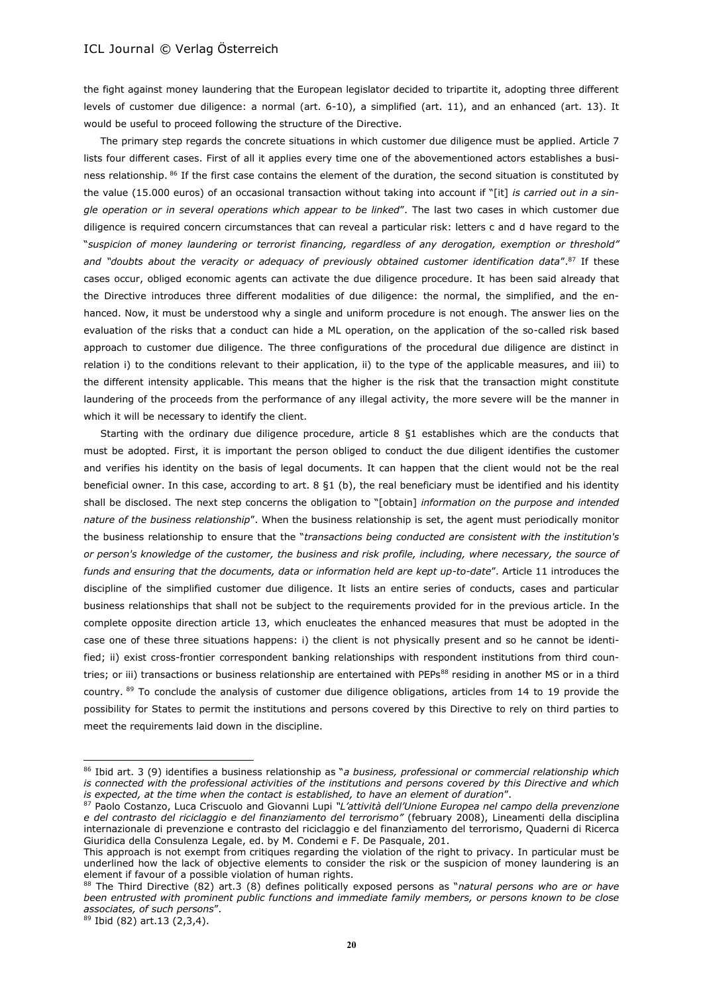the fight against money laundering that the European legislator decided to tripartite it, adopting three different levels of customer due diligence: a normal (art. 6-10), a simplified (art. 11), and an enhanced (art. 13). It would be useful to proceed following the structure of the Directive.

The primary step regards the concrete situations in which customer due diligence must be applied. Article 7 lists four different cases. First of all it applies every time one of the abovementioned actors establishes a business relationship. 86 If the first case contains the element of the duration, the second situation is constituted by the value (15.000 euros) of an occasional transaction without taking into account if "[it] *is carried out in a single operation or in several operations which appear to be linked*". The last two cases in which customer due diligence is required concern circumstances that can reveal a particular risk: letters c and d have regard to the "*suspicion of money laundering or terrorist financing, regardless of any derogation, exemption or threshold" and "doubts about the veracity or adequacy of previously obtained customer identification data*". <sup>87</sup> If these cases occur, obliged economic agents can activate the due diligence procedure. It has been said already that the Directive introduces three different modalities of due diligence: the normal, the simplified, and the enhanced. Now, it must be understood why a single and uniform procedure is not enough. The answer lies on the evaluation of the risks that a conduct can hide a ML operation, on the application of the so-called risk based approach to customer due diligence. The three configurations of the procedural due diligence are distinct in relation i) to the conditions relevant to their application, ii) to the type of the applicable measures, and iii) to the different intensity applicable. This means that the higher is the risk that the transaction might constitute laundering of the proceeds from the performance of any illegal activity, the more severe will be the manner in which it will be necessary to identify the client.

Starting with the ordinary due diligence procedure, article 8 §1 establishes which are the conducts that must be adopted. First, it is important the person obliged to conduct the due diligent identifies the customer and verifies his identity on the basis of legal documents. It can happen that the client would not be the real beneficial owner. In this case, according to art. 8 §1 (b), the real beneficiary must be identified and his identity shall be disclosed. The next step concerns the obligation to "[obtain] *information on the purpose and intended nature of the business relationship*". When the business relationship is set, the agent must periodically monitor the business relationship to ensure that the "*transactions being conducted are consistent with the institution's or person's knowledge of the customer, the business and risk profile, including, where necessary, the source of funds and ensuring that the documents, data or information held are kept up-to-date*". Article 11 introduces the discipline of the simplified customer due diligence. It lists an entire series of conducts, cases and particular business relationships that shall not be subject to the requirements provided for in the previous article. In the complete opposite direction article 13, which enucleates the enhanced measures that must be adopted in the case one of these three situations happens: i) the client is not physically present and so he cannot be identified; ii) exist cross-frontier correspondent banking relationships with respondent institutions from third countries; or iii) transactions or business relationship are entertained with PEPs<sup>88</sup> residing in another MS or in a third country.  $89$  To conclude the analysis of customer due diligence obligations, articles from 14 to 19 provide the possibility for States to permit the institutions and persons covered by this Directive to rely on third parties to meet the requirements laid down in the discipline.

 $\overline{a}$ 

<sup>86</sup> Ibid art. 3 (9) identifies a business relationship as "*a business, professional or commercial relationship which is connected with the professional activities of the institutions and persons covered by this Directive and which is expected, at the time when the contact is established, to have an element of duration*".

<sup>87</sup> Paolo Costanzo, Luca Criscuolo and Giovanni Lupi *"L'attività dell'Unione Europea nel campo della prevenzione e del contrasto del riciclaggio e del finanziamento del terrorismo"* (february 2008), Lineamenti della disciplina internazionale di prevenzione e contrasto del riciclaggio e del finanziamento del terrorismo, Quaderni di Ricerca Giuridica della Consulenza Legale, ed. by M. Condemi e F. De Pasquale, 201.

This approach is not exempt from critiques regarding the violation of the right to privacy. In particular must be underlined how the lack of objective elements to consider the risk or the suspicion of money laundering is an element if favour of a possible violation of human rights.

<sup>88</sup> The Third Directive (82) art.3 (8) defines politically exposed persons as "*natural persons who are or have been entrusted with prominent public functions and immediate family members, or persons known to be close associates, of such persons*".

 $89$  Ibid (82) art.13 (2,3,4).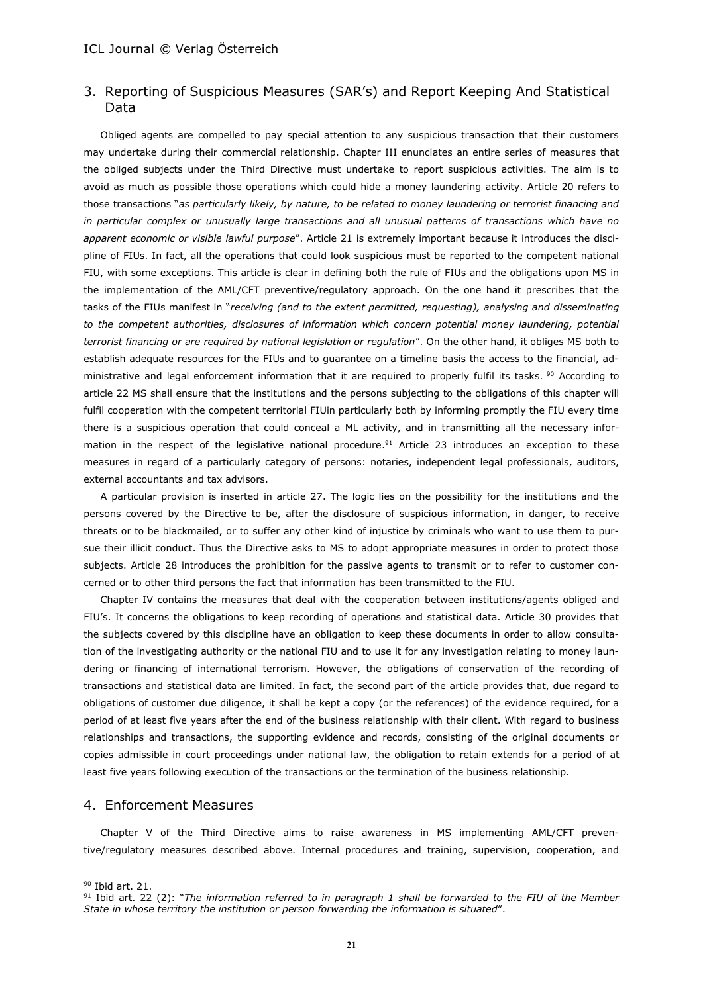# 3. Reporting of Suspicious Measures (SAR's) and Report Keeping And Statistical Data

Obliged agents are compelled to pay special attention to any suspicious transaction that their customers may undertake during their commercial relationship. Chapter III enunciates an entire series of measures that the obliged subjects under the Third Directive must undertake to report suspicious activities. The aim is to avoid as much as possible those operations which could hide a money laundering activity. Article 20 refers to those transactions "*as particularly likely, by nature, to be related to money laundering or terrorist financing and in particular complex or unusually large transactions and all unusual patterns of transactions which have no apparent economic or visible lawful purpose*". Article 21 is extremely important because it introduces the discipline of FIUs. In fact, all the operations that could look suspicious must be reported to the competent national FIU, with some exceptions. This article is clear in defining both the rule of FIUs and the obligations upon MS in the implementation of the AML/CFT preventive/regulatory approach. On the one hand it prescribes that the tasks of the FIUs manifest in "*receiving (and to the extent permitted, requesting), analysing and disseminating to the competent authorities, disclosures of information which concern potential money laundering, potential terrorist financing or are required by national legislation or regulation*". On the other hand, it obliges MS both to establish adequate resources for the FIUs and to guarantee on a timeline basis the access to the financial, administrative and legal enforcement information that it are required to properly fulfil its tasks. <sup>90</sup> According to article 22 MS shall ensure that the institutions and the persons subjecting to the obligations of this chapter will fulfil cooperation with the competent territorial FIUin particularly both by informing promptly the FIU every time there is a suspicious operation that could conceal a ML activity, and in transmitting all the necessary information in the respect of the legislative national procedure.<sup>91</sup> Article 23 introduces an exception to these measures in regard of a particularly category of persons: notaries, independent legal professionals, auditors, external accountants and tax advisors.

A particular provision is inserted in article 27. The logic lies on the possibility for the institutions and the persons covered by the Directive to be, after the disclosure of suspicious information, in danger, to receive threats or to be blackmailed, or to suffer any other kind of injustice by criminals who want to use them to pursue their illicit conduct. Thus the Directive asks to MS to adopt appropriate measures in order to protect those subjects. Article 28 introduces the prohibition for the passive agents to transmit or to refer to customer concerned or to other third persons the fact that information has been transmitted to the FIU.

Chapter IV contains the measures that deal with the cooperation between institutions/agents obliged and FIU's. It concerns the obligations to keep recording of operations and statistical data. Article 30 provides that the subjects covered by this discipline have an obligation to keep these documents in order to allow consultation of the investigating authority or the national FIU and to use it for any investigation relating to money laundering or financing of international terrorism. However, the obligations of conservation of the recording of transactions and statistical data are limited. In fact, the second part of the article provides that, due regard to obligations of customer due diligence, it shall be kept a copy (or the references) of the evidence required, for a period of at least five years after the end of the business relationship with their client. With regard to business relationships and transactions, the supporting evidence and records, consisting of the original documents or copies admissible in court proceedings under national law, the obligation to retain extends for a period of at least five years following execution of the transactions or the termination of the business relationship.

# 4. Enforcement Measures

Chapter V of the Third Directive aims to raise awareness in MS implementing AML/CFT preventive/regulatory measures described above. Internal procedures and training, supervision, cooperation, and

l

<sup>90</sup> Ibid art. 21.

<sup>91</sup> Ibid art. 22 (2): "*The information referred to in paragraph 1 shall be forwarded to the FIU of the Member State in whose territory the institution or person forwarding the information is situated*".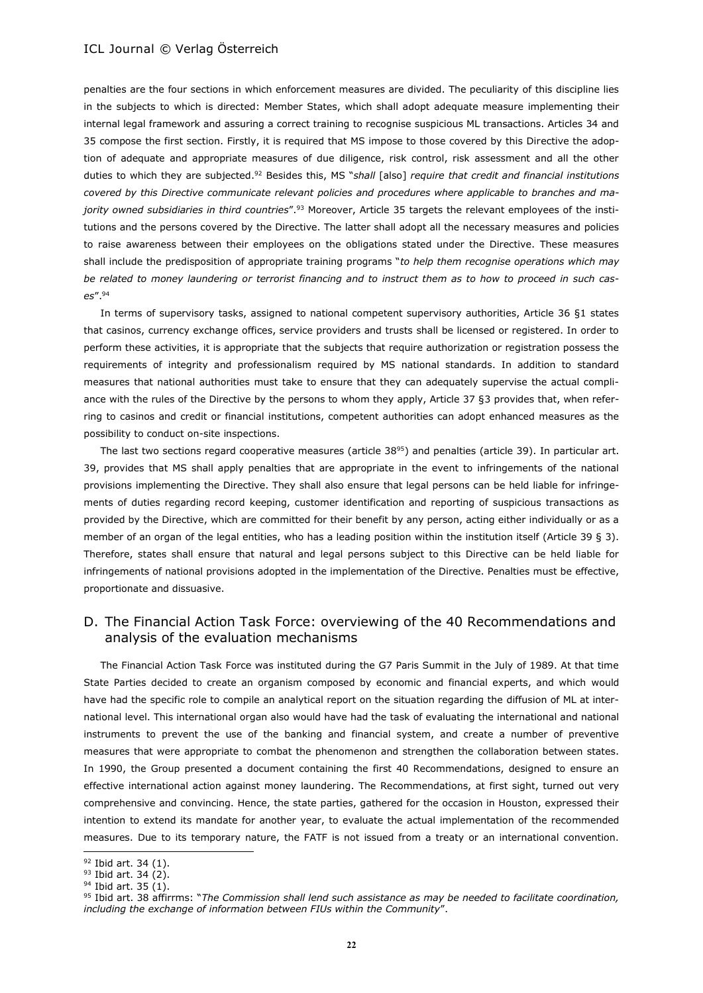penalties are the four sections in which enforcement measures are divided. The peculiarity of this discipline lies in the subjects to which is directed: Member States, which shall adopt adequate measure implementing their internal legal framework and assuring a correct training to recognise suspicious ML transactions. Articles 34 and 35 compose the first section. Firstly, it is required that MS impose to those covered by this Directive the adoption of adequate and appropriate measures of due diligence, risk control, risk assessment and all the other duties to which they are subjected. <sup>92</sup> Besides this, MS "*shall* [also] *require that credit and financial institutions covered by this Directive communicate relevant policies and procedures where applicable to branches and majority owned subsidiaries in third countries*".<sup>93</sup> Moreover, Article 35 targets the relevant employees of the institutions and the persons covered by the Directive. The latter shall adopt all the necessary measures and policies to raise awareness between their employees on the obligations stated under the Directive. These measures shall include the predisposition of appropriate training programs "*to help them recognise operations which may be related to money laundering or terrorist financing and to instruct them as to how to proceed in such cases*".<sup>94</sup>

In terms of supervisory tasks, assigned to national competent supervisory authorities, Article 36 §1 states that casinos, currency exchange offices, service providers and trusts shall be licensed or registered. In order to perform these activities, it is appropriate that the subjects that require authorization or registration possess the requirements of integrity and professionalism required by MS national standards. In addition to standard measures that national authorities must take to ensure that they can adequately supervise the actual compliance with the rules of the Directive by the persons to whom they apply, Article 37 §3 provides that, when referring to casinos and credit or financial institutions, competent authorities can adopt enhanced measures as the possibility to conduct on-site inspections.

The last two sections regard cooperative measures (article  $38^{95}$ ) and penalties (article 39). In particular art. 39, provides that MS shall apply penalties that are appropriate in the event to infringements of the national provisions implementing the Directive. They shall also ensure that legal persons can be held liable for infringements of duties regarding record keeping, customer identification and reporting of suspicious transactions as provided by the Directive, which are committed for their benefit by any person, acting either individually or as a member of an organ of the legal entities, who has a leading position within the institution itself (Article 39 § 3). Therefore, states shall ensure that natural and legal persons subject to this Directive can be held liable for infringements of national provisions adopted in the implementation of the Directive. Penalties must be effective, proportionate and dissuasive.

# D. The Financial Action Task Force: overviewing of the 40 Recommendations and analysis of the evaluation mechanisms

The Financial Action Task Force was instituted during the G7 Paris Summit in the July of 1989. At that time State Parties decided to create an organism composed by economic and financial experts, and which would have had the specific role to compile an analytical report on the situation regarding the diffusion of ML at international level. This international organ also would have had the task of evaluating the international and national instruments to prevent the use of the banking and financial system, and create a number of preventive measures that were appropriate to combat the phenomenon and strengthen the collaboration between states. In 1990, the Group presented a document containing the first 40 Recommendations, designed to ensure an effective international action against money laundering. The Recommendations, at first sight, turned out very comprehensive and convincing. Hence, the state parties, gathered for the occasion in Houston, expressed their intention to extend its mandate for another year, to evaluate the actual implementation of the recommended measures. Due to its temporary nature, the FATF is not issued from a treaty or an international convention.

<sup>&</sup>lt;sup>92</sup> Ibid art. 34 (1).

 $93$  Ibid art. 34 (2).

<sup>&</sup>lt;sup>94</sup> Ibid art. 35 (1).

<sup>95</sup> Ibid art. 38 affirrms: "*The Commission shall lend such assistance as may be needed to facilitate coordination, including the exchange of information between FIUs within the Community*".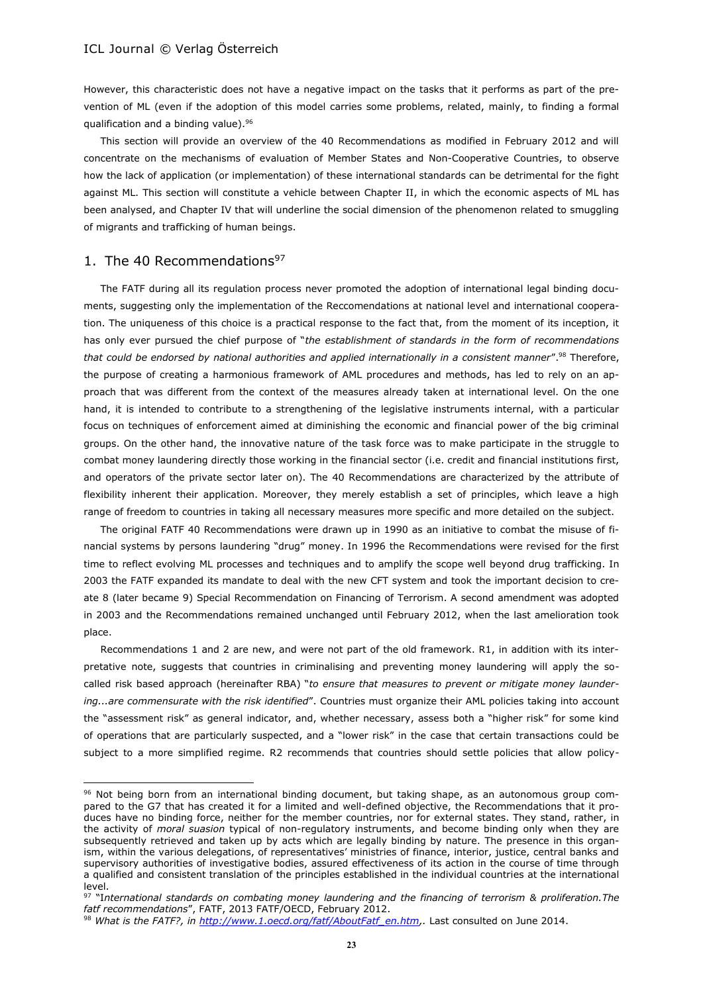However, this characteristic does not have a negative impact on the tasks that it performs as part of the prevention of ML (even if the adoption of this model carries some problems, related, mainly, to finding a formal qualification and a binding value).<sup>96</sup>

This section will provide an overview of the 40 Recommendations as modified in February 2012 and will concentrate on the mechanisms of evaluation of Member States and Non-Cooperative Countries, to observe how the lack of application (or implementation) of these international standards can be detrimental for the fight against ML. This section will constitute a vehicle between Chapter II, in which the economic aspects of ML has been analysed, and Chapter IV that will underline the social dimension of the phenomenon related to smuggling of migrants and trafficking of human beings.

#### 1. The 40 Recommendations $97$

 $\overline{\phantom{a}}$ 

The FATF during all its regulation process never promoted the adoption of international legal binding documents, suggesting only the implementation of the Reccomendations at national level and international cooperation. The uniqueness of this choice is a practical response to the fact that, from the moment of its inception, it has only ever pursued the chief purpose of "*the establishment of standards in the form of recommendations that could be endorsed by national authorities and applied internationally in a consistent manner*".<sup>98</sup> Therefore, the purpose of creating a harmonious framework of AML procedures and methods, has led to rely on an approach that was different from the context of the measures already taken at international level. On the one hand, it is intended to contribute to a strengthening of the legislative instruments internal, with a particular focus on techniques of enforcement aimed at diminishing the economic and financial power of the big criminal groups. On the other hand, the innovative nature of the task force was to make participate in the struggle to combat money laundering directly those working in the financial sector (i.e. credit and financial institutions first, and operators of the private sector later on). The 40 Recommendations are characterized by the attribute of flexibility inherent their application. Moreover, they merely establish a set of principles, which leave a high range of freedom to countries in taking all necessary measures more specific and more detailed on the subject.

The original FATF 40 Recommendations were drawn up in 1990 as an initiative to combat the misuse of financial systems by persons laundering "drug" money. In 1996 the Recommendations were revised for the first time to reflect evolving ML processes and techniques and to amplify the scope well beyond drug trafficking. In 2003 the FATF expanded its mandate to deal with the new CFT system and took the important decision to create 8 (later became 9) Special Recommendation on Financing of Terrorism. A second amendment was adopted in 2003 and the Recommendations remained unchanged until February 2012, when the last amelioration took place.

Recommendations 1 and 2 are new, and were not part of the old framework. R1, in addition with its interpretative note, suggests that countries in criminalising and preventing money laundering will apply the socalled risk based approach (hereinafter RBA) "*to ensure that measures to prevent or mitigate money laundering...are commensurate with the risk identified*". Countries must organize their AML policies taking into account the "assessment risk" as general indicator, and, whether necessary, assess both a "higher risk" for some kind of operations that are particularly suspected, and a "lower risk" in the case that certain transactions could be subject to a more simplified regime. R2 recommends that countries should settle policies that allow policy-

<sup>96</sup> Not being born from an international binding document, but taking shape, as an autonomous group compared to the G7 that has created it for a limited and well-defined objective, the Recommendations that it produces have no binding force, neither for the member countries, nor for external states. They stand, rather, in the activity of *moral suasion* typical of non-regulatory instruments, and become binding only when they are subsequently retrieved and taken up by acts which are legally binding by nature. The presence in this organism, within the various delegations, of representatives' ministries of finance, interior, justice, central banks and supervisory authorities of investigative bodies, assured effectiveness of its action in the course of time through a qualified and consistent translation of the principles established in the individual countries at the international level.

<sup>97</sup> "I*nternational standards on combating money laundering and the financing of terrorism & proliferation.The fatf recommendations*", FATF, 2013 FATF/OECD, February 2012.

<sup>98</sup> *What is the FATF?, in [http://www.1.oecd.org/fatf/AboutFatf\\_en.htm,](http://www.1.oecd.org/fatf/AboutFatf_en.htm).* Last consulted on June 2014.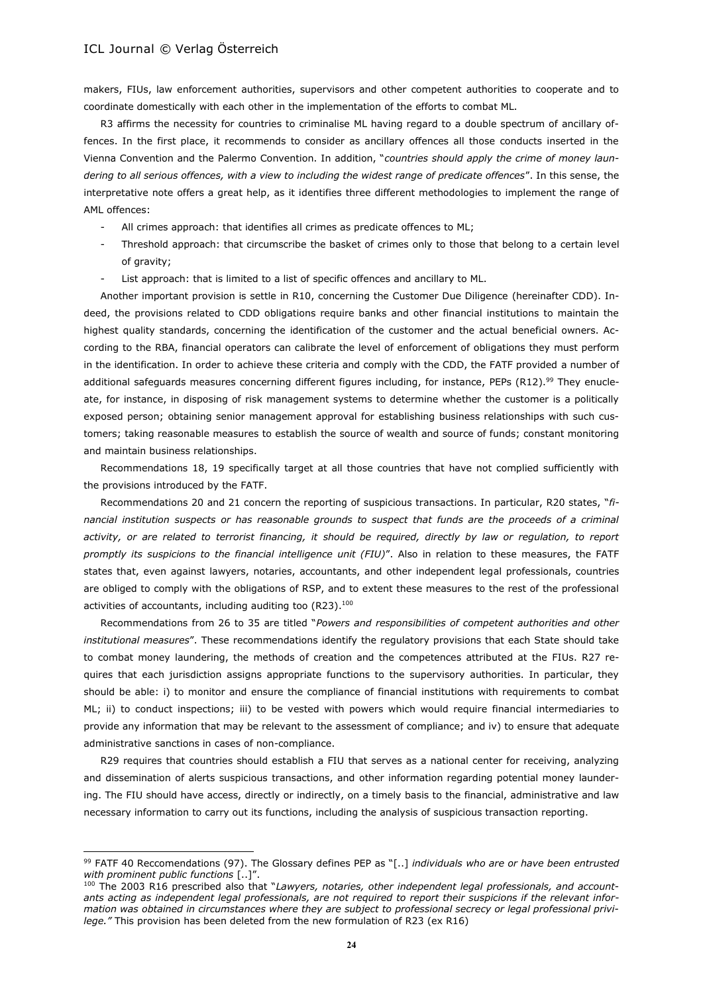$\overline{\phantom{a}}$ 

makers, FIUs, law enforcement authorities, supervisors and other competent authorities to cooperate and to coordinate domestically with each other in the implementation of the efforts to combat ML.

R3 affirms the necessity for countries to criminalise ML having regard to a double spectrum of ancillary offences. In the first place, it recommends to consider as ancillary offences all those conducts inserted in the Vienna Convention and the Palermo Convention. In addition, "*countries should apply the crime of money laundering to all serious offences, with a view to including the widest range of predicate offences*". In this sense, the interpretative note offers a great help, as it identifies three different methodologies to implement the range of AML offences:

- All crimes approach: that identifies all crimes as predicate offences to ML;
- Threshold approach: that circumscribe the basket of crimes only to those that belong to a certain level of gravity;
- List approach: that is limited to a list of specific offences and ancillary to ML.

Another important provision is settle in R10, concerning the Customer Due Diligence (hereinafter CDD). Indeed, the provisions related to CDD obligations require banks and other financial institutions to maintain the highest quality standards, concerning the identification of the customer and the actual beneficial owners. According to the RBA, financial operators can calibrate the level of enforcement of obligations they must perform in the identification. In order to achieve these criteria and comply with the CDD, the FATF provided a number of additional safeguards measures concerning different figures including, for instance, PEPs (R12).<sup>99</sup> They enucleate, for instance, in disposing of risk management systems to determine whether the customer is a politically exposed person; obtaining senior management approval for establishing business relationships with such customers; taking reasonable measures to establish the source of wealth and source of funds; constant monitoring and maintain business relationships.

Recommendations 18, 19 specifically target at all those countries that have not complied sufficiently with the provisions introduced by the FATF.

Recommendations 20 and 21 concern the reporting of suspicious transactions. In particular, R20 states, "*financial institution suspects or has reasonable grounds to suspect that funds are the proceeds of a criminal*  activity, or are related to terrorist financing, it should be required, directly by law or regulation, to report *promptly its suspicions to the financial intelligence unit (FIU)*". Also in relation to these measures, the FATF states that, even against lawyers, notaries, accountants, and other independent legal professionals, countries are obliged to comply with the obligations of RSP, and to extent these measures to the rest of the professional activities of accountants, including auditing too (R23).<sup>100</sup>

Recommendations from 26 to 35 are titled "*Powers and responsibilities of competent authorities and other institutional measures*". These recommendations identify the regulatory provisions that each State should take to combat money laundering, the methods of creation and the competences attributed at the FIUs. R27 requires that each jurisdiction assigns appropriate functions to the supervisory authorities. In particular, they should be able: i) to monitor and ensure the compliance of financial institutions with requirements to combat ML; ii) to conduct inspections; iii) to be vested with powers which would require financial intermediaries to provide any information that may be relevant to the assessment of compliance; and iv) to ensure that adequate administrative sanctions in cases of non-compliance.

R29 requires that countries should establish a FIU that serves as a national center for receiving, analyzing and dissemination of alerts suspicious transactions, and other information regarding potential money laundering. The FIU should have access, directly or indirectly, on a timely basis to the financial, administrative and law necessary information to carry out its functions, including the analysis of suspicious transaction reporting.

<sup>99</sup> FATF 40 Reccomendations (97). The Glossary defines PEP as "[..] *individuals who are or have been entrusted with prominent public functions* [..]".

<sup>100</sup> The 2003 R16 prescribed also that "*Lawyers, notaries, other independent legal professionals, and accountants acting as independent legal professionals, are not required to report their suspicions if the relevant information was obtained in circumstances where they are subject to professional secrecy or legal professional privilege."* This provision has been deleted from the new formulation of R23 (ex R16)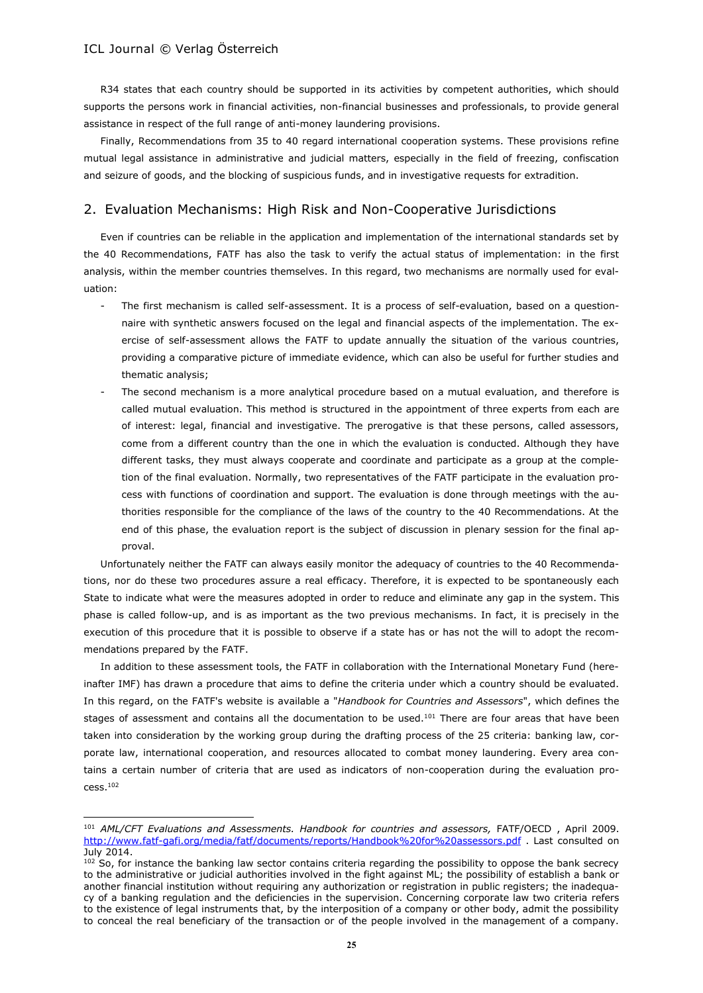$\overline{\phantom{a}}$ 

R34 states that each country should be supported in its activities by competent authorities, which should supports the persons work in financial activities, non-financial businesses and professionals, to provide general assistance in respect of the full range of anti-money laundering provisions.

Finally, Recommendations from 35 to 40 regard international cooperation systems. These provisions refine mutual legal assistance in administrative and judicial matters, especially in the field of freezing, confiscation and seizure of goods, and the blocking of suspicious funds, and in investigative requests for extradition.

# 2. Evaluation Mechanisms: High Risk and Non-Cooperative Jurisdictions

Even if countries can be reliable in the application and implementation of the international standards set by the 40 Recommendations, FATF has also the task to verify the actual status of implementation: in the first analysis, within the member countries themselves. In this regard, two mechanisms are normally used for evaluation:

- The first mechanism is called self-assessment. It is a process of self-evaluation, based on a questionnaire with synthetic answers focused on the legal and financial aspects of the implementation. The exercise of self-assessment allows the FATF to update annually the situation of the various countries, providing a comparative picture of immediate evidence, which can also be useful for further studies and thematic analysis;
- The second mechanism is a more analytical procedure based on a mutual evaluation, and therefore is called mutual evaluation. This method is structured in the appointment of three experts from each are of interest: legal, financial and investigative. The prerogative is that these persons, called assessors, come from a different country than the one in which the evaluation is conducted. Although they have different tasks, they must always cooperate and coordinate and participate as a group at the completion of the final evaluation. Normally, two representatives of the FATF participate in the evaluation process with functions of coordination and support. The evaluation is done through meetings with the authorities responsible for the compliance of the laws of the country to the 40 Recommendations. At the end of this phase, the evaluation report is the subject of discussion in plenary session for the final approval.

Unfortunately neither the FATF can always easily monitor the adequacy of countries to the 40 Recommendations, nor do these two procedures assure a real efficacy. Therefore, it is expected to be spontaneously each State to indicate what were the measures adopted in order to reduce and eliminate any gap in the system. This phase is called follow-up, and is as important as the two previous mechanisms. In fact, it is precisely in the execution of this procedure that it is possible to observe if a state has or has not the will to adopt the recommendations prepared by the FATF.

In addition to these assessment tools, the FATF in collaboration with the International Monetary Fund (hereinafter IMF) has drawn a procedure that aims to define the criteria under which a country should be evaluated. In this regard, on the FATF's website is available a "*Handbook for Countries and Assessors*", which defines the stages of assessment and contains all the documentation to be used.<sup>101</sup> There are four areas that have been taken into consideration by the working group during the drafting process of the 25 criteria: banking law, corporate law, international cooperation, and resources allocated to combat money laundering. Every area contains a certain number of criteria that are used as indicators of non-cooperation during the evaluation pro $cess.<sup>102</sup>$ 

<sup>101</sup> *AML/CFT Evaluations and Assessments. Handbook for countries and assessors,* FATF/OECD , April 2009. <http://www.fatf-gafi.org/media/fatf/documents/reports/Handbook%20for%20assessors.pdf> . Last consulted on July 2014.

 $102$  So, for instance the banking law sector contains criteria regarding the possibility to oppose the bank secrecy to the administrative or judicial authorities involved in the fight against ML; the possibility of establish a bank or another financial institution without requiring any authorization or registration in public registers; the inadequacy of a banking regulation and the deficiencies in the supervision. Concerning corporate law two criteria refers to the existence of legal instruments that, by the interposition of a company or other body, admit the possibility to conceal the real beneficiary of the transaction or of the people involved in the management of a company.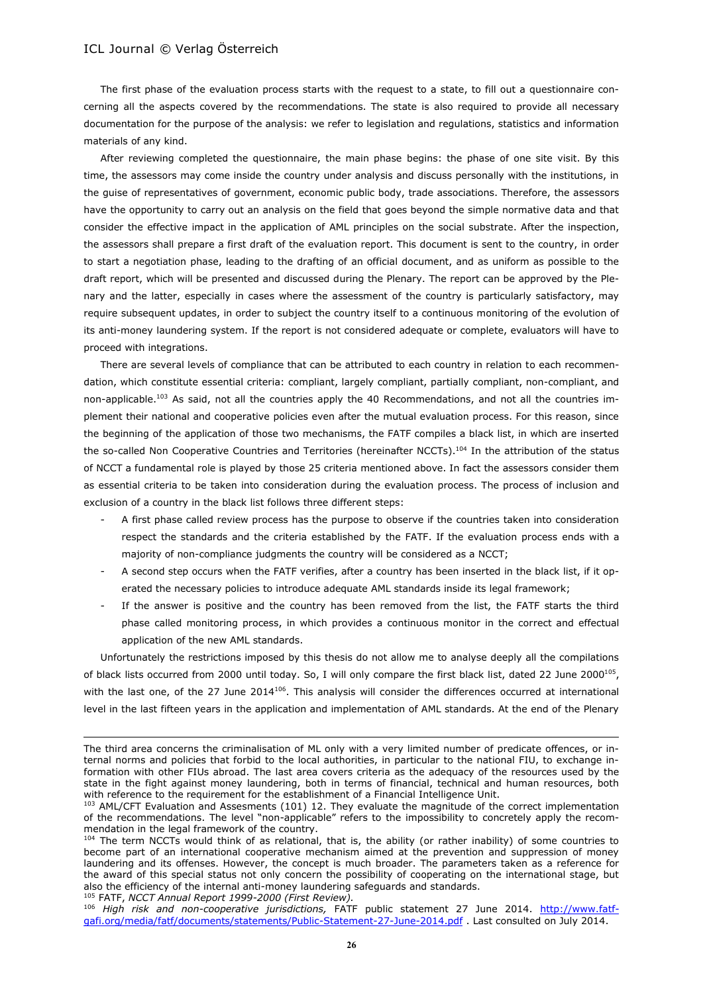The first phase of the evaluation process starts with the request to a state, to fill out a questionnaire concerning all the aspects covered by the recommendations. The state is also required to provide all necessary documentation for the purpose of the analysis: we refer to legislation and regulations, statistics and information materials of any kind.

After reviewing completed the questionnaire, the main phase begins: the phase of one site visit. By this time, the assessors may come inside the country under analysis and discuss personally with the institutions, in the guise of representatives of government, economic public body, trade associations. Therefore, the assessors have the opportunity to carry out an analysis on the field that goes beyond the simple normative data and that consider the effective impact in the application of AML principles on the social substrate. After the inspection, the assessors shall prepare a first draft of the evaluation report. This document is sent to the country, in order to start a negotiation phase, leading to the drafting of an official document, and as uniform as possible to the draft report, which will be presented and discussed during the Plenary. The report can be approved by the Plenary and the latter, especially in cases where the assessment of the country is particularly satisfactory, may require subsequent updates, in order to subject the country itself to a continuous monitoring of the evolution of its anti-money laundering system. If the report is not considered adequate or complete, evaluators will have to proceed with integrations.

There are several levels of compliance that can be attributed to each country in relation to each recommendation, which constitute essential criteria: compliant, largely compliant, partially compliant, non-compliant, and non-applicable.<sup>103</sup> As said, not all the countries apply the 40 Recommendations, and not all the countries implement their national and cooperative policies even after the mutual evaluation process. For this reason, since the beginning of the application of those two mechanisms, the FATF compiles a black list, in which are inserted the so-called Non Cooperative Countries and Territories (hereinafter NCCTs).<sup>104</sup> In the attribution of the status of NCCT a fundamental role is played by those 25 criteria mentioned above. In fact the assessors consider them as essential criteria to be taken into consideration during the evaluation process. The process of inclusion and exclusion of a country in the black list follows three different steps:

- A first phase called review process has the purpose to observe if the countries taken into consideration respect the standards and the criteria established by the FATF. If the evaluation process ends with a majority of non-compliance judgments the country will be considered as a NCCT;
- A second step occurs when the FATF verifies, after a country has been inserted in the black list, if it operated the necessary policies to introduce adequate AML standards inside its legal framework;
- If the answer is positive and the country has been removed from the list, the FATF starts the third phase called monitoring process, in which provides a continuous monitor in the correct and effectual application of the new AML standards.

Unfortunately the restrictions imposed by this thesis do not allow me to analyse deeply all the compilations of black lists occurred from 2000 until today. So, I will only compare the first black list, dated 22 June 2000<sup>105</sup>, with the last one, of the 27 June 2014 $106$ . This analysis will consider the differences occurred at international level in the last fifteen years in the application and implementation of AML standards. At the end of the Plenary

<sup>105</sup> FATF, *NCCT Annual Report 1999-2000 (First Review).*

 $\overline{a}$ 

The third area concerns the criminalisation of ML only with a very limited number of predicate offences, or internal norms and policies that forbid to the local authorities, in particular to the national FIU, to exchange information with other FIUs abroad. The last area covers criteria as the adequacy of the resources used by the state in the fight against money laundering, both in terms of financial, technical and human resources, both with reference to the requirement for the establishment of a Financial Intelligence Unit.

<sup>103</sup> AML/CFT Evaluation and Assesments (101) 12. They evaluate the magnitude of the correct implementation of the recommendations. The level "non-applicable" refers to the impossibility to concretely apply the recommendation in the legal framework of the country.

<sup>104</sup> The term NCCTs would think of as relational, that is, the ability (or rather inability) of some countries to become part of an international cooperative mechanism aimed at the prevention and suppression of money laundering and its offenses. However, the concept is much broader. The parameters taken as a reference for the award of this special status not only concern the possibility of cooperating on the international stage, but also the efficiency of the internal anti-money laundering safeguards and standards.

<sup>106</sup> *High risk and non-cooperative jurisdictions,* FATF public statement 27 June 2014. [http://www.fatf](http://www.fatf-gafi.org/media/fatf/documents/statements/Public-Statement-27-June-2014.pdf)[gafi.org/media/fatf/documents/statements/Public-Statement-27-June-2014.pdf](http://www.fatf-gafi.org/media/fatf/documents/statements/Public-Statement-27-June-2014.pdf) . Last consulted on July 2014.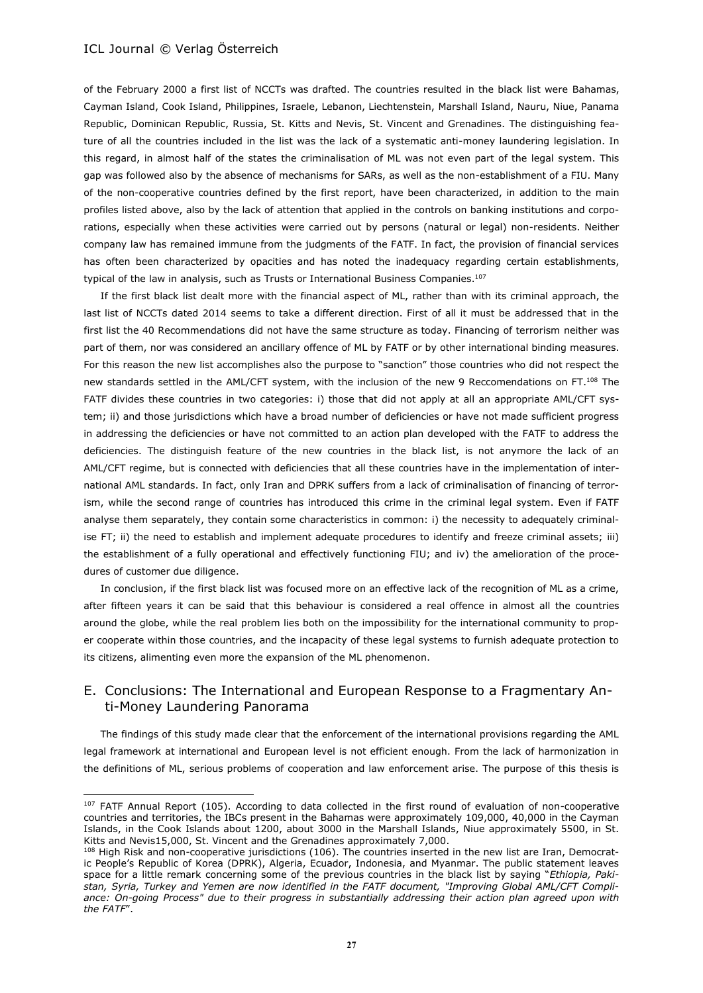$\overline{\phantom{a}}$ 

of the February 2000 a first list of NCCTs was drafted. The countries resulted in the black list were Bahamas, Cayman Island, Cook Island, Philippines, Israele, Lebanon, Liechtenstein, Marshall Island, Nauru, Niue, Panama Republic, Dominican Republic, Russia, St. Kitts and Nevis, St. Vincent and Grenadines. The distinguishing feature of all the countries included in the list was the lack of a systematic anti-money laundering legislation. In this regard, in almost half of the states the criminalisation of ML was not even part of the legal system. This gap was followed also by the absence of mechanisms for SARs, as well as the non-establishment of a FIU. Many of the non-cooperative countries defined by the first report, have been characterized, in addition to the main profiles listed above, also by the lack of attention that applied in the controls on banking institutions and corporations, especially when these activities were carried out by persons (natural or legal) non-residents. Neither company law has remained immune from the judgments of the FATF. In fact, the provision of financial services has often been characterized by opacities and has noted the inadequacy regarding certain establishments, typical of the law in analysis, such as Trusts or International Business Companies.<sup>107</sup>

If the first black list dealt more with the financial aspect of ML, rather than with its criminal approach, the last list of NCCTs dated 2014 seems to take a different direction. First of all it must be addressed that in the first list the 40 Recommendations did not have the same structure as today. Financing of terrorism neither was part of them, nor was considered an ancillary offence of ML by FATF or by other international binding measures. For this reason the new list accomplishes also the purpose to "sanction" those countries who did not respect the new standards settled in the AML/CFT system, with the inclusion of the new 9 Reccomendations on FT.<sup>108</sup> The FATF divides these countries in two categories: i) those that did not apply at all an appropriate AML/CFT system; ii) and those jurisdictions which have a broad number of deficiencies or have not made sufficient progress in addressing the deficiencies or have not committed to an action plan developed with the FATF to address the deficiencies. The distinguish feature of the new countries in the black list, is not anymore the lack of an AML/CFT regime, but is connected with deficiencies that all these countries have in the implementation of international AML standards. In fact, only Iran and DPRK suffers from a lack of criminalisation of financing of terrorism, while the second range of countries has introduced this crime in the criminal legal system. Even if FATF analyse them separately, they contain some characteristics in common: i) the necessity to adequately criminalise FT; ii) the need to establish and implement adequate procedures to identify and freeze criminal assets; iii) the establishment of a fully operational and effectively functioning FIU; and iv) the amelioration of the procedures of customer due diligence.

In conclusion, if the first black list was focused more on an effective lack of the recognition of ML as a crime, after fifteen years it can be said that this behaviour is considered a real offence in almost all the countries around the globe, while the real problem lies both on the impossibility for the international community to proper cooperate within those countries, and the incapacity of these legal systems to furnish adequate protection to its citizens, alimenting even more the expansion of the ML phenomenon.

# E. Conclusions: The International and European Response to a Fragmentary Anti-Money Laundering Panorama

The findings of this study made clear that the enforcement of the international provisions regarding the AML legal framework at international and European level is not efficient enough. From the lack of harmonization in the definitions of ML, serious problems of cooperation and law enforcement arise. The purpose of this thesis is

<sup>&</sup>lt;sup>107</sup> FATF Annual Report (105). According to data collected in the first round of evaluation of non-cooperative countries and territories, the IBCs present in the Bahamas were approximately 109,000, 40,000 in the Cayman Islands, in the Cook Islands about 1200, about 3000 in the Marshall Islands, Niue approximately 5500, in St. Kitts and Nevis15,000, St. Vincent and the Grenadines approximately 7,000.

<sup>&</sup>lt;sup>108</sup> High Risk and non-cooperative jurisdictions (106). The countries inserted in the new list are Iran, Democratic People's Republic of Korea (DPRK), Algeria, Ecuador, Indonesia, and Myanmar. The public statement leaves space for a little remark concerning some of the previous countries in the black list by saying "*Ethiopia, Pakistan, Syria, Turkey and Yemen are now identified in the FATF document, "Improving Global AML/CFT Compliance: On-going Process" due to their progress in substantially addressing their action plan agreed upon with the FATF*".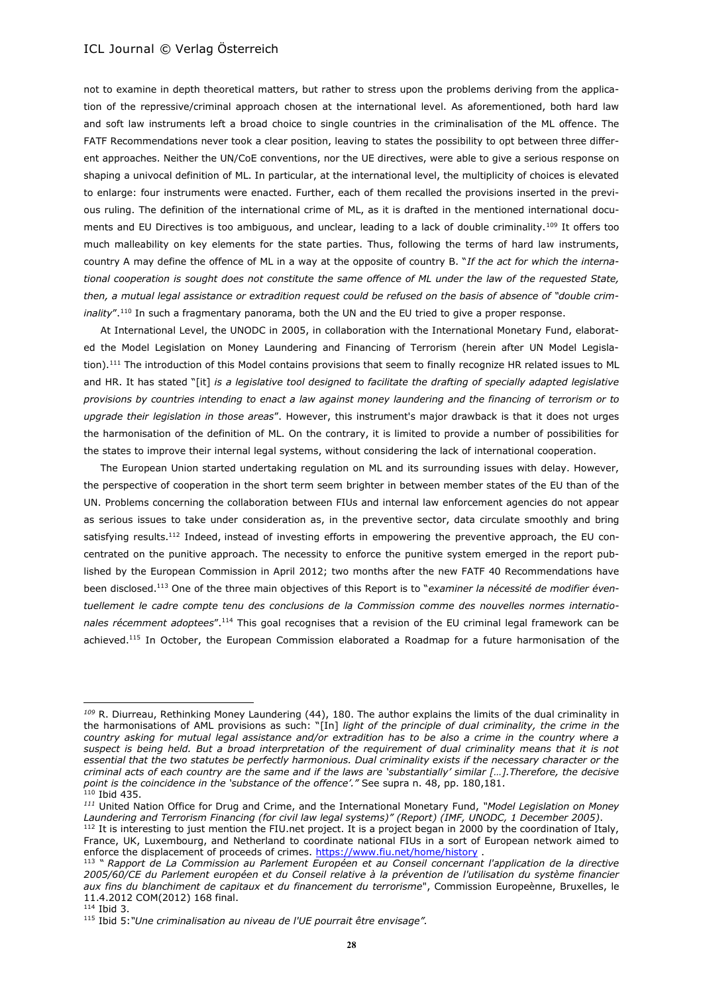not to examine in depth theoretical matters, but rather to stress upon the problems deriving from the application of the repressive/criminal approach chosen at the international level. As aforementioned, both hard law and soft law instruments left a broad choice to single countries in the criminalisation of the ML offence. The FATF Recommendations never took a clear position, leaving to states the possibility to opt between three different approaches. Neither the UN/CoE conventions, nor the UE directives, were able to give a serious response on shaping a univocal definition of ML. In particular, at the international level, the multiplicity of choices is elevated to enlarge: four instruments were enacted. Further, each of them recalled the provisions inserted in the previous ruling. The definition of the international crime of ML, as it is drafted in the mentioned international documents and EU Directives is too ambiguous, and unclear, leading to a lack of double criminality.<sup>109</sup> It offers too much malleability on key elements for the state parties. Thus, following the terms of hard law instruments, country A may define the offence of ML in a way at the opposite of country B. "*If the act for which the international cooperation is sought does not constitute the same offence of ML under the law of the requested State, then, a mutual legal assistance or extradition request could be refused on the basis of absence of "double criminality*".<sup>110</sup> In such a fragmentary panorama, both the UN and the EU tried to give a proper response.

At International Level, the UNODC in 2005, in collaboration with the International Monetary Fund, elaborated the Model Legislation on Money Laundering and Financing of Terrorism (herein after UN Model Legislation).<sup>111</sup> The introduction of this Model contains provisions that seem to finally recognize HR related issues to ML and HR. It has stated "[it] *is a legislative tool designed to facilitate the drafting of specially adapted legislative provisions by countries intending to enact a law against money laundering and the financing of terrorism or to upgrade their legislation in those areas*". However, this instrument's major drawback is that it does not urges the harmonisation of the definition of ML. On the contrary, it is limited to provide a number of possibilities for the states to improve their internal legal systems, without considering the lack of international cooperation.

The European Union started undertaking regulation on ML and its surrounding issues with delay. However, the perspective of cooperation in the short term seem brighter in between member states of the EU than of the UN. Problems concerning the collaboration between FIUs and internal law enforcement agencies do not appear as serious issues to take under consideration as, in the preventive sector, data circulate smoothly and bring satisfying results.<sup>112</sup> Indeed, instead of investing efforts in empowering the preventive approach, the EU concentrated on the punitive approach. The necessity to enforce the punitive system emerged in the report published by the European Commission in April 2012; two months after the new FATF 40 Recommendations have been disclosed.<sup>113</sup> One of the three main objectives of this Report is to "*examiner la nécessité de modifier éventuellement le cadre compte tenu des conclusions de la Commission comme des nouvelles normes internationales récemment adoptees*".<sup>114</sup> This goal recognises that a revision of the EU criminal legal framework can be achieved.<sup>115</sup> In October, the European Commission elaborated a Roadmap for a future harmonisation of the

 $114$  Ibid 3.

l

*<sup>109</sup>* R. Diurreau, Rethinking Money Laundering (44), 180. The author explains the limits of the dual criminality in the harmonisations of AML provisions as such: "[In] *light of the principle of dual criminality, the crime in the country asking for mutual legal assistance and/or extradition has to be also a crime in the country where a suspect is being held. But a broad interpretation of the requirement of dual criminality means that it is not essential that the two statutes be perfectly harmonious. Dual criminality exists if the necessary character or the criminal acts of each country are the same and if the laws are 'substantially' similar […].Therefore, the decisive point is the coincidence in the 'substance of the offence'."* See supra n. 48, pp. 180,181.  $110$  Ibid 435.

*<sup>111</sup>* United Nation Office for Drug and Crime, and the International Monetary Fund, *"Model Legislation on Money Laundering and Terrorism Financing (for civil law legal systems)" (Report) (IMF, UNODC, 1 December 2005)*.

<sup>&</sup>lt;sup>112</sup> It is interesting to just mention the FIU.net project. It is a project began in 2000 by the coordination of Italy, France, UK, Luxembourg, and Netherland to coordinate national FIUs in a sort of European network aimed to enforce the displacement of proceeds of crimes. <https://www.fiu.net/home/history> .

<sup>113</sup> " *Rapport de La Commission au Parlement Européen et au Conseil concernant l'application de la directive 2005/60/CE du Parlement européen et du Conseil relative à la prévention de l'utilisation du système financier aux fins du blanchiment de capitaux et du financement du terrorisme*", Commission Europeènne, Bruxelles, le 11.4.2012 COM(2012) 168 final.

<sup>115</sup> Ibid 5:*"Une criminalisation au niveau de l'UE pourrait être envisage".*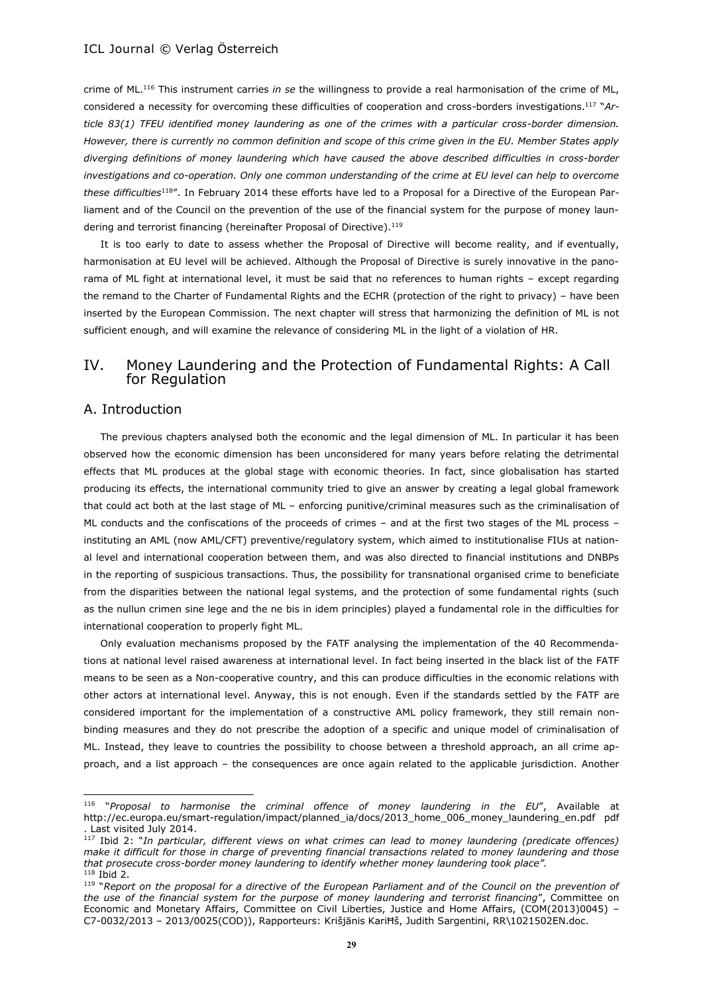crime of ML. <sup>116</sup> This instrument carries *in se* the willingness to provide a real harmonisation of the crime of ML, considered a necessity for overcoming these difficulties of cooperation and cross-borders investigations.<sup>117</sup> "*Article 83(1) TFEU identified money laundering as one of the crimes with a particular cross-border dimension. However, there is currently no common definition and scope of this crime given in the EU. Member States apply diverging definitions of money laundering which have caused the above described difficulties in cross-border investigations and co-operation. Only one common understanding of the crime at EU level can help to overcome these difficulties*<sup>118</sup>". In February 2014 these efforts have led to a Proposal for a Directive of the European Parliament and of the Council on the prevention of the use of the financial system for the purpose of money laundering and terrorist financing (hereinafter Proposal of Directive).<sup>119</sup>

It is too early to date to assess whether the Proposal of Directive will become reality, and if eventually, harmonisation at EU level will be achieved. Although the Proposal of Directive is surely innovative in the panorama of ML fight at international level, it must be said that no references to human rights – except regarding the remand to the Charter of Fundamental Rights and the ECHR (protection of the right to privacy) – have been inserted by the European Commission. The next chapter will stress that harmonizing the definition of ML is not sufficient enough, and will examine the relevance of considering ML in the light of a violation of HR.

# IV. Money Laundering and the Protection of Fundamental Rights: A Call for Regulation

### A. Introduction

 $\overline{\phantom{a}}$ 

The previous chapters analysed both the economic and the legal dimension of ML. In particular it has been observed how the economic dimension has been unconsidered for many years before relating the detrimental effects that ML produces at the global stage with economic theories. In fact, since globalisation has started producing its effects, the international community tried to give an answer by creating a legal global framework that could act both at the last stage of ML – enforcing punitive/criminal measures such as the criminalisation of ML conducts and the confiscations of the proceeds of crimes – and at the first two stages of the ML process – instituting an AML (now AML/CFT) preventive/regulatory system, which aimed to institutionalise FIUs at national level and international cooperation between them, and was also directed to financial institutions and DNBPs in the reporting of suspicious transactions. Thus, the possibility for transnational organised crime to beneficiate from the disparities between the national legal systems, and the protection of some fundamental rights (such as the nullun crimen sine lege and the ne bis in idem principles) played a fundamental role in the difficulties for international cooperation to properly fight ML.

Only evaluation mechanisms proposed by the FATF analysing the implementation of the 40 Recommendations at national level raised awareness at international level. In fact being inserted in the black list of the FATF means to be seen as a Non-cooperative country, and this can produce difficulties in the economic relations with other actors at international level. Anyway, this is not enough. Even if the standards settled by the FATF are considered important for the implementation of a constructive AML policy framework, they still remain nonbinding measures and they do not prescribe the adoption of a specific and unique model of criminalisation of ML. Instead, they leave to countries the possibility to choose between a threshold approach, an all crime approach, and a list approach – the consequences are once again related to the applicable jurisdiction. Another

<sup>116</sup> "*Proposal to harmonise the criminal offence of money laundering in the EU*", Available at http://ec.europa.eu/smart-regulation/impact/planned\_ia/docs/2013\_home\_006\_money\_laundering\_en.pdf pdf . Last visited July 2014.

<sup>117</sup> Ibid 2: "*In particular, different views on what crimes can lead to money laundering (predicate offences) make it difficult for those in charge of preventing financial transactions related to money laundering and those that prosecute cross-border money laundering to identify whether money laundering took place".* <sup>118</sup> Ibid 2.

<sup>&</sup>lt;sup>119</sup> "Report on the proposal for a directive of the European Parliament and of the Council on the prevention of *the use of the financial system for the purpose of money laundering and terrorist financing*", Committee on Economic and Monetary Affairs, Committee on Civil Liberties, Justice and Home Affairs, (COM(2013)0045) – C7-0032/2013 – 2013/0025(COD)), Rapporteurs: Krišjānis KariĦš, Judith Sargentini, RR\1021502EN.doc.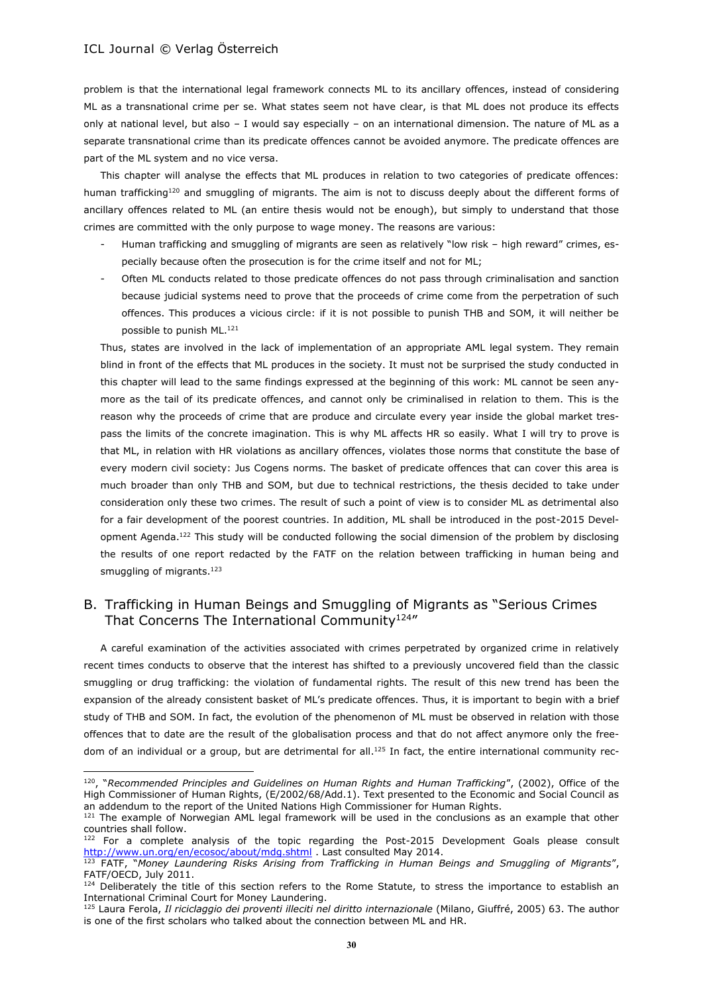$\overline{\phantom{a}}$ 

problem is that the international legal framework connects ML to its ancillary offences, instead of considering ML as a transnational crime per se. What states seem not have clear, is that ML does not produce its effects only at national level, but also – I would say especially – on an international dimension. The nature of ML as a separate transnational crime than its predicate offences cannot be avoided anymore. The predicate offences are part of the ML system and no vice versa.

This chapter will analyse the effects that ML produces in relation to two categories of predicate offences: human trafficking<sup>120</sup> and smuggling of migrants. The aim is not to discuss deeply about the different forms of ancillary offences related to ML (an entire thesis would not be enough), but simply to understand that those crimes are committed with the only purpose to wage money. The reasons are various:

- Human trafficking and smuggling of migrants are seen as relatively "low risk high reward" crimes, especially because often the prosecution is for the crime itself and not for ML;
- Often ML conducts related to those predicate offences do not pass through criminalisation and sanction because judicial systems need to prove that the proceeds of crime come from the perpetration of such offences. This produces a vicious circle: if it is not possible to punish THB and SOM, it will neither be possible to punish ML. 121

Thus, states are involved in the lack of implementation of an appropriate AML legal system. They remain blind in front of the effects that ML produces in the society. It must not be surprised the study conducted in this chapter will lead to the same findings expressed at the beginning of this work: ML cannot be seen anymore as the tail of its predicate offences, and cannot only be criminalised in relation to them. This is the reason why the proceeds of crime that are produce and circulate every year inside the global market trespass the limits of the concrete imagination. This is why ML affects HR so easily. What I will try to prove is that ML, in relation with HR violations as ancillary offences, violates those norms that constitute the base of every modern civil society: Jus Cogens norms. The basket of predicate offences that can cover this area is much broader than only THB and SOM, but due to technical restrictions, the thesis decided to take under consideration only these two crimes. The result of such a point of view is to consider ML as detrimental also for a fair development of the poorest countries. In addition, ML shall be introduced in the post-2015 Development Agenda.<sup>122</sup> This study will be conducted following the social dimension of the problem by disclosing the results of one report redacted by the FATF on the relation between trafficking in human being and smuggling of migrants.<sup>123</sup>

# B. Trafficking in Human Beings and Smuggling of Migrants as "Serious Crimes That Concerns The International Community<sup>124</sup>"

A careful examination of the activities associated with crimes perpetrated by organized crime in relatively recent times conducts to observe that the interest has shifted to a previously uncovered field than the classic smuggling or drug trafficking: the violation of fundamental rights. The result of this new trend has been the expansion of the already consistent basket of ML's predicate offences. Thus, it is important to begin with a brief study of THB and SOM. In fact, the evolution of the phenomenon of ML must be observed in relation with those offences that to date are the result of the globalisation process and that do not affect anymore only the freedom of an individual or a group, but are detrimental for all.<sup>125</sup> In fact, the entire international community rec-

<sup>120</sup>, "*Recommended Principles and Guidelines on Human Rights and Human Trafficking*", (2002), Office of the High Commissioner of Human Rights, (E/2002/68/Add.1). Text presented to the Economic and Social Council as an addendum to the report of the United Nations High Commissioner for Human Rights.

<sup>&</sup>lt;sup>121</sup> The example of Norwegian AML legal framework will be used in the conclusions as an example that other countries shall follow.

<sup>&</sup>lt;sup>122</sup> For a complete analysis of the topic regarding the Post-2015 Development Goals please consult <http://www.un.org/en/ecosoc/about/mdg.shtml> . Last consulted May 2014.

<sup>123</sup> FATF, "*Money Laundering Risks Arising from Trafficking in Human Beings and Smuggling of Migrants*", FATF/OECD, July 2011.

<sup>&</sup>lt;sup>124</sup> Deliberately the title of this section refers to the Rome Statute, to stress the importance to establish an International Criminal Court for Money Laundering.

<sup>125</sup> Laura Ferola, *Il riciclaggio dei proventi illeciti nel diritto internazionale* (Milano, Giuffré, 2005) 63. The author is one of the first scholars who talked about the connection between ML and HR.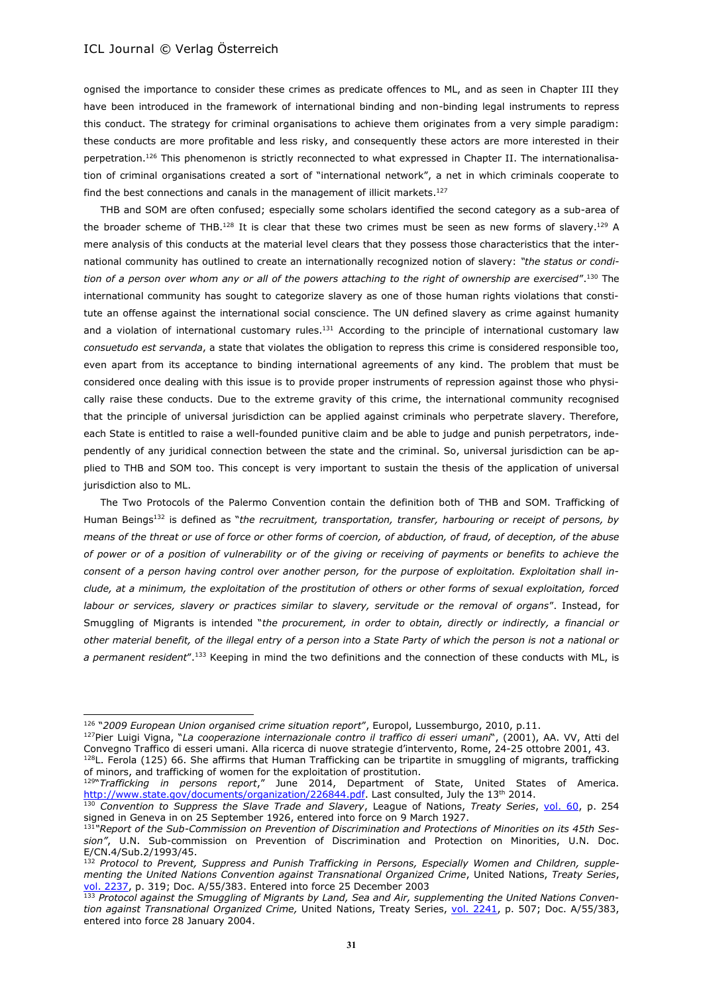l

ognised the importance to consider these crimes as predicate offences to ML, and as seen in Chapter III they have been introduced in the framework of international binding and non-binding legal instruments to repress this conduct. The strategy for criminal organisations to achieve them originates from a very simple paradigm: these conducts are more profitable and less risky, and consequently these actors are more interested in their perpetration.<sup>126</sup> This phenomenon is strictly reconnected to what expressed in Chapter II. The internationalisation of criminal organisations created a sort of "international network", a net in which criminals cooperate to find the best connections and canals in the management of illicit markets.<sup>127</sup>

THB and SOM are often confused; especially some scholars identified the second category as a sub-area of the broader scheme of THB.<sup>128</sup> It is clear that these two crimes must be seen as new forms of slavery.<sup>129</sup> A mere analysis of this conducts at the material level clears that they possess those characteristics that the international community has outlined to create an internationally recognized notion of slavery: *"the status or condition of a person over whom any or all of the powers attaching to the right of ownership are exercised*".<sup>130</sup> The international community has sought to categorize slavery as one of those human rights violations that constitute an offense against the international social conscience. The UN defined slavery as crime against humanity and a violation of international customary rules.<sup>131</sup> According to the principle of international customary law *consuetudo est servanda*, a state that violates the obligation to repress this crime is considered responsible too, even apart from its acceptance to binding international agreements of any kind. The problem that must be considered once dealing with this issue is to provide proper instruments of repression against those who physically raise these conducts. Due to the extreme gravity of this crime, the international community recognised that the principle of universal jurisdiction can be applied against criminals who perpetrate slavery. Therefore, each State is entitled to raise a well-founded punitive claim and be able to judge and punish perpetrators, independently of any juridical connection between the state and the criminal. So, universal jurisdiction can be applied to THB and SOM too. This concept is very important to sustain the thesis of the application of universal jurisdiction also to ML.

The Two Protocols of the Palermo Convention contain the definition both of THB and SOM. Trafficking of Human Beings<sup>132</sup> is defined as "*the recruitment, transportation, transfer, harbouring or receipt of persons, by means of the threat or use of force or other forms of coercion, of abduction, of fraud, of deception, of the abuse of power or of a position of vulnerability or of the giving or receiving of payments or benefits to achieve the consent of a person having control over another person, for the purpose of exploitation. Exploitation shall include, at a minimum, the exploitation of the prostitution of others or other forms of sexual exploitation, forced labour or services, slavery or practices similar to slavery, servitude or the removal of organs*". Instead, for Smuggling of Migrants is intended "*the procurement, in order to obtain, directly or indirectly, a financial or other material benefit, of the illegal entry of a person into a State Party of which the person is not a national or a permanent resident*".<sup>133</sup> Keeping in mind the two definitions and the connection of these conducts with ML, is

<sup>126</sup> "*2009 European Union organised crime situation report*", Europol, Lussemburgo, 2010, p.11.

<sup>127</sup>Pier Luigi Vigna, "*La cooperazione internazionale contro il traffico di esseri umani*", (2001), AA. VV, Atti del Convegno Traffico di esseri umani. Alla ricerca di nuove strategie d'intervento, Rome, 24-25 ottobre 2001, 43. <sup>128</sup>L. Ferola (125) 66. She affirms that Human Trafficking can be tripartite in smuggling of migrants, trafficking

of minors, and trafficking of women for the exploitation of prostitution.

<sup>129</sup> "*Trafficking in persons report*," June 2014, Department of State, United States of America. [http://www.state.gov/documents/organization/226844.pdf.](http://www.state.gov/documents/organization/226844.pdf) Last consulted, July the 13th 2014.

<sup>130</sup> *Convention to Suppress the Slave Trade and Slavery*, League of Nations, *Treaty Series*, [vol. 60,](http://treaties.un.org/doc/Publication/UNTS/LON/Volume%2060/v60.pdf) p. 254 signed in Geneva in on 25 September 1926, entered into force on 9 March 1927.

<sup>131</sup> *"Report of the Sub-Commission on Prevention of Discrimination and Protections of Minorities on its 45th Session"*, U.N. Sub-commission on Prevention of Discrimination and Protection on Minorities, U.N. Doc. E/CN.4/Sub.2/1993/45.

<sup>132</sup> *Protocol to Prevent, Suppress and Punish Trafficking in Persons, Especially Women and Children, supplementing the United Nations Convention against Transnational Organized Crime*, United Nations, *Treaty Series*, [vol. 2237,](http://treaties.un.org/doc/Publication/UNTS/Volume%202237/v2237.pdf) p. 319; Doc. A/55/383. Entered into force 25 December 2003

<sup>&</sup>lt;sup>133</sup> Protocol against the Smuggling of Migrants by Land, Sea and Air, supplementing the United Nations Conven*tion against Transnational Organized Crime,* United Nations, Treaty Series, [vol. 2241,](http://treaties.un.org/doc/Publication/UNTS/Volume%202241/v2241.pdf) p. 507; Doc. A/55/383, entered into force 28 January 2004.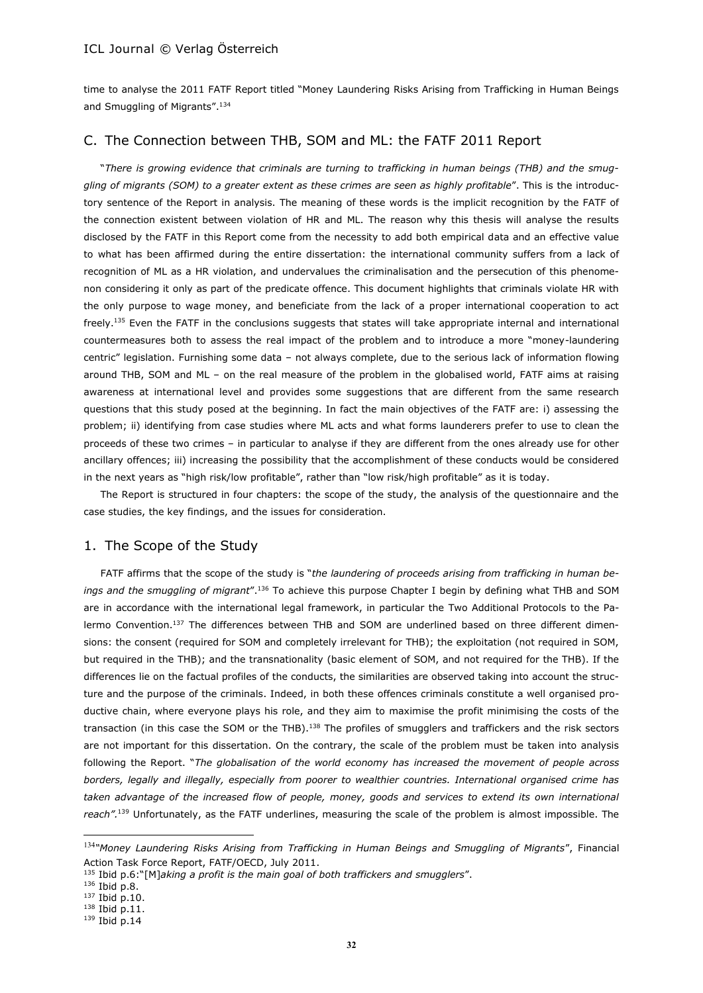time to analyse the 2011 FATF Report titled "Money Laundering Risks Arising from Trafficking in Human Beings and Smuggling of Migrants".<sup>134</sup>

# C. The Connection between THB, SOM and ML: the FATF 2011 Report

"*There is growing evidence that criminals are turning to trafficking in human beings (THB) and the smuggling of migrants (SOM) to a greater extent as these crimes are seen as highly profitable*". This is the introductory sentence of the Report in analysis. The meaning of these words is the implicit recognition by the FATF of the connection existent between violation of HR and ML. The reason why this thesis will analyse the results disclosed by the FATF in this Report come from the necessity to add both empirical data and an effective value to what has been affirmed during the entire dissertation: the international community suffers from a lack of recognition of ML as a HR violation, and undervalues the criminalisation and the persecution of this phenomenon considering it only as part of the predicate offence. This document highlights that criminals violate HR with the only purpose to wage money, and beneficiate from the lack of a proper international cooperation to act  $freely.<sup>135</sup>$  Even the FATF in the conclusions suggests that states will take appropriate internal and international countermeasures both to assess the real impact of the problem and to introduce a more "money-laundering centric" legislation. Furnishing some data – not always complete, due to the serious lack of information flowing around THB, SOM and ML – on the real measure of the problem in the globalised world, FATF aims at raising awareness at international level and provides some suggestions that are different from the same research questions that this study posed at the beginning. In fact the main objectives of the FATF are: i) assessing the problem; ii) identifying from case studies where ML acts and what forms launderers prefer to use to clean the proceeds of these two crimes – in particular to analyse if they are different from the ones already use for other ancillary offences; iii) increasing the possibility that the accomplishment of these conducts would be considered in the next years as "high risk/low profitable", rather than "low risk/high profitable" as it is today.

The Report is structured in four chapters: the scope of the study, the analysis of the questionnaire and the case studies, the key findings, and the issues for consideration.

### 1. The Scope of the Study

FATF affirms that the scope of the study is "*the laundering of proceeds arising from trafficking in human beings and the smuggling of migrant*".<sup>136</sup> To achieve this purpose Chapter I begin by defining what THB and SOM are in accordance with the international legal framework, in particular the Two Additional Protocols to the Palermo Convention.<sup>137</sup> The differences between THB and SOM are underlined based on three different dimensions: the consent (required for SOM and completely irrelevant for THB); the exploitation (not required in SOM, but required in the THB); and the transnationality (basic element of SOM, and not required for the THB). If the differences lie on the factual profiles of the conducts, the similarities are observed taking into account the structure and the purpose of the criminals. Indeed, in both these offences criminals constitute a well organised productive chain, where everyone plays his role, and they aim to maximise the profit minimising the costs of the transaction (in this case the SOM or the THB).<sup>138</sup> The profiles of smugglers and traffickers and the risk sectors are not important for this dissertation. On the contrary, the scale of the problem must be taken into analysis following the Report. "*The globalisation of the world economy has increased the movement of people across borders, legally and illegally, especially from poorer to wealthier countries. International organised crime has*  taken advantage of the increased flow of people, money, goods and services to extend its own international *reach".*<sup>139</sup> Unfortunately, as the FATF underlines, measuring the scale of the problem is almost impossible. The

l

<sup>134</sup>*"Money Laundering Risks Arising from Trafficking in Human Beings and Smuggling of Migrants*", Financial Action Task Force Report, FATF/OECD, July 2011.

<sup>135</sup> Ibid p.6:"[M]*aking a profit is the main goal of both traffickers and smugglers*".

<sup>136</sup> Ibid p.8.

<sup>137</sup> Ibid p.10.

<sup>138</sup> Ibid p.11.

<sup>139</sup> Ibid p.14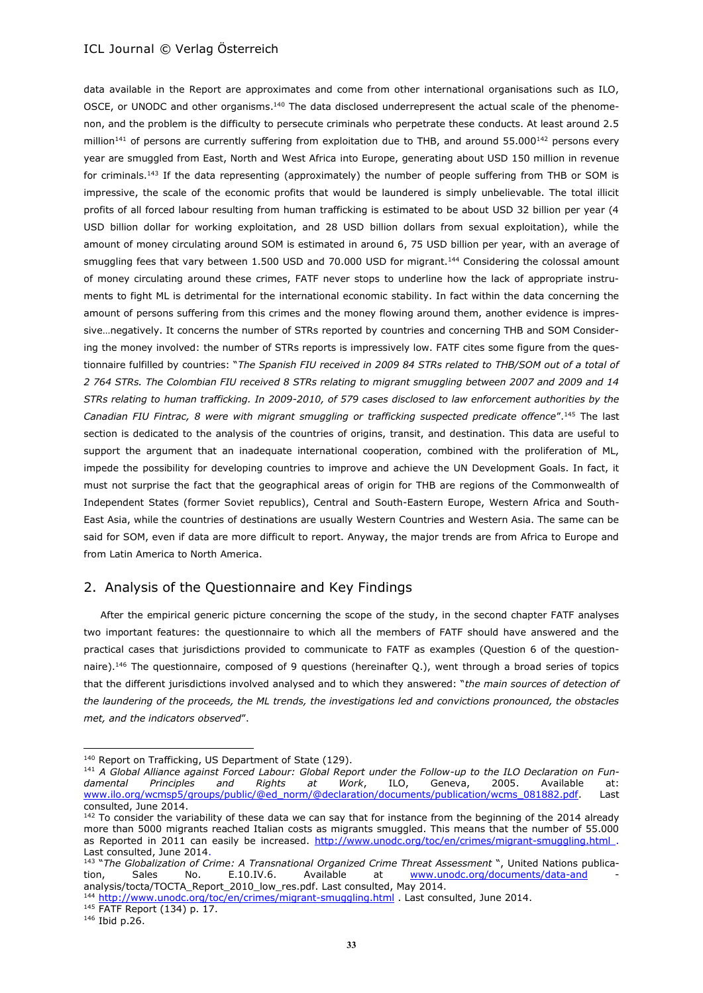data available in the Report are approximates and come from other international organisations such as ILO, OSCE, or UNODC and other organisms.<sup>140</sup> The data disclosed underrepresent the actual scale of the phenomenon, and the problem is the difficulty to persecute criminals who perpetrate these conducts. At least around 2.5 million<sup>141</sup> of persons are currently suffering from exploitation due to THB, and around 55.000<sup>142</sup> persons every year are smuggled from East, North and West Africa into Europe, generating about USD 150 million in revenue for criminals.<sup>143</sup> If the data representing (approximately) the number of people suffering from THB or SOM is impressive, the scale of the economic profits that would be laundered is simply unbelievable. The total illicit profits of all forced labour resulting from human trafficking is estimated to be about USD 32 billion per year (4 USD billion dollar for working exploitation, and 28 USD billion dollars from sexual exploitation), while the amount of money circulating around SOM is estimated in around 6, 75 USD billion per year, with an average of smuggling fees that vary between 1.500 USD and 70.000 USD for migrant.<sup>144</sup> Considering the colossal amount of money circulating around these crimes, FATF never stops to underline how the lack of appropriate instruments to fight ML is detrimental for the international economic stability. In fact within the data concerning the amount of persons suffering from this crimes and the money flowing around them, another evidence is impressive…negatively. It concerns the number of STRs reported by countries and concerning THB and SOM Considering the money involved: the number of STRs reports is impressively low. FATF cites some figure from the questionnaire fulfilled by countries: "*The Spanish FIU received in 2009 84 STRs related to THB/SOM out of a total of 2 764 STRs. The Colombian FIU received 8 STRs relating to migrant smuggling between 2007 and 2009 and 14 STRs relating to human trafficking. In 2009-2010, of 579 cases disclosed to law enforcement authorities by the Canadian FIU Fintrac, 8 were with migrant smuggling or trafficking suspected predicate offence*". <sup>145</sup> The last section is dedicated to the analysis of the countries of origins, transit, and destination. This data are useful to support the argument that an inadequate international cooperation, combined with the proliferation of ML, impede the possibility for developing countries to improve and achieve the UN Development Goals. In fact, it must not surprise the fact that the geographical areas of origin for THB are regions of the Commonwealth of Independent States (former Soviet republics), Central and South-Eastern Europe, Western Africa and South-East Asia, while the countries of destinations are usually Western Countries and Western Asia. The same can be said for SOM, even if data are more difficult to report. Anyway, the major trends are from Africa to Europe and from Latin America to North America.

# 2. Analysis of the Questionnaire and Key Findings

After the empirical generic picture concerning the scope of the study, in the second chapter FATF analyses two important features: the questionnaire to which all the members of FATF should have answered and the practical cases that jurisdictions provided to communicate to FATF as examples (Question 6 of the questionnaire).<sup>146</sup> The questionnaire, composed of 9 questions (hereinafter Q.), went through a broad series of topics that the different jurisdictions involved analysed and to which they answered: "*the main sources of detection of the laundering of the proceeds, the ML trends, the investigations led and convictions pronounced, the obstacles met, and the indicators observed*".

<sup>144</sup> <http://www.unodc.org/toc/en/crimes/migrant-smuggling.html> . Last consulted, June 2014.

 $\overline{a}$ 

<sup>&</sup>lt;sup>140</sup> Report on Trafficking, US Department of State (129).

<sup>141</sup> *A Global Alliance against Forced Labour: Global Report under the Follow-up to the ILO Declaration on Fundamental Principles and Rights at Work*, ILO, Geneva, 2005. Available at: [www.ilo.org/wcmsp5/groups/public/@ed\\_norm/@declaration/documents/publication/wcms\\_081882.pdf.](http://www.ilo.org/wcmsp5/groups/public/@ed_norm/@declaration/documents/publication/wcms_081882.pdf) Last consulted, June 2014.

<sup>&</sup>lt;sup>142</sup> To consider the variability of these data we can say that for instance from the beginning of the 2014 already more than 5000 migrants reached Italian costs as migrants smuggled. This means that the number of 55.000 as Reported in 2011 can easily be increased. <http://www.unodc.org/toc/en/crimes/migrant-smuggling.html> . Last consulted, June 2014.

<sup>143</sup> "*The Globalization of Crime: A Transnational Organized Crime Threat Assessment* ", United Nations publication, Sales No. E.10.IV.6. Available at [www.unodc.org/documents/data-and](http://www.unodc.org/documents/data-and) analysis/tocta/TOCTA\_Report\_2010\_low\_res.pdf. Last consulted, May 2014.

<sup>145</sup> FATF Report (134) p. 17.

<sup>146</sup> Ibid p.26.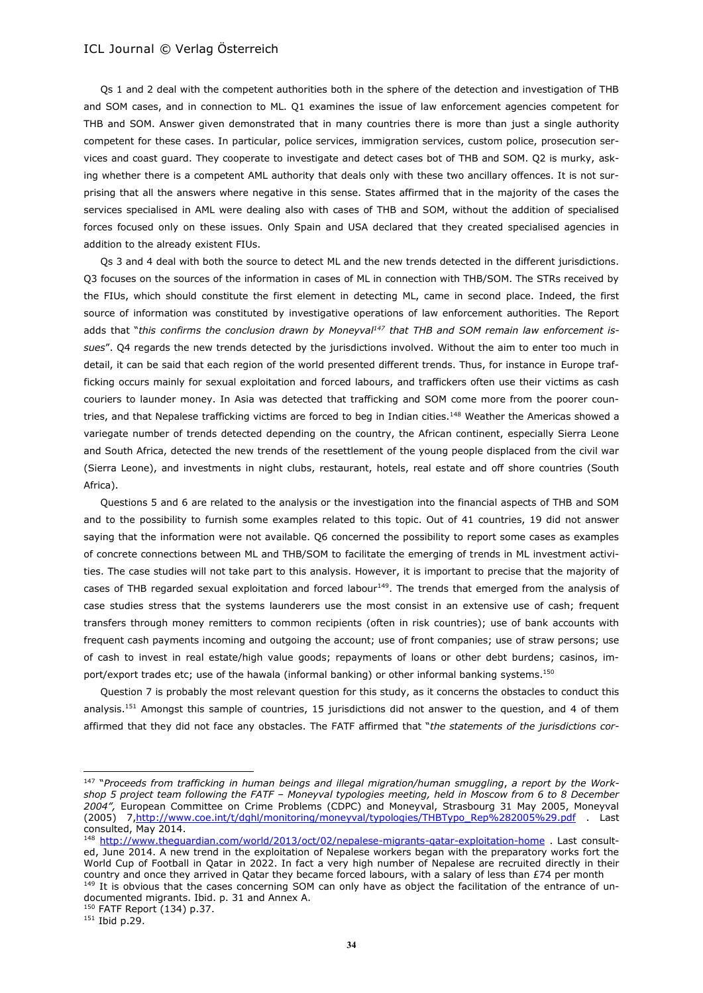Qs 1 and 2 deal with the competent authorities both in the sphere of the detection and investigation of THB and SOM cases, and in connection to ML. Q1 examines the issue of law enforcement agencies competent for THB and SOM. Answer given demonstrated that in many countries there is more than just a single authority competent for these cases. In particular, police services, immigration services, custom police, prosecution services and coast guard. They cooperate to investigate and detect cases bot of THB and SOM. Q2 is murky, asking whether there is a competent AML authority that deals only with these two ancillary offences. It is not surprising that all the answers where negative in this sense. States affirmed that in the majority of the cases the services specialised in AML were dealing also with cases of THB and SOM, without the addition of specialised forces focused only on these issues. Only Spain and USA declared that they created specialised agencies in addition to the already existent FIUs.

Qs 3 and 4 deal with both the source to detect ML and the new trends detected in the different jurisdictions. Q3 focuses on the sources of the information in cases of ML in connection with THB/SOM. The STRs received by the FIUs, which should constitute the first element in detecting ML, came in second place. Indeed, the first source of information was constituted by investigative operations of law enforcement authorities. The Report adds that "*this confirms the conclusion drawn by Moneyval <sup>147</sup> that THB and SOM remain law enforcement issues*". Q4 regards the new trends detected by the jurisdictions involved. Without the aim to enter too much in detail, it can be said that each region of the world presented different trends. Thus, for instance in Europe trafficking occurs mainly for sexual exploitation and forced labours, and traffickers often use their victims as cash couriers to launder money. In Asia was detected that trafficking and SOM come more from the poorer countries, and that Nepalese trafficking victims are forced to beg in Indian cities.<sup>148</sup> Weather the Americas showed a variegate number of trends detected depending on the country, the African continent, especially Sierra Leone and South Africa, detected the new trends of the resettlement of the young people displaced from the civil war (Sierra Leone), and investments in night clubs, restaurant, hotels, real estate and off shore countries (South Africa).

Questions 5 and 6 are related to the analysis or the investigation into the financial aspects of THB and SOM and to the possibility to furnish some examples related to this topic. Out of 41 countries, 19 did not answer saying that the information were not available. Q6 concerned the possibility to report some cases as examples of concrete connections between ML and THB/SOM to facilitate the emerging of trends in ML investment activities. The case studies will not take part to this analysis. However, it is important to precise that the majority of cases of THB regarded sexual exploitation and forced labour<sup>149</sup>. The trends that emerged from the analysis of case studies stress that the systems launderers use the most consist in an extensive use of cash; frequent transfers through money remitters to common recipients (often in risk countries); use of bank accounts with frequent cash payments incoming and outgoing the account; use of front companies; use of straw persons; use of cash to invest in real estate/high value goods; repayments of loans or other debt burdens; casinos, import/export trades etc; use of the hawala (informal banking) or other informal banking systems.<sup>150</sup>

Question 7 is probably the most relevant question for this study, as it concerns the obstacles to conduct this analysis.<sup>151</sup> Amongst this sample of countries, 15 jurisdictions did not answer to the question, and 4 of them affirmed that they did not face any obstacles. The FATF affirmed that "*the statements of the jurisdictions cor-*

documented migrants. Ibid. p. 31 and Annex A.

<sup>&</sup>lt;sup>147</sup> "Proceeds from trafficking in human beings and illegal migration/human smuggling, a report by the Work*shop 5 project team following the FATF – Moneyval typologies meeting, held in Moscow from 6 to 8 December 2004",* European Committee on Crime Problems (CDPC) and Moneyval, Strasbourg 31 May 2005, Moneyval (2005) 7[,http://www.coe.int/t/dghl/monitoring/moneyval/typologies/THBTypo\\_Rep%282005%29.pdf](http://www.coe.int/t/dghl/monitoring/moneyval/typologies/THBTypo_Rep%282005%29.pdf) . Last consulted, May 2014.

<sup>148</sup> <http://www.theguardian.com/world/2013/oct/02/nepalese-migrants-qatar-exploitation-home> . Last consulted, June 2014. A new trend in the exploitation of Nepalese workers began with the preparatory works fort the World Cup of Football in Qatar in 2022. In fact a very high number of Nepalese are recruited directly in their country and once they arrived in Qatar they became forced labours, with a salary of less than £74 per month 149 It is obvious that the cases concerning SOM can only have as object the facilitation of the entrance of un-

<sup>150</sup> FATF Report (134) p.37.

<sup>151</sup> Ibid p.29.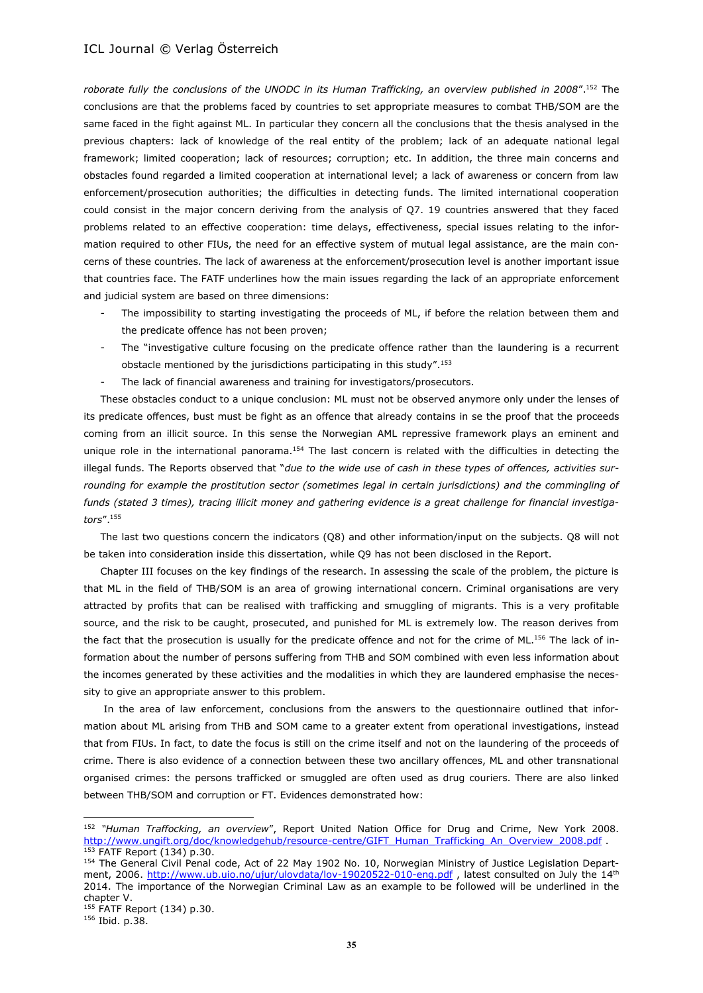*roborate fully the conclusions of the UNODC in its Human Trafficking, an overview published in 2008*".<sup>152</sup> The conclusions are that the problems faced by countries to set appropriate measures to combat THB/SOM are the same faced in the fight against ML. In particular they concern all the conclusions that the thesis analysed in the previous chapters: lack of knowledge of the real entity of the problem; lack of an adequate national legal framework; limited cooperation; lack of resources; corruption; etc. In addition, the three main concerns and obstacles found regarded a limited cooperation at international level; a lack of awareness or concern from law enforcement/prosecution authorities; the difficulties in detecting funds. The limited international cooperation could consist in the major concern deriving from the analysis of Q7. 19 countries answered that they faced problems related to an effective cooperation: time delays, effectiveness, special issues relating to the information required to other FIUs, the need for an effective system of mutual legal assistance, are the main concerns of these countries. The lack of awareness at the enforcement/prosecution level is another important issue that countries face. The FATF underlines how the main issues regarding the lack of an appropriate enforcement and judicial system are based on three dimensions:

- The impossibility to starting investigating the proceeds of ML, if before the relation between them and the predicate offence has not been proven;
- The "investigative culture focusing on the predicate offence rather than the laundering is a recurrent obstacle mentioned by the jurisdictions participating in this study".<sup>153</sup>
- The lack of financial awareness and training for investigators/prosecutors.

These obstacles conduct to a unique conclusion: ML must not be observed anymore only under the lenses of its predicate offences, bust must be fight as an offence that already contains in se the proof that the proceeds coming from an illicit source. In this sense the Norwegian AML repressive framework plays an eminent and unique role in the international panorama.<sup>154</sup> The last concern is related with the difficulties in detecting the illegal funds. The Reports observed that "*due to the wide use of cash in these types of offences, activities surrounding for example the prostitution sector (sometimes legal in certain jurisdictions) and the commingling of funds (stated 3 times), tracing illicit money and gathering evidence is a great challenge for financial investigators*".<sup>155</sup>

The last two questions concern the indicators (Q8) and other information/input on the subjects. Q8 will not be taken into consideration inside this dissertation, while Q9 has not been disclosed in the Report.

Chapter III focuses on the key findings of the research. In assessing the scale of the problem, the picture is that ML in the field of THB/SOM is an area of growing international concern. Criminal organisations are very attracted by profits that can be realised with trafficking and smuggling of migrants. This is a very profitable source, and the risk to be caught, prosecuted, and punished for ML is extremely low. The reason derives from the fact that the prosecution is usually for the predicate offence and not for the crime of ML.<sup>156</sup> The lack of information about the number of persons suffering from THB and SOM combined with even less information about the incomes generated by these activities and the modalities in which they are laundered emphasise the necessity to give an appropriate answer to this problem.

In the area of law enforcement, conclusions from the answers to the questionnaire outlined that information about ML arising from THB and SOM came to a greater extent from operational investigations, instead that from FIUs. In fact, to date the focus is still on the crime itself and not on the laundering of the proceeds of crime. There is also evidence of a connection between these two ancillary offences, ML and other transnational organised crimes: the persons trafficked or smuggled are often used as drug couriers. There are also linked between THB/SOM and corruption or FT. Evidences demonstrated how:

<sup>152</sup> *"Human Traffocking, an overview*", Report United Nation Office for Drug and Crime, New York 2008. [http://www.ungift.org/doc/knowledgehub/resource-centre/GIFT\\_Human\\_Trafficking\\_An\\_Overview\\_2008.pdf](http://www.ungift.org/doc/knowledgehub/resource-centre/GIFT_Human_Trafficking_An_Overview_2008.pdf) 153 FATF Report (134) p.30.

<sup>&</sup>lt;sup>154</sup> The General Civil Penal code, Act of 22 May 1902 No. 10, Norwegian Ministry of Justice Legislation Department, 2006.<http://www.ub.uio.no/ujur/ulovdata/lov-19020522-010-eng.pdf>, latest consulted on July the 14<sup>th</sup> 2014. The importance of the Norwegian Criminal Law as an example to be followed will be underlined in the chapter V.

<sup>155</sup> FATF Report (134) p.30.

<sup>156</sup> Ibid. p.38.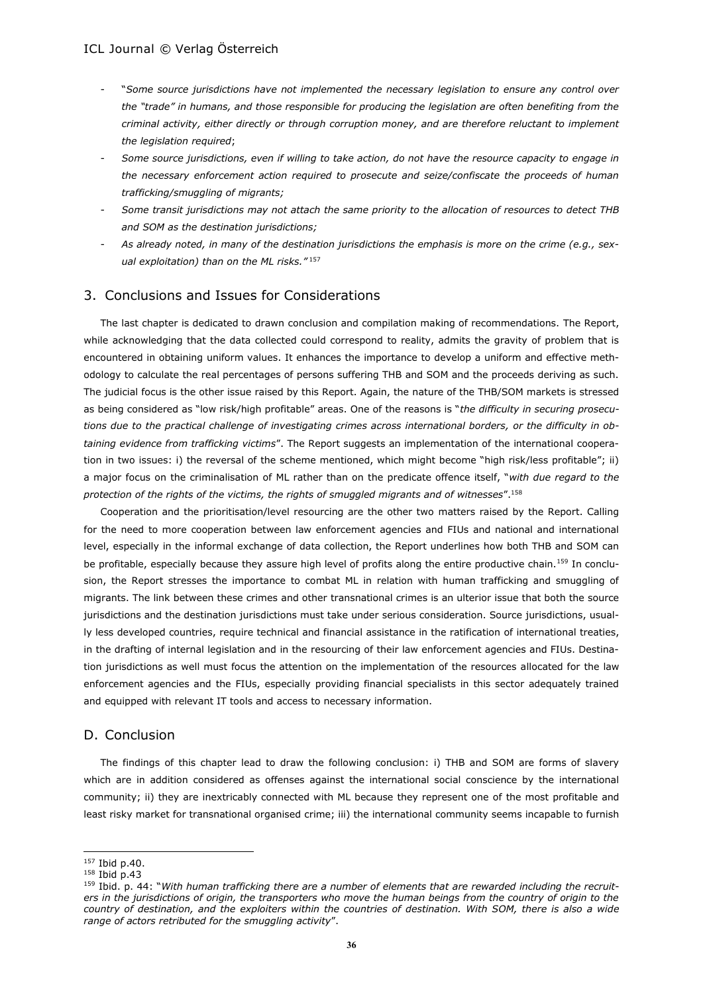- "*Some source jurisdictions have not implemented the necessary legislation to ensure any control over the "trade" in humans, and those responsible for producing the legislation are often benefiting from the criminal activity, either directly or through corruption money, and are therefore reluctant to implement the legislation required*;
- *Some source jurisdictions, even if willing to take action, do not have the resource capacity to engage in the necessary enforcement action required to prosecute and seize/confiscate the proceeds of human trafficking/smuggling of migrants;*
- *Some transit jurisdictions may not attach the same priority to the allocation of resources to detect THB and SOM as the destination jurisdictions;*
- *As already noted, in many of the destination jurisdictions the emphasis is more on the crime (e.g., sexual exploitation) than on the ML risks."* <sup>157</sup>

# 3. Conclusions and Issues for Considerations

The last chapter is dedicated to drawn conclusion and compilation making of recommendations. The Report, while acknowledging that the data collected could correspond to reality, admits the gravity of problem that is encountered in obtaining uniform values. It enhances the importance to develop a uniform and effective methodology to calculate the real percentages of persons suffering THB and SOM and the proceeds deriving as such. The judicial focus is the other issue raised by this Report. Again, the nature of the THB/SOM markets is stressed as being considered as "low risk/high profitable" areas. One of the reasons is "*the difficulty in securing prosecutions due to the practical challenge of investigating crimes across international borders, or the difficulty in obtaining evidence from trafficking victims*". The Report suggests an implementation of the international cooperation in two issues: i) the reversal of the scheme mentioned, which might become "high risk/less profitable"; ii) a major focus on the criminalisation of ML rather than on the predicate offence itself, "*with due regard to the protection of the rights of the victims, the rights of smuggled migrants and of witnesses*".<sup>158</sup>

Cooperation and the prioritisation/level resourcing are the other two matters raised by the Report. Calling for the need to more cooperation between law enforcement agencies and FIUs and national and international level, especially in the informal exchange of data collection, the Report underlines how both THB and SOM can be profitable, especially because they assure high level of profits along the entire productive chain.<sup>159</sup> In conclusion, the Report stresses the importance to combat ML in relation with human trafficking and smuggling of migrants. The link between these crimes and other transnational crimes is an ulterior issue that both the source jurisdictions and the destination jurisdictions must take under serious consideration. Source jurisdictions, usually less developed countries, require technical and financial assistance in the ratification of international treaties, in the drafting of internal legislation and in the resourcing of their law enforcement agencies and FIUs. Destination jurisdictions as well must focus the attention on the implementation of the resources allocated for the law enforcement agencies and the FIUs, especially providing financial specialists in this sector adequately trained and equipped with relevant IT tools and access to necessary information.

### D. Conclusion

The findings of this chapter lead to draw the following conclusion: i) THB and SOM are forms of slavery which are in addition considered as offenses against the international social conscience by the international community; ii) they are inextricably connected with ML because they represent one of the most profitable and least risky market for transnational organised crime; iii) the international community seems incapable to furnish

<sup>157</sup> Ibid p.40.

<sup>158</sup> Ibid p.43

<sup>159</sup> Ibid. p. 44: "*With human trafficking there are a number of elements that are rewarded including the recruiters in the jurisdictions of origin, the transporters who move the human beings from the country of origin to the country of destination, and the exploiters within the countries of destination. With SOM, there is also a wide range of actors retributed for the smuggling activity*".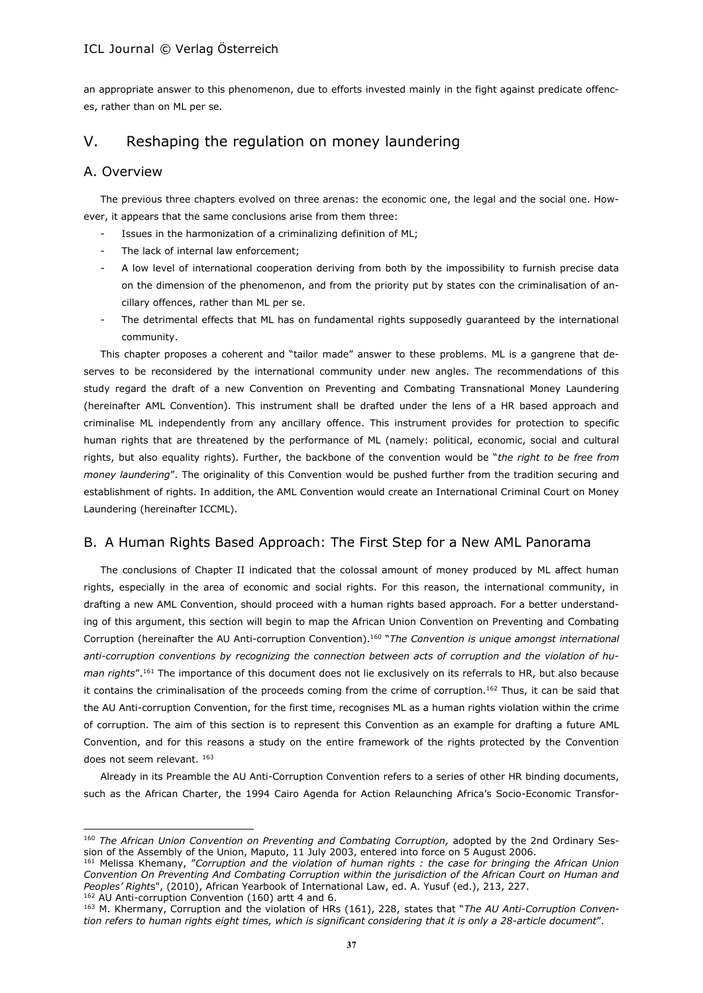an appropriate answer to this phenomenon, due to efforts invested mainly in the fight against predicate offences, rather than on ML per se.

# V. Reshaping the regulation on money laundering

# A. Overview

The previous three chapters evolved on three arenas: the economic one, the legal and the social one. However, it appears that the same conclusions arise from them three:

- Issues in the harmonization of a criminalizing definition of ML;
- The lack of internal law enforcement;
- A low level of international cooperation deriving from both by the impossibility to furnish precise data on the dimension of the phenomenon, and from the priority put by states con the criminalisation of ancillary offences, rather than ML per se.
- The detrimental effects that ML has on fundamental rights supposedly guaranteed by the international community.

This chapter proposes a coherent and "tailor made" answer to these problems. ML is a gangrene that deserves to be reconsidered by the international community under new angles. The recommendations of this study regard the draft of a new Convention on Preventing and Combating Transnational Money Laundering (hereinafter AML Convention). This instrument shall be drafted under the lens of a HR based approach and criminalise ML independently from any ancillary offence. This instrument provides for protection to specific human rights that are threatened by the performance of ML (namely: political, economic, social and cultural rights, but also equality rights). Further, the backbone of the convention would be "*the right to be free from money laundering*". The originality of this Convention would be pushed further from the tradition securing and establishment of rights. In addition, the AML Convention would create an International Criminal Court on Money Laundering (hereinafter ICCML).

# B. A Human Rights Based Approach: The First Step for a New AML Panorama

The conclusions of Chapter II indicated that the colossal amount of money produced by ML affect human rights, especially in the area of economic and social rights. For this reason, the international community, in drafting a new AML Convention, should proceed with a human rights based approach. For a better understanding of this argument, this section will begin to map the African Union Convention on Preventing and Combating Corruption (hereinafter the AU Anti-corruption Convention).<sup>160</sup> "*The Convention is unique amongst international anti-corruption conventions by recognizing the connection between acts of corruption and the violation of human rights*".<sup>161</sup> The importance of this document does not lie exclusively on its referrals to HR, but also because it contains the criminalisation of the proceeds coming from the crime of corruption.<sup>162</sup> Thus, it can be said that the AU Anti-corruption Convention, for the first time, recognises ML as a human rights violation within the crime of corruption. The aim of this section is to represent this Convention as an example for drafting a future AML Convention, and for this reasons a study on the entire framework of the rights protected by the Convention does not seem relevant. 163

Already in its Preamble the AU Anti-Corruption Convention refers to a series of other HR binding documents, such as the African Charter, the 1994 Cairo Agenda for Action Relaunching Africa's Socio-Economic Transfor-

 $162$  AU Anti-corruption Convention (160) artt 4 and 6.

<sup>160</sup> *The African Union Convention on Preventing and Combating Corruption,* adopted by the 2nd Ordinary Session of the Assembly of the Union, Maputo, 11 July 2003, entered into force on 5 August 2006.

<sup>161</sup> Melissa Khemany, "*Corruption and the violation of human rights : the case for bringing the African Union Convention On Preventing And Combating Corruption within the jurisdiction of the African Court on Human and Peoples' Right*s", (2010), African Yearbook of International Law, ed. A. Yusuf (ed.), 213, 227.

<sup>163</sup> M. Khermany, Corruption and the violation of HRs (161), 228, states that "*The AU Anti-Corruption Convention refers to human rights eight times, which is significant considering that it is only a 28-article document*".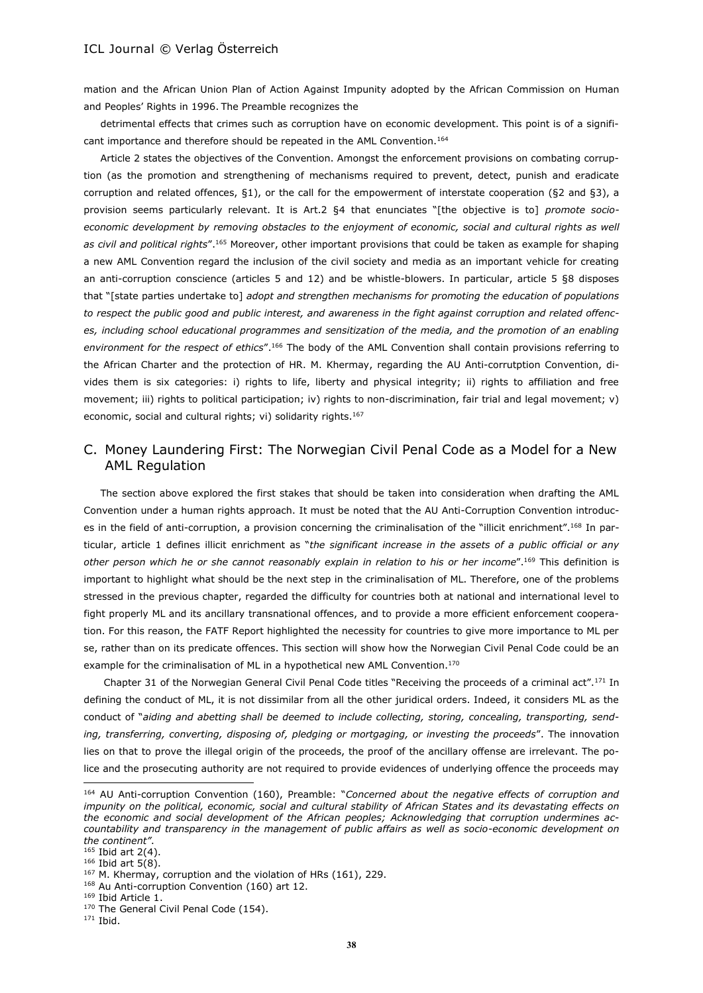mation and the African Union Plan of Action Against Impunity adopted by the African Commission on Human and Peoples' Rights in 1996. The Preamble recognizes the

detrimental effects that crimes such as corruption have on economic development. This point is of a significant importance and therefore should be repeated in the AML Convention.<sup>164</sup>

Article 2 states the objectives of the Convention. Amongst the enforcement provisions on combating corruption (as the promotion and strengthening of mechanisms required to prevent, detect, punish and eradicate corruption and related offences, §1), or the call for the empowerment of interstate cooperation (§2 and §3), a provision seems particularly relevant. It is Art.2 §4 that enunciates "[the objective is to] *promote socioeconomic development by removing obstacles to the enjoyment of economic, social and cultural rights as well as civil and political rights*".<sup>165</sup> Moreover, other important provisions that could be taken as example for shaping a new AML Convention regard the inclusion of the civil society and media as an important vehicle for creating an anti-corruption conscience (articles 5 and 12) and be whistle-blowers. In particular, article 5 §8 disposes that "[state parties undertake to] *adopt and strengthen mechanisms for promoting the education of populations to respect the public good and public interest, and awareness in the fight against corruption and related offences, including school educational programmes and sensitization of the media, and the promotion of an enabling environment for the respect of ethics*".<sup>166</sup> The body of the AML Convention shall contain provisions referring to the African Charter and the protection of HR. M. Khermay, regarding the AU Anti-corrutption Convention, divides them is six categories: i) rights to life, liberty and physical integrity; ii) rights to affiliation and free movement; iii) rights to political participation; iv) rights to non-discrimination, fair trial and legal movement; v) economic, social and cultural rights; vi) solidarity rights.<sup>167</sup>

# C. Money Laundering First: The Norwegian Civil Penal Code as a Model for a New AML Regulation

The section above explored the first stakes that should be taken into consideration when drafting the AML Convention under a human rights approach. It must be noted that the AU Anti-Corruption Convention introduces in the field of anti-corruption, a provision concerning the criminalisation of the "illicit enrichment".<sup>168</sup> In particular, article 1 defines illicit enrichment as "*the significant increase in the assets of a public official or any other person which he or she cannot reasonably explain in relation to his or her income*".<sup>169</sup> This definition is important to highlight what should be the next step in the criminalisation of ML. Therefore, one of the problems stressed in the previous chapter, regarded the difficulty for countries both at national and international level to fight properly ML and its ancillary transnational offences, and to provide a more efficient enforcement cooperation. For this reason, the FATF Report highlighted the necessity for countries to give more importance to ML per se, rather than on its predicate offences. This section will show how the Norwegian Civil Penal Code could be an example for the criminalisation of ML in a hypothetical new AML Convention.<sup>170</sup>

Chapter 31 of the Norwegian General Civil Penal Code titles "Receiving the proceeds of a criminal act".<sup>171</sup> In defining the conduct of ML, it is not dissimilar from all the other juridical orders. Indeed, it considers ML as the conduct of "*aiding and abetting shall be deemed to include collecting, storing, concealing, transporting, sending, transferring, converting, disposing of, pledging or mortgaging, or investing the proceeds*". The innovation lies on that to prove the illegal origin of the proceeds, the proof of the ancillary offense are irrelevant. The police and the prosecuting authority are not required to provide evidences of underlying offence the proceeds may

<sup>164</sup> AU Anti-corruption Convention (160), Preamble: "*Concerned about the negative effects of corruption and impunity on the political, economic, social and cultural stability of African States and its devastating effects on the economic and social development of the African peoples; Acknowledging that corruption undermines accountability and transparency in the management of public affairs as well as socio-economic development on the continent"*.

 $165$  Ibid art 2(4).

<sup>166</sup> Ibid art 5(8).

<sup>&</sup>lt;sup>167</sup> M. Khermay, corruption and the violation of HRs (161), 229.

<sup>&</sup>lt;sup>168</sup> Au Anti-corruption Convention (160) art 12.

<sup>169</sup> Ibid Article 1.

<sup>&</sup>lt;sup>170</sup> The General Civil Penal Code (154).

 $171$  Ibid.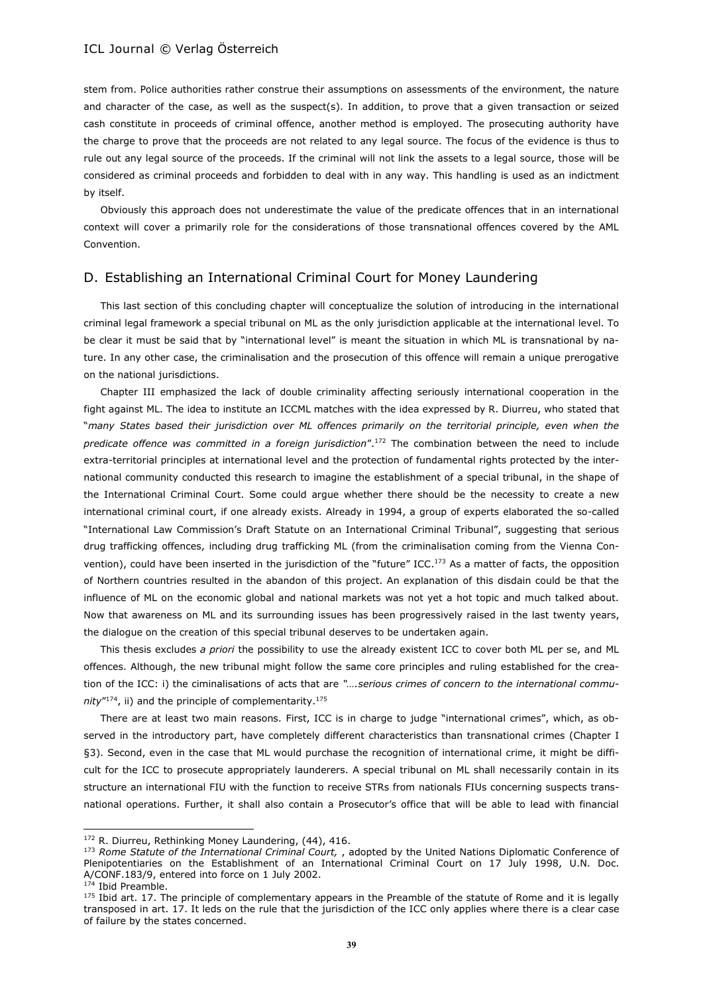stem from. Police authorities rather construe their assumptions on assessments of the environment, the nature and character of the case, as well as the suspect(s). In addition, to prove that a given transaction or seized cash constitute in proceeds of criminal offence, another method is employed. The prosecuting authority have the charge to prove that the proceeds are not related to any legal source. The focus of the evidence is thus to rule out any legal source of the proceeds. If the criminal will not link the assets to a legal source, those will be considered as criminal proceeds and forbidden to deal with in any way. This handling is used as an indictment by itself.

Obviously this approach does not underestimate the value of the predicate offences that in an international context will cover a primarily role for the considerations of those transnational offences covered by the AML Convention.

# D. Establishing an International Criminal Court for Money Laundering

This last section of this concluding chapter will conceptualize the solution of introducing in the international criminal legal framework a special tribunal on ML as the only jurisdiction applicable at the international level. To be clear it must be said that by "international level" is meant the situation in which ML is transnational by nature. In any other case, the criminalisation and the prosecution of this offence will remain a unique prerogative on the national jurisdictions.

Chapter III emphasized the lack of double criminality affecting seriously international cooperation in the fight against ML. The idea to institute an ICCML matches with the idea expressed by R. Diurreu, who stated that "*many States based their jurisdiction over ML offences primarily on the territorial principle, even when the predicate offence was committed in a foreign jurisdiction*".<sup>172</sup> The combination between the need to include extra-territorial principles at international level and the protection of fundamental rights protected by the international community conducted this research to imagine the establishment of a special tribunal, in the shape of the International Criminal Court. Some could argue whether there should be the necessity to create a new international criminal court, if one already exists. Already in 1994, a group of experts elaborated the so-called "International Law Commission's Draft Statute on an International Criminal Tribunal", suggesting that serious drug trafficking offences, including drug trafficking ML (from the criminalisation coming from the Vienna Convention), could have been inserted in the jurisdiction of the "future" ICC.<sup>173</sup> As a matter of facts, the opposition of Northern countries resulted in the abandon of this project. An explanation of this disdain could be that the influence of ML on the economic global and national markets was not yet a hot topic and much talked about. Now that awareness on ML and its surrounding issues has been progressively raised in the last twenty years, the dialogue on the creation of this special tribunal deserves to be undertaken again.

This thesis excludes *a priori* the possibility to use the already existent ICC to cover both ML per se, and ML offences. Although, the new tribunal might follow the same core principles and ruling established for the creation of the ICC: i) the ciminalisations of acts that are *"….serious crimes of concern to the international community*" <sup>174</sup>, ii) and the principle of complementarity.<sup>175</sup>

There are at least two main reasons. First, ICC is in charge to judge "international crimes", which, as observed in the introductory part, have completely different characteristics than transnational crimes (Chapter I §3). Second, even in the case that ML would purchase the recognition of international crime, it might be difficult for the ICC to prosecute appropriately launderers. A special tribunal on ML shall necessarily contain in its structure an international FIU with the function to receive STRs from nationals FIUs concerning suspects transnational operations. Further, it shall also contain a Prosecutor's office that will be able to lead with financial

<sup>&</sup>lt;sup>172</sup> R. Diurreu, Rethinking Money Laundering, (44), 416.

<sup>173</sup> *Rome Statute of the International Criminal Court,* , adopted by the United Nations Diplomatic Conference of Plenipotentiaries on the Establishment of an International Criminal Court on 17 July 1998, U.N. Doc. A/CONF.183/9, entered into force on 1 July 2002.

<sup>&</sup>lt;sup>174</sup> Ibid Preamble.

 $175$  Ibid art. 17. The principle of complementary appears in the Preamble of the statute of Rome and it is legally transposed in art. 17. It leds on the rule that the jurisdiction of the ICC only applies where there is a clear case of failure by the states concerned.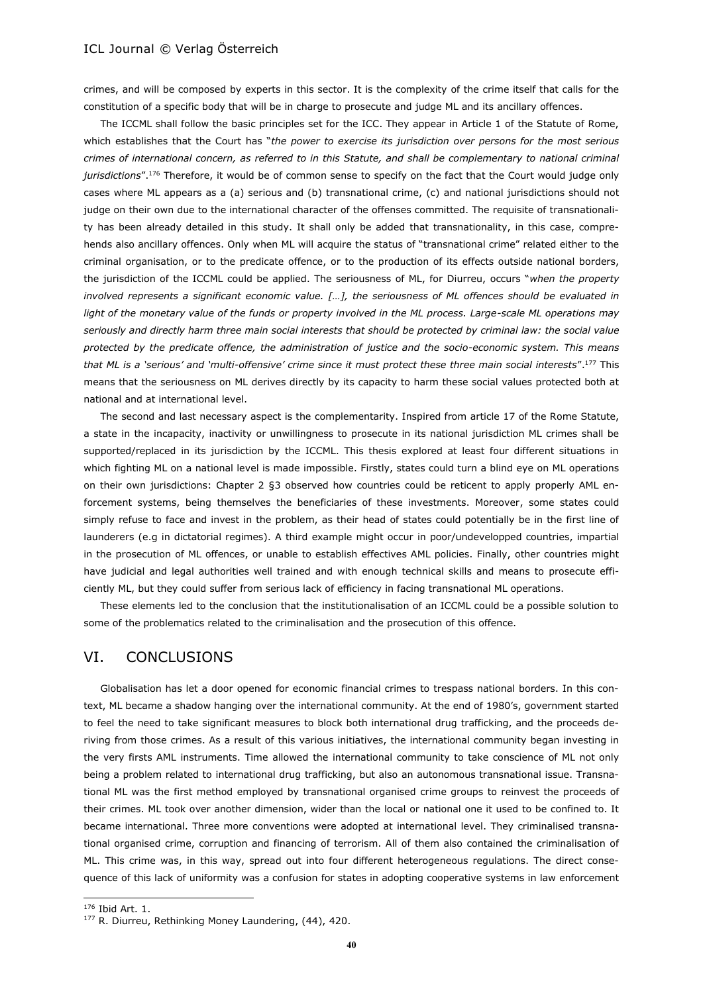crimes, and will be composed by experts in this sector. It is the complexity of the crime itself that calls for the constitution of a specific body that will be in charge to prosecute and judge ML and its ancillary offences.

The ICCML shall follow the basic principles set for the ICC. They appear in Article 1 of the Statute of Rome, which establishes that the Court has "*the power to exercise its jurisdiction over persons for the most serious crimes of international concern, as referred to in this Statute, and shall be complementary to national criminal jurisdictions*".<sup>176</sup> Therefore, it would be of common sense to specify on the fact that the Court would judge only cases where ML appears as a (a) serious and (b) transnational crime, (c) and national jurisdictions should not judge on their own due to the international character of the offenses committed. The requisite of transnationality has been already detailed in this study. It shall only be added that transnationality, in this case, comprehends also ancillary offences. Only when ML will acquire the status of "transnational crime" related either to the criminal organisation, or to the predicate offence, or to the production of its effects outside national borders, the jurisdiction of the ICCML could be applied. The seriousness of ML, for Diurreu, occurs "*when the property involved represents a significant economic value. […], the seriousness of ML offences should be evaluated in light of the monetary value of the funds or property involved in the ML process. Large-scale ML operations may seriously and directly harm three main social interests that should be protected by criminal law: the social value protected by the predicate offence, the administration of justice and the socio-economic system. This means that ML is a 'serious' and 'multi-offensive' crime since it must protect these three main social interests*".<sup>177</sup> This means that the seriousness on ML derives directly by its capacity to harm these social values protected both at national and at international level.

The second and last necessary aspect is the complementarity. Inspired from article 17 of the Rome Statute, a state in the incapacity, inactivity or unwillingness to prosecute in its national jurisdiction ML crimes shall be supported/replaced in its jurisdiction by the ICCML. This thesis explored at least four different situations in which fighting ML on a national level is made impossible. Firstly, states could turn a blind eye on ML operations on their own jurisdictions: Chapter 2 §3 observed how countries could be reticent to apply properly AML enforcement systems, being themselves the beneficiaries of these investments. Moreover, some states could simply refuse to face and invest in the problem, as their head of states could potentially be in the first line of launderers (e.g in dictatorial regimes). A third example might occur in poor/undevelopped countries, impartial in the prosecution of ML offences, or unable to establish effectives AML policies. Finally, other countries might have judicial and legal authorities well trained and with enough technical skills and means to prosecute efficiently ML, but they could suffer from serious lack of efficiency in facing transnational ML operations.

These elements led to the conclusion that the institutionalisation of an ICCML could be a possible solution to some of the problematics related to the criminalisation and the prosecution of this offence.

# VI. CONCLUSIONS

Globalisation has let a door opened for economic financial crimes to trespass national borders. In this context, ML became a shadow hanging over the international community. At the end of 1980's, government started to feel the need to take significant measures to block both international drug trafficking, and the proceeds deriving from those crimes. As a result of this various initiatives, the international community began investing in the very firsts AML instruments. Time allowed the international community to take conscience of ML not only being a problem related to international drug trafficking, but also an autonomous transnational issue. Transnational ML was the first method employed by transnational organised crime groups to reinvest the proceeds of their crimes. ML took over another dimension, wider than the local or national one it used to be confined to. It became international. Three more conventions were adopted at international level. They criminalised transnational organised crime, corruption and financing of terrorism. All of them also contained the criminalisation of ML. This crime was, in this way, spread out into four different heterogeneous regulations. The direct consequence of this lack of uniformity was a confusion for states in adopting cooperative systems in law enforcement

 $\overline{a}$ 

<sup>176</sup> Ibid Art. 1.

<sup>177</sup> R. Diurreu, Rethinking Money Laundering, (44), 420.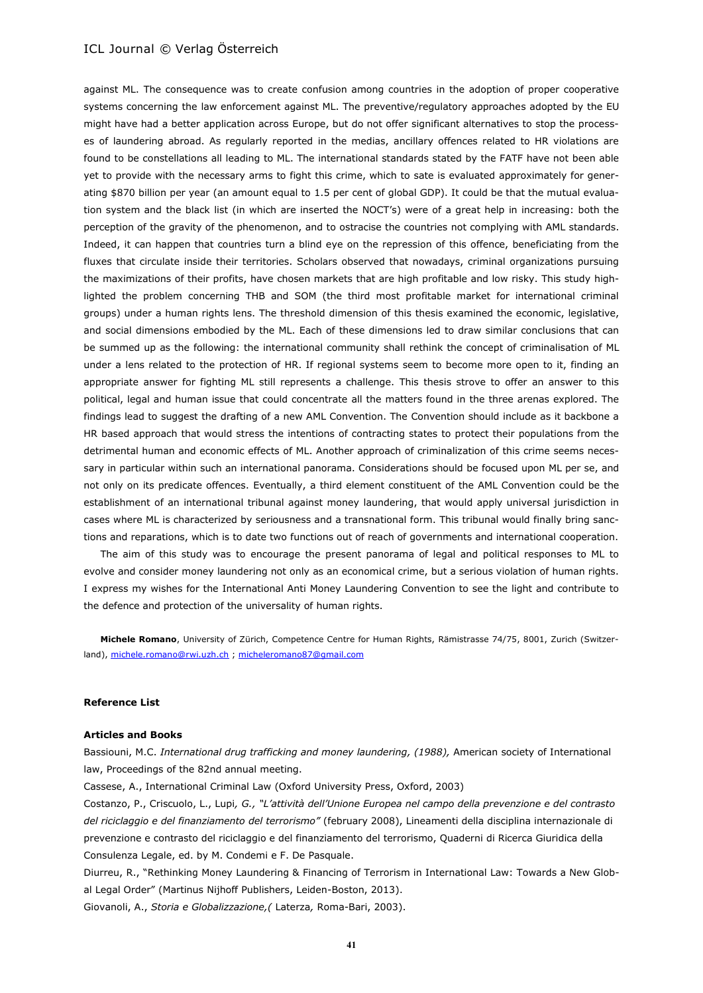against ML. The consequence was to create confusion among countries in the adoption of proper cooperative systems concerning the law enforcement against ML. The preventive/regulatory approaches adopted by the EU might have had a better application across Europe, but do not offer significant alternatives to stop the processes of laundering abroad. As regularly reported in the medias, ancillary offences related to HR violations are found to be constellations all leading to ML. The international standards stated by the FATF have not been able yet to provide with the necessary arms to fight this crime, which to sate is evaluated approximately for generating \$870 billion per year (an amount equal to 1.5 per cent of global GDP). It could be that the mutual evaluation system and the black list (in which are inserted the NOCT's) were of a great help in increasing: both the perception of the gravity of the phenomenon, and to ostracise the countries not complying with AML standards. Indeed, it can happen that countries turn a blind eye on the repression of this offence, beneficiating from the fluxes that circulate inside their territories. Scholars observed that nowadays, criminal organizations pursuing the maximizations of their profits, have chosen markets that are high profitable and low risky. This study highlighted the problem concerning THB and SOM (the third most profitable market for international criminal groups) under a human rights lens. The threshold dimension of this thesis examined the economic, legislative, and social dimensions embodied by the ML. Each of these dimensions led to draw similar conclusions that can be summed up as the following: the international community shall rethink the concept of criminalisation of ML under a lens related to the protection of HR. If regional systems seem to become more open to it, finding an appropriate answer for fighting ML still represents a challenge. This thesis strove to offer an answer to this political, legal and human issue that could concentrate all the matters found in the three arenas explored. The findings lead to suggest the drafting of a new AML Convention. The Convention should include as it backbone a HR based approach that would stress the intentions of contracting states to protect their populations from the detrimental human and economic effects of ML. Another approach of criminalization of this crime seems necessary in particular within such an international panorama. Considerations should be focused upon ML per se, and not only on its predicate offences. Eventually, a third element constituent of the AML Convention could be the establishment of an international tribunal against money laundering, that would apply universal jurisdiction in cases where ML is characterized by seriousness and a transnational form. This tribunal would finally bring sanctions and reparations, which is to date two functions out of reach of governments and international cooperation.

The aim of this study was to encourage the present panorama of legal and political responses to ML to evolve and consider money laundering not only as an economical crime, but a serious violation of human rights. I express my wishes for the International Anti Money Laundering Convention to see the light and contribute to the defence and protection of the universality of human rights.

**Michele Romano**, University of Zürich, Competence Centre for Human Rights, Rämistrasse 74/75, 8001, Zurich (Switzerland), [michele.romano@rwi.uzh.ch](mailto:michele.romano@rwi.uzh.ch) ; [micheleromano87@gmail.com](mailto:micheleromano87@gmail.com)

#### **Reference List**

#### **Articles and Books**

Bassiouni, M.C. *International drug trafficking and money laundering, (1988),* American society of International law, Proceedings of the 82nd annual meeting.

Cassese, A., International Criminal Law (Oxford University Press, Oxford, 2003)

Costanzo, P., Criscuolo, L., Lupi*, G., "L'attività dell'Unione Europea nel campo della prevenzione e del contrasto del riciclaggio e del finanziamento del terrorismo"* (february 2008), Lineamenti della disciplina internazionale di prevenzione e contrasto del riciclaggio e del finanziamento del terrorismo, Quaderni di Ricerca Giuridica della Consulenza Legale, ed. by M. Condemi e F. De Pasquale.

Diurreu, R., "Rethinking Money Laundering & Financing of Terrorism in International Law: Towards a New Global Legal Order" (Martinus Nijhoff Publishers, Leiden-Boston, 2013).

Giovanoli, A., *Storia e Globalizzazione,(* Laterza*,* Roma-Bari, 2003).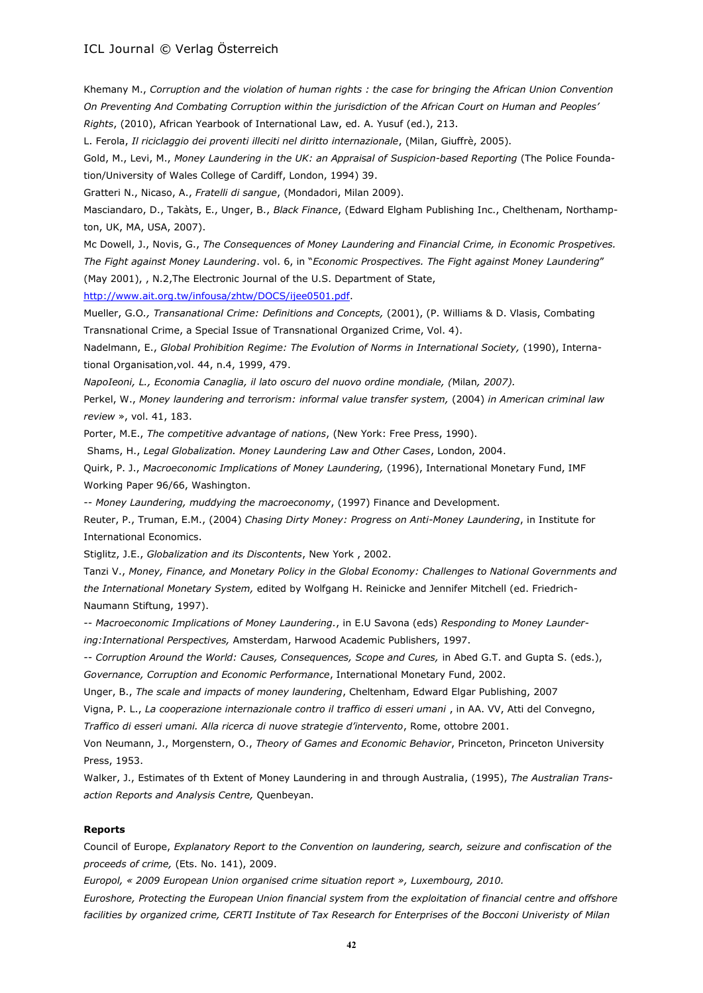Khemany M., *Corruption and the violation of human rights : the case for bringing the African Union Convention On Preventing And Combating Corruption within the jurisdiction of the African Court on Human and Peoples' Rights*, (2010), African Yearbook of International Law, ed. A. Yusuf (ed.), 213.

L. Ferola, *Il riciclaggio dei proventi illeciti nel diritto internazionale*, (Milan, Giuffrè, 2005).

Gold, M., Levi, M., *Money Laundering in the UK: an Appraisal of Suspicion-based Reporting* (The Police Foundation/University of Wales College of Cardiff, London, 1994) 39.

Gratteri N., Nicaso, A., *Fratelli di sangue*, (Mondadori, Milan 2009).

Masciandaro, D., Takàts, E., Unger, B., *Black Finance*, (Edward Elgham Publishing Inc., Chelthenam, Northampton, UK, MA, USA, 2007).

Mc Dowell, J., Novis, G., *The Consequences of Money Laundering and Financial Crime, in Economic Prospetives. The Fight against Money Laundering*. vol. 6, in "*Economic Prospectives. The Fight against Money Laundering*" (May 2001), , N.2,The Electronic Journal of the U.S. Department of State,

[http://www.ait.org.tw/infousa/zhtw/DOCS/ijee0501.pdf.](http://www.ait.org.tw/infousa/zhtw/DOCS/ijee0501.pdf)

Mueller, G.O*., Transanational Crime: Definitions and Concepts,* (2001), (P. Williams & D. Vlasis, Combating Transnational Crime, a Special Issue of Transnational Organized Crime, Vol. 4).

Nadelmann, E., *Global Prohibition Regime: The Evolution of Norms in International Society,* (1990), International Organisation,vol. 44, n.4, 1999, 479.

*NapoIeoni, L., Economia Canaglia, il lato oscuro del nuovo ordine mondiale, (*Milan*, 2007).*

Perkel, W., *Money laundering and terrorism: informal value transfer system,* (2004) *in American criminal law review* », vol. 41, 183.

Porter, M.E., *The competitive advantage of nations*, (New York: Free Press, 1990).

Shams, H., *Legal Globalization. Money Laundering Law and Other Cases*, London, 2004.

Quirk, P. J., *Macroeconomic Implications of Money Laundering,* (1996), International Monetary Fund, IMF Working Paper 96/66, Washington.

-- *Money Laundering, muddying the macroeconomy*, (1997) Finance and Development.

Reuter, P., Truman, E.M., (2004) *Chasing Dirty Money: Progress on Anti-Money Laundering*, in Institute for International Economics.

Stiglitz, J.E., *Globalization and its Discontents*, New York , 2002.

Tanzi V., *Money, Finance, and Monetary Policy in the Global Economy: Challenges to National Governments and the International Monetary System,* edited by Wolfgang H. Reinicke and Jennifer Mitchell (ed. Friedrich-Naumann Stiftung, 1997).

-- *Macroeconomic Implications of Money Laundering.*, in E.U Savona (eds) *Responding to Money Laundering:International Perspectives,* Amsterdam, Harwood Academic Publishers, 1997.

-- *Corruption Around the World: Causes, Consequences, Scope and Cures,* in Abed G.T. and Gupta S. (eds.), *Governance, Corruption and Economic Performance*, International Monetary Fund, 2002.

Unger, B., *The scale and impacts of money laundering*, Cheltenham, Edward Elgar Publishing, 2007

Vigna, P. L., *La cooperazione internazionale contro il traffico di esseri umani* , in AA. VV, Atti del Convegno, *Traffico di esseri umani. Alla ricerca di nuove strategie d'intervento*, Rome, ottobre 2001.

Von Neumann, J., Morgenstern, O., *Theory of Games and Economic Behavior*, Princeton, Princeton University Press, 1953.

Walker, J., Estimates of th Extent of Money Laundering in and through Australia, (1995), *The Australian Transaction Reports and Analysis Centre,* Quenbeyan.

#### **Reports**

Council of Europe, *Explanatory Report to the Convention on laundering, search, seizure and confiscation of the proceeds of crime,* (Ets. No. 141), 2009.

*Europol, « 2009 European Union organised crime situation report », Luxembourg, 2010.* 

*Euroshore, Protecting the European Union financial system from the exploitation of financial centre and offshore facilities by organized crime, CERTI Institute of Tax Research for Enterprises of the Bocconi Univeristy of Milan*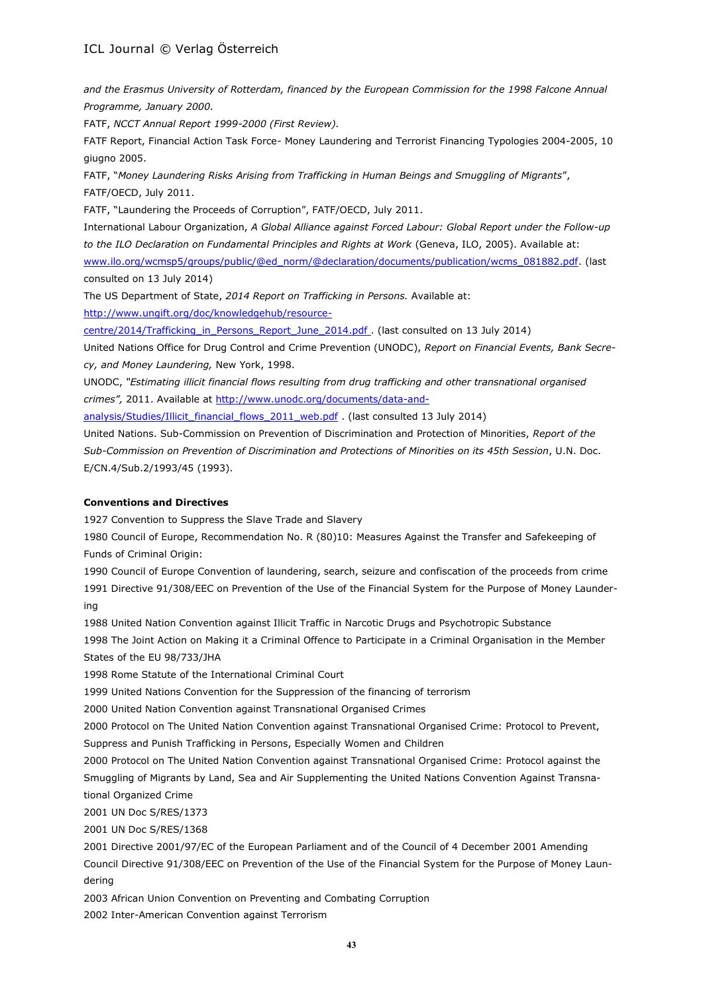*and the Erasmus University of Rotterdam, financed by the European Commission for the 1998 Falcone Annual Programme, January 2000.*

FATF, *NCCT Annual Report 1999-2000 (First Review).*

FATF Report, Financial Action Task Force- Money Laundering and Terrorist Financing Typologies 2004-2005, 10 giugno 2005.

FATF, "*Money Laundering Risks Arising from Trafficking in Human Beings and Smuggling of Migrants*", FATF/OECD, July 2011.

FATF, "Laundering the Proceeds of Corruption", FATF/OECD, July 2011.

International Labour Organization, *A Global Alliance against Forced Labour: Global Report under the Follow-up to the ILO Declaration on Fundamental Principles and Rights at Work* (Geneva, ILO, 2005). Available at: [www.ilo.org/wcmsp5/groups/public/@ed\\_norm/@declaration/documents/publication/wcms\\_081882.pdf.](http://www.ilo.org/wcmsp5/groups/public/@ed_norm/@declaration/documents/publication/wcms_081882.pdf) (last consulted on 13 July 2014)

The US Department of State, *2014 Report on Trafficking in Persons.* Available at: [http://www.ungift.org/doc/knowledgehub/resource-](http://www.ungift.org/doc/knowledgehub/resource-centre/2014/trafficking_in_persons_report_june_2014.pdf)

[centre/2014/Trafficking\\_in\\_Persons\\_Report\\_June\\_2014.pdf](http://www.ungift.org/doc/knowledgehub/resource-centre/2014/trafficking_in_persons_report_june_2014.pdf) . (last consulted on 13 July 2014)

United Nations Office for Drug Control and Crime Prevention (UNODC), *Report on Financial Events, Bank Secrecy, and Money Laundering,* New York, 1998.

UNODC, *"Estimating illicit financial flows resulting from drug trafficking and other transnational organised crimes",* 2011. Available at [http://www.unodc.org/documents/data-and-](http://www.unodc.org/documents/data-and-analysis/studies/illicit_financial_flows_2011_web.pdf)

[analysis/Studies/Illicit\\_financial\\_flows\\_2011\\_web.pdf](http://www.unodc.org/documents/data-and-analysis/studies/illicit_financial_flows_2011_web.pdf) . (last consulted 13 July 2014)

United Nations. Sub-Commission on Prevention of Discrimination and Protection of Minorities, *Report of the Sub-Commission on Prevention of Discrimination and Protections of Minorities on its 45th Session*, U.N. Doc. E/CN.4/Sub.2/1993/45 (1993).

#### **Conventions and Directives**

1927 Convention to Suppress the Slave Trade and Slavery

1980 Council of Europe, Recommendation No. R (80)10: Measures Against the Transfer and Safekeeping of Funds of Criminal Origin:

1990 Council of Europe Convention of laundering, search, seizure and confiscation of the proceeds from crime 1991 Directive 91/308/EEC on Prevention of the Use of the Financial System for the Purpose of Money Laundering

1988 United Nation Convention against Illicit Traffic in Narcotic Drugs and Psychotropic Substance

1998 The Joint Action on Making it a Criminal Offence to Participate in a Criminal Organisation in the Member States of the EU 98/733/JHA

1998 Rome Statute of the International Criminal Court

1999 United Nations Convention for the Suppression of the financing of terrorism

2000 United Nation Convention against Transnational Organised Crimes

2000 Protocol on The United Nation Convention against Transnational Organised Crime: Protocol to Prevent, Suppress and Punish Trafficking in Persons, Especially Women and Children

2000 Protocol on The United Nation Convention against Transnational Organised Crime: Protocol against the Smuggling of Migrants by Land, Sea and Air Supplementing the United Nations Convention Against Transnational Organized Crime

2001 UN Doc S/RES/1373

2001 UN Doc S/RES/1368

2001 Directive 2001/97/EC of the European Parliament and of the Council of 4 December 2001 Amending

Council Directive 91/308/EEC on Prevention of the Use of the Financial System for the Purpose of Money Laundering

2003 African Union Convention on Preventing and Combating Corruption

2002 Inter-American Convention against Terrorism